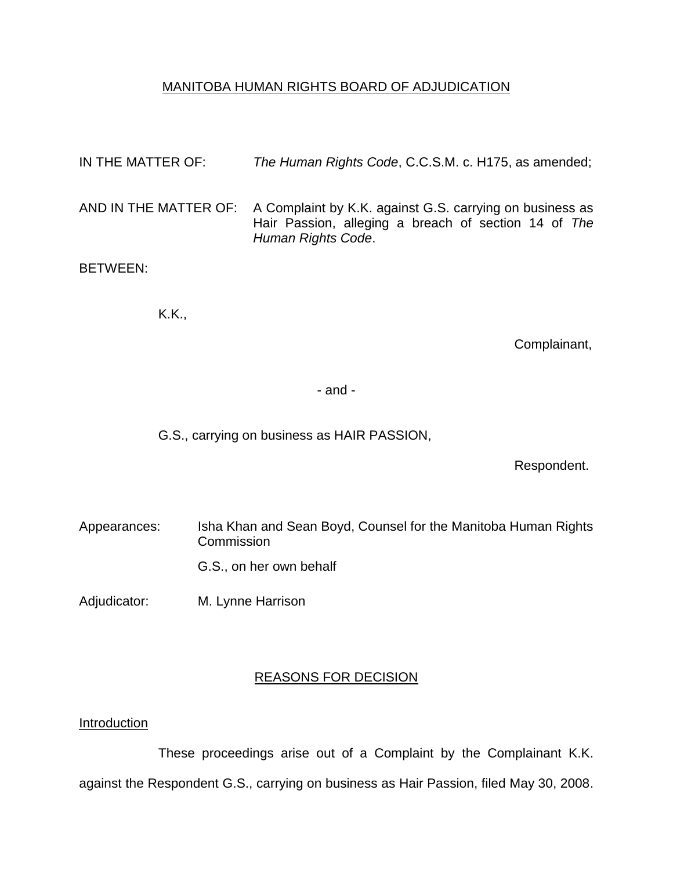## MANITOBA HUMAN RIGHTS BOARD OF ADJUDICATION

| IN THE MATTER OF: | The Human Rights Code, C.C.S.M. c. H175, as amended;                                                                                                         |
|-------------------|--------------------------------------------------------------------------------------------------------------------------------------------------------------|
|                   | AND IN THE MATTER OF: A Complaint by K.K. against G.S. carrying on business as<br>Hair Passion, alleging a breach of section 14 of The<br>Human Rights Code. |
| <b>BETWEEN:</b>   |                                                                                                                                                              |

K.K.,

Complainant,

- and -

G.S., carrying on business as HAIR PASSION,

Respondent.

- Appearances: Isha Khan and Sean Boyd, Counsel for the Manitoba Human Rights **Commission** G.S., on her own behalf
- Adjudicator: M. Lynne Harrison

# REASONS FOR DECISION

### **Introduction**

These proceedings arise out of a Complaint by the Complainant K.K. against the Respondent G.S., carrying on business as Hair Passion, filed May 30, 2008.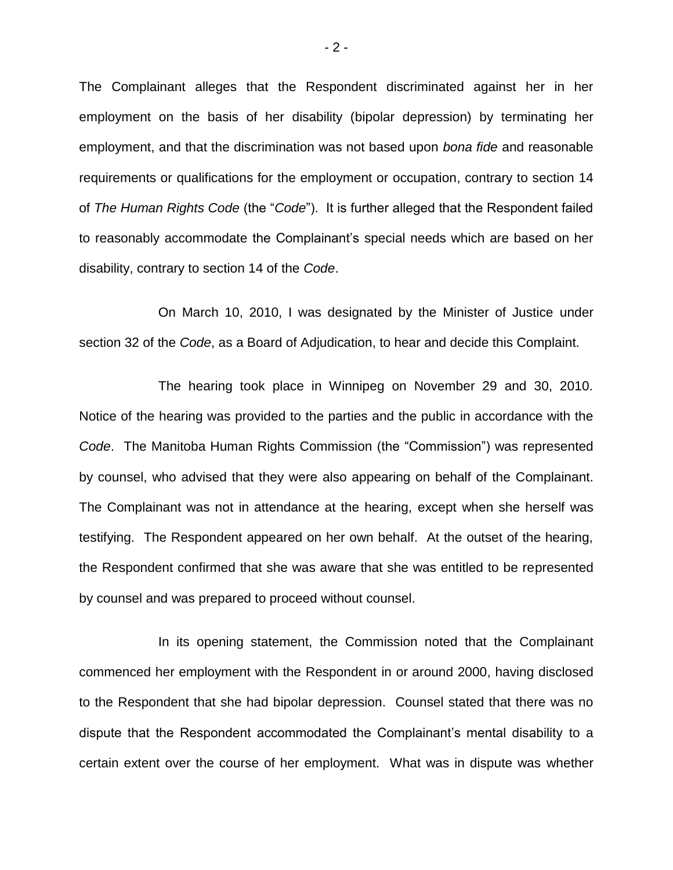The Complainant alleges that the Respondent discriminated against her in her employment on the basis of her disability (bipolar depression) by terminating her employment, and that the discrimination was not based upon *bona fide* and reasonable requirements or qualifications for the employment or occupation, contrary to section 14 of *The Human Rights Code* (the "*Code*"). It is further alleged that the Respondent failed to reasonably accommodate the Complainant's special needs which are based on her disability, contrary to section 14 of the *Code*.

On March 10, 2010, I was designated by the Minister of Justice under section 32 of the *Code*, as a Board of Adjudication, to hear and decide this Complaint.

The hearing took place in Winnipeg on November 29 and 30, 2010. Notice of the hearing was provided to the parties and the public in accordance with the *Code*. The Manitoba Human Rights Commission (the "Commission") was represented by counsel, who advised that they were also appearing on behalf of the Complainant. The Complainant was not in attendance at the hearing, except when she herself was testifying. The Respondent appeared on her own behalf. At the outset of the hearing, the Respondent confirmed that she was aware that she was entitled to be represented by counsel and was prepared to proceed without counsel.

In its opening statement, the Commission noted that the Complainant commenced her employment with the Respondent in or around 2000, having disclosed to the Respondent that she had bipolar depression. Counsel stated that there was no dispute that the Respondent accommodated the Complainant's mental disability to a certain extent over the course of her employment. What was in dispute was whether

- 2 -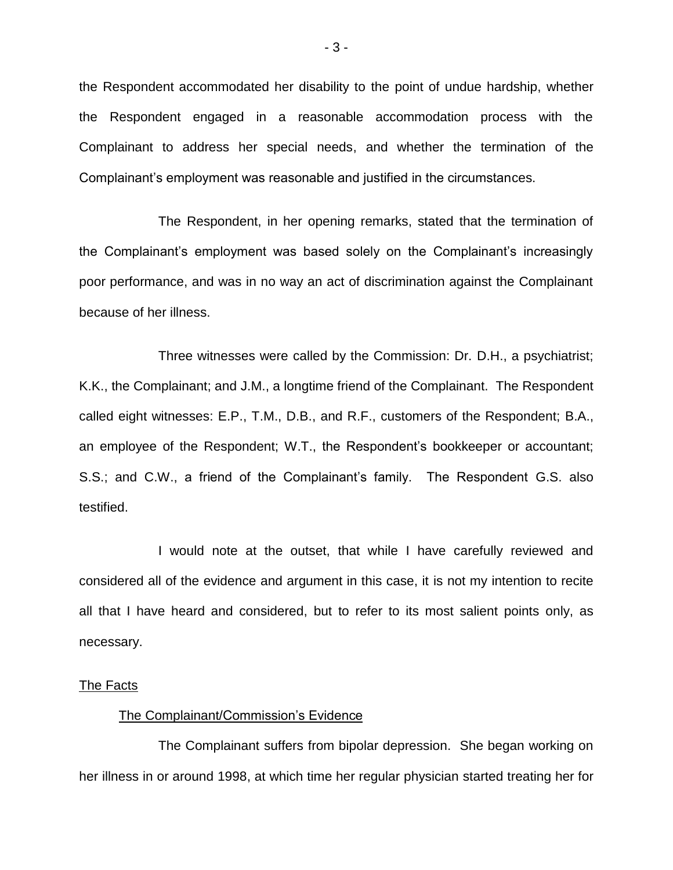the Respondent accommodated her disability to the point of undue hardship, whether the Respondent engaged in a reasonable accommodation process with the Complainant to address her special needs, and whether the termination of the Complainant's employment was reasonable and justified in the circumstances.

The Respondent, in her opening remarks, stated that the termination of the Complainant's employment was based solely on the Complainant's increasingly poor performance, and was in no way an act of discrimination against the Complainant because of her illness.

Three witnesses were called by the Commission: Dr. D.H., a psychiatrist; K.K., the Complainant; and J.M., a longtime friend of the Complainant. The Respondent called eight witnesses: E.P., T.M., D.B., and R.F., customers of the Respondent; B.A., an employee of the Respondent; W.T., the Respondent's bookkeeper or accountant; S.S.; and C.W., a friend of the Complainant's family. The Respondent G.S. also testified.

I would note at the outset, that while I have carefully reviewed and considered all of the evidence and argument in this case, it is not my intention to recite all that I have heard and considered, but to refer to its most salient points only, as necessary.

#### The Facts

#### The Complainant/Commission's Evidence

The Complainant suffers from bipolar depression. She began working on her illness in or around 1998, at which time her regular physician started treating her for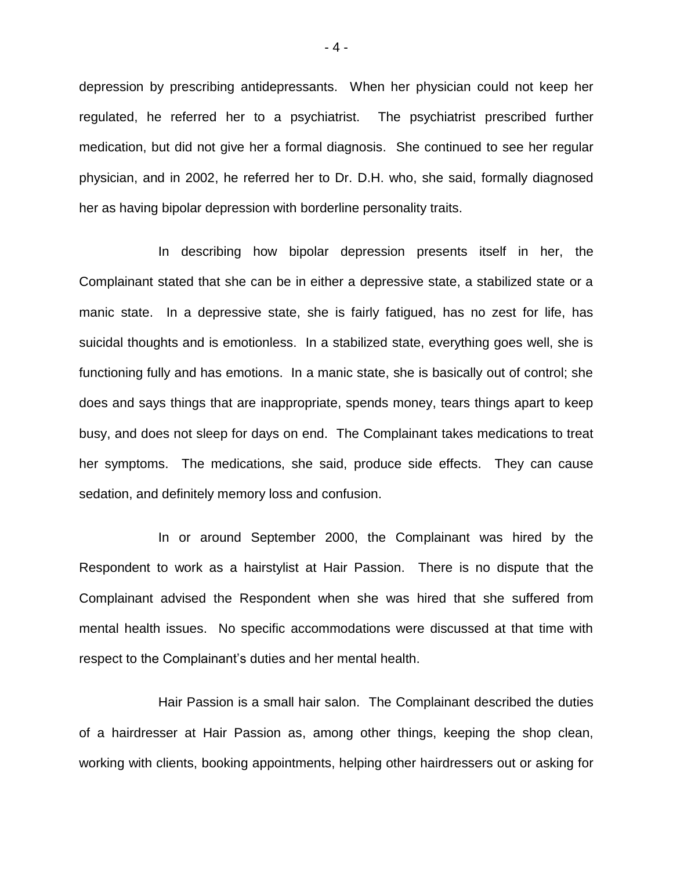depression by prescribing antidepressants. When her physician could not keep her regulated, he referred her to a psychiatrist. The psychiatrist prescribed further medication, but did not give her a formal diagnosis. She continued to see her regular physician, and in 2002, he referred her to Dr. D.H. who, she said, formally diagnosed her as having bipolar depression with borderline personality traits.

In describing how bipolar depression presents itself in her, the Complainant stated that she can be in either a depressive state, a stabilized state or a manic state. In a depressive state, she is fairly fatigued, has no zest for life, has suicidal thoughts and is emotionless. In a stabilized state, everything goes well, she is functioning fully and has emotions. In a manic state, she is basically out of control; she does and says things that are inappropriate, spends money, tears things apart to keep busy, and does not sleep for days on end. The Complainant takes medications to treat her symptoms. The medications, she said, produce side effects. They can cause sedation, and definitely memory loss and confusion.

In or around September 2000, the Complainant was hired by the Respondent to work as a hairstylist at Hair Passion. There is no dispute that the Complainant advised the Respondent when she was hired that she suffered from mental health issues. No specific accommodations were discussed at that time with respect to the Complainant's duties and her mental health.

Hair Passion is a small hair salon. The Complainant described the duties of a hairdresser at Hair Passion as, among other things, keeping the shop clean, working with clients, booking appointments, helping other hairdressers out or asking for

- 4 -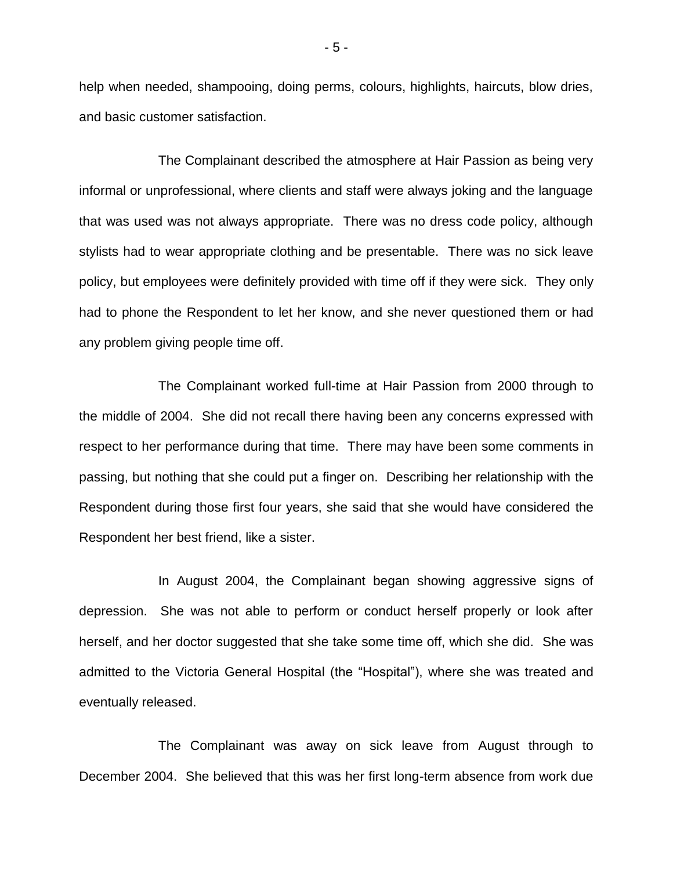help when needed, shampooing, doing perms, colours, highlights, haircuts, blow dries, and basic customer satisfaction.

The Complainant described the atmosphere at Hair Passion as being very informal or unprofessional, where clients and staff were always joking and the language that was used was not always appropriate. There was no dress code policy, although stylists had to wear appropriate clothing and be presentable. There was no sick leave policy, but employees were definitely provided with time off if they were sick. They only had to phone the Respondent to let her know, and she never questioned them or had any problem giving people time off.

The Complainant worked full-time at Hair Passion from 2000 through to the middle of 2004. She did not recall there having been any concerns expressed with respect to her performance during that time. There may have been some comments in passing, but nothing that she could put a finger on. Describing her relationship with the Respondent during those first four years, she said that she would have considered the Respondent her best friend, like a sister.

In August 2004, the Complainant began showing aggressive signs of depression. She was not able to perform or conduct herself properly or look after herself, and her doctor suggested that she take some time off, which she did. She was admitted to the Victoria General Hospital (the "Hospital"), where she was treated and eventually released.

The Complainant was away on sick leave from August through to December 2004. She believed that this was her first long-term absence from work due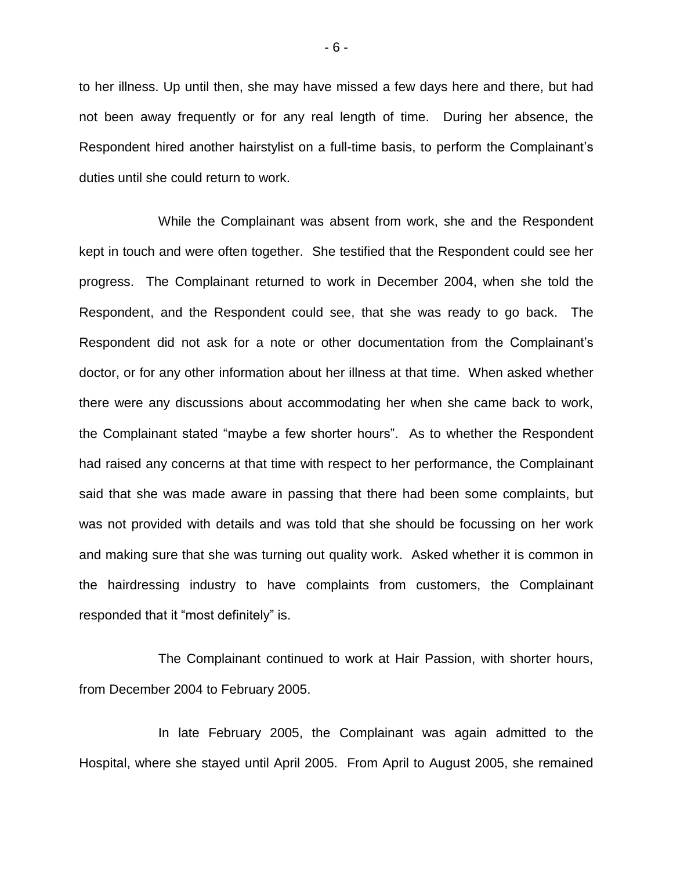to her illness. Up until then, she may have missed a few days here and there, but had not been away frequently or for any real length of time. During her absence, the Respondent hired another hairstylist on a full-time basis, to perform the Complainant's duties until she could return to work.

While the Complainant was absent from work, she and the Respondent kept in touch and were often together. She testified that the Respondent could see her progress. The Complainant returned to work in December 2004, when she told the Respondent, and the Respondent could see, that she was ready to go back. The Respondent did not ask for a note or other documentation from the Complainant's doctor, or for any other information about her illness at that time. When asked whether there were any discussions about accommodating her when she came back to work, the Complainant stated "maybe a few shorter hours". As to whether the Respondent had raised any concerns at that time with respect to her performance, the Complainant said that she was made aware in passing that there had been some complaints, but was not provided with details and was told that she should be focussing on her work and making sure that she was turning out quality work. Asked whether it is common in the hairdressing industry to have complaints from customers, the Complainant responded that it "most definitely" is.

The Complainant continued to work at Hair Passion, with shorter hours, from December 2004 to February 2005.

In late February 2005, the Complainant was again admitted to the Hospital, where she stayed until April 2005. From April to August 2005, she remained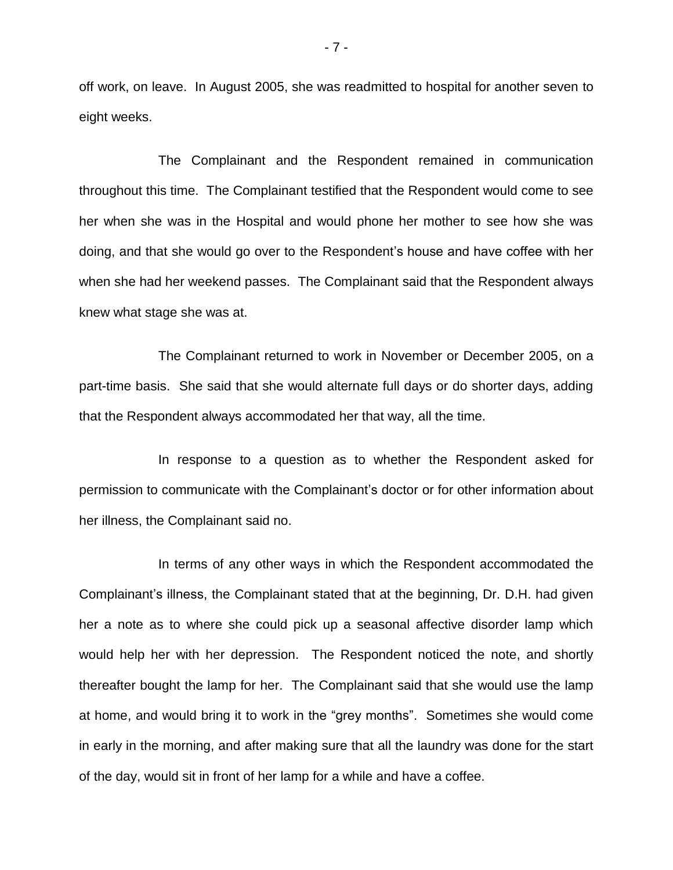off work, on leave. In August 2005, she was readmitted to hospital for another seven to eight weeks.

The Complainant and the Respondent remained in communication throughout this time. The Complainant testified that the Respondent would come to see her when she was in the Hospital and would phone her mother to see how she was doing, and that she would go over to the Respondent's house and have coffee with her when she had her weekend passes. The Complainant said that the Respondent always knew what stage she was at.

The Complainant returned to work in November or December 2005, on a part-time basis. She said that she would alternate full days or do shorter days, adding that the Respondent always accommodated her that way, all the time.

In response to a question as to whether the Respondent asked for permission to communicate with the Complainant's doctor or for other information about her illness, the Complainant said no.

In terms of any other ways in which the Respondent accommodated the Complainant's illness, the Complainant stated that at the beginning, Dr. D.H. had given her a note as to where she could pick up a seasonal affective disorder lamp which would help her with her depression. The Respondent noticed the note, and shortly thereafter bought the lamp for her. The Complainant said that she would use the lamp at home, and would bring it to work in the "grey months". Sometimes she would come in early in the morning, and after making sure that all the laundry was done for the start of the day, would sit in front of her lamp for a while and have a coffee.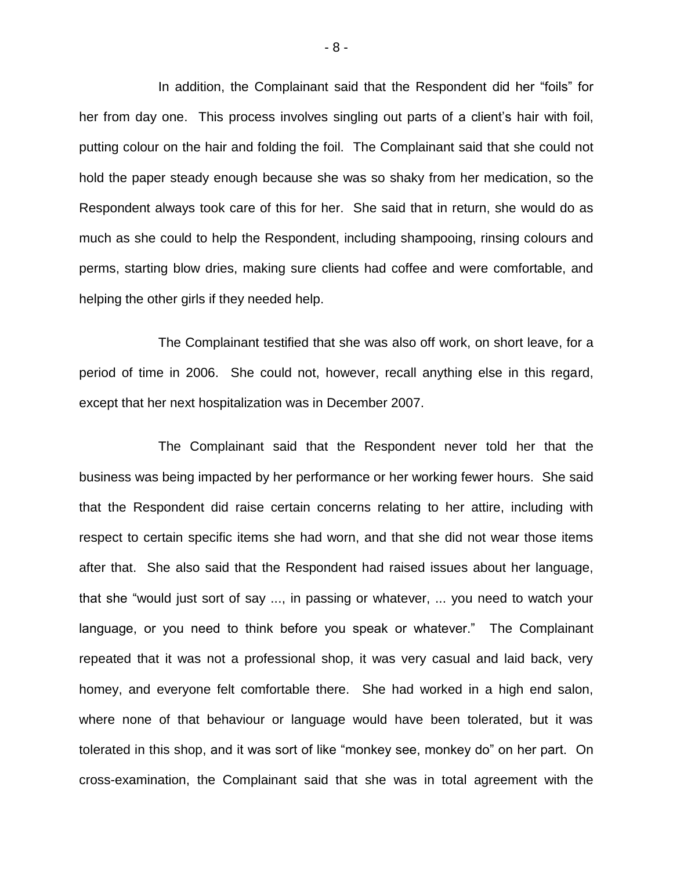In addition, the Complainant said that the Respondent did her "foils" for her from day one. This process involves singling out parts of a client's hair with foil, putting colour on the hair and folding the foil. The Complainant said that she could not hold the paper steady enough because she was so shaky from her medication, so the Respondent always took care of this for her. She said that in return, she would do as much as she could to help the Respondent, including shampooing, rinsing colours and perms, starting blow dries, making sure clients had coffee and were comfortable, and helping the other girls if they needed help.

The Complainant testified that she was also off work, on short leave, for a period of time in 2006. She could not, however, recall anything else in this regard, except that her next hospitalization was in December 2007.

The Complainant said that the Respondent never told her that the business was being impacted by her performance or her working fewer hours. She said that the Respondent did raise certain concerns relating to her attire, including with respect to certain specific items she had worn, and that she did not wear those items after that. She also said that the Respondent had raised issues about her language, that she "would just sort of say ..., in passing or whatever, ... you need to watch your language, or you need to think before you speak or whatever." The Complainant repeated that it was not a professional shop, it was very casual and laid back, very homey, and everyone felt comfortable there. She had worked in a high end salon, where none of that behaviour or language would have been tolerated, but it was tolerated in this shop, and it was sort of like "monkey see, monkey do" on her part. On cross-examination, the Complainant said that she was in total agreement with the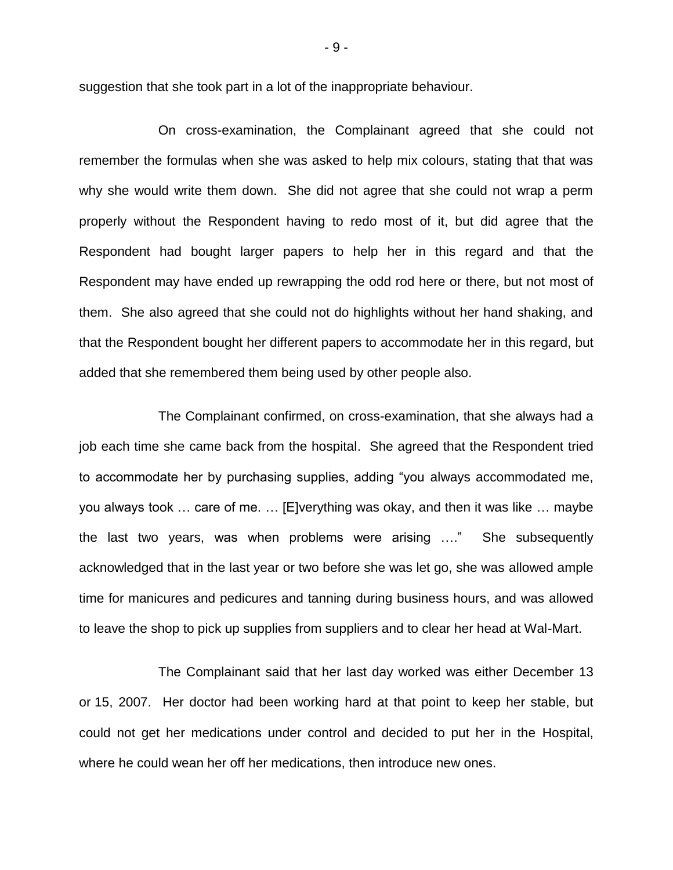suggestion that she took part in a lot of the inappropriate behaviour.

On cross-examination, the Complainant agreed that she could not remember the formulas when she was asked to help mix colours, stating that that was why she would write them down. She did not agree that she could not wrap a perm properly without the Respondent having to redo most of it, but did agree that the Respondent had bought larger papers to help her in this regard and that the Respondent may have ended up rewrapping the odd rod here or there, but not most of them. She also agreed that she could not do highlights without her hand shaking, and that the Respondent bought her different papers to accommodate her in this regard, but added that she remembered them being used by other people also.

The Complainant confirmed, on cross-examination, that she always had a job each time she came back from the hospital. She agreed that the Respondent tried to accommodate her by purchasing supplies, adding "you always accommodated me, you always took … care of me. … [E]verything was okay, and then it was like … maybe the last two years, was when problems were arising …." She subsequently acknowledged that in the last year or two before she was let go, she was allowed ample time for manicures and pedicures and tanning during business hours, and was allowed to leave the shop to pick up supplies from suppliers and to clear her head at Wal-Mart.

The Complainant said that her last day worked was either December 13 or 15, 2007. Her doctor had been working hard at that point to keep her stable, but could not get her medications under control and decided to put her in the Hospital, where he could wean her off her medications, then introduce new ones.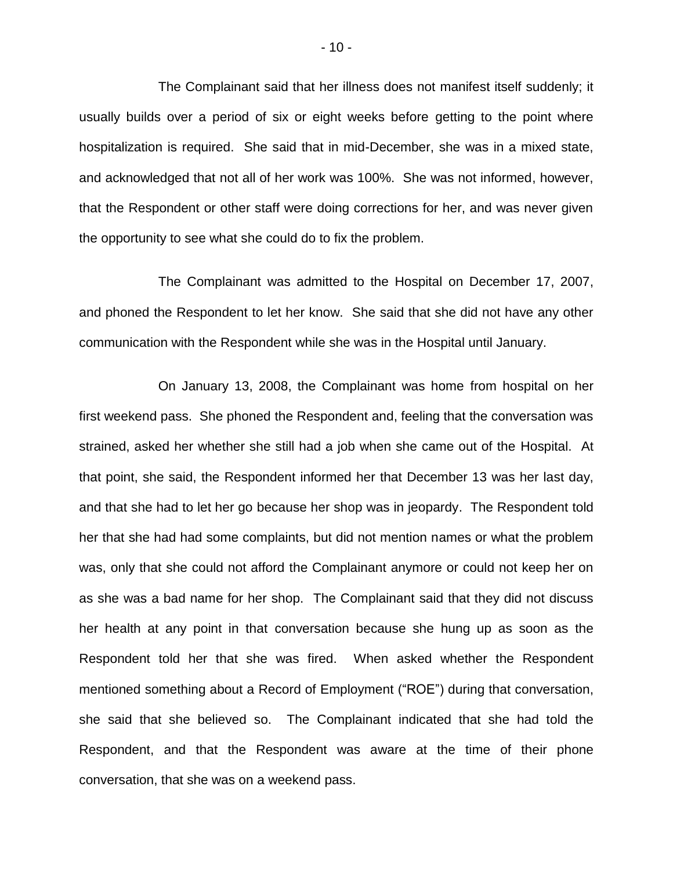The Complainant said that her illness does not manifest itself suddenly; it usually builds over a period of six or eight weeks before getting to the point where hospitalization is required. She said that in mid-December, she was in a mixed state, and acknowledged that not all of her work was 100%. She was not informed, however, that the Respondent or other staff were doing corrections for her, and was never given the opportunity to see what she could do to fix the problem.

The Complainant was admitted to the Hospital on December 17, 2007, and phoned the Respondent to let her know. She said that she did not have any other communication with the Respondent while she was in the Hospital until January.

On January 13, 2008, the Complainant was home from hospital on her first weekend pass. She phoned the Respondent and, feeling that the conversation was strained, asked her whether she still had a job when she came out of the Hospital. At that point, she said, the Respondent informed her that December 13 was her last day, and that she had to let her go because her shop was in jeopardy. The Respondent told her that she had had some complaints, but did not mention names or what the problem was, only that she could not afford the Complainant anymore or could not keep her on as she was a bad name for her shop. The Complainant said that they did not discuss her health at any point in that conversation because she hung up as soon as the Respondent told her that she was fired. When asked whether the Respondent mentioned something about a Record of Employment ("ROE") during that conversation, she said that she believed so. The Complainant indicated that she had told the Respondent, and that the Respondent was aware at the time of their phone conversation, that she was on a weekend pass.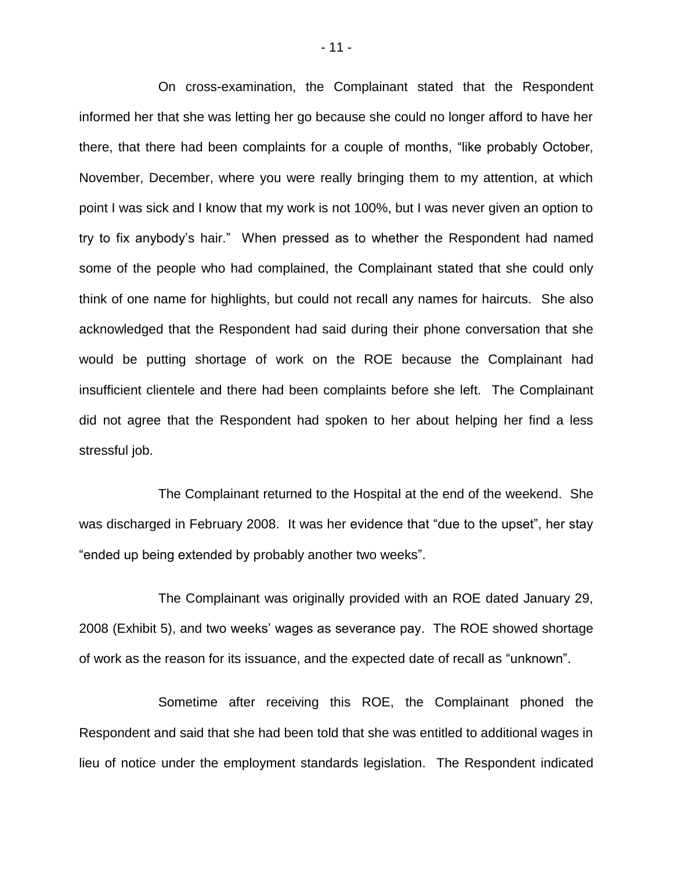On cross-examination, the Complainant stated that the Respondent informed her that she was letting her go because she could no longer afford to have her there, that there had been complaints for a couple of months, "like probably October, November, December, where you were really bringing them to my attention, at which point I was sick and I know that my work is not 100%, but I was never given an option to try to fix anybody's hair." When pressed as to whether the Respondent had named some of the people who had complained, the Complainant stated that she could only think of one name for highlights, but could not recall any names for haircuts. She also acknowledged that the Respondent had said during their phone conversation that she would be putting shortage of work on the ROE because the Complainant had insufficient clientele and there had been complaints before she left. The Complainant did not agree that the Respondent had spoken to her about helping her find a less stressful job.

The Complainant returned to the Hospital at the end of the weekend. She was discharged in February 2008. It was her evidence that "due to the upset", her stay "ended up being extended by probably another two weeks".

The Complainant was originally provided with an ROE dated January 29, 2008 (Exhibit 5), and two weeks' wages as severance pay. The ROE showed shortage of work as the reason for its issuance, and the expected date of recall as "unknown".

Sometime after receiving this ROE, the Complainant phoned the Respondent and said that she had been told that she was entitled to additional wages in lieu of notice under the employment standards legislation. The Respondent indicated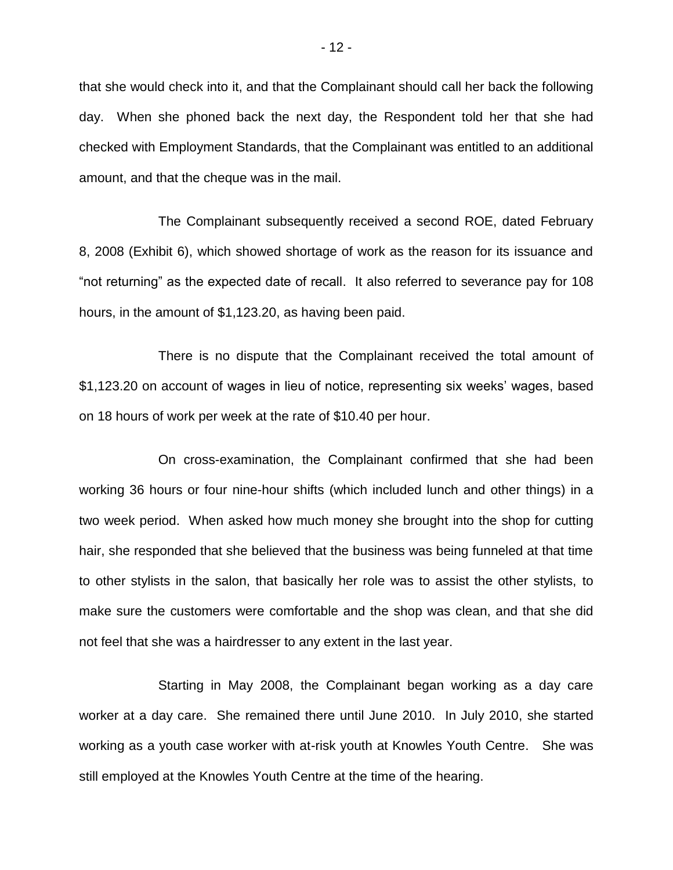that she would check into it, and that the Complainant should call her back the following day. When she phoned back the next day, the Respondent told her that she had checked with Employment Standards, that the Complainant was entitled to an additional amount, and that the cheque was in the mail.

The Complainant subsequently received a second ROE, dated February 8, 2008 (Exhibit 6), which showed shortage of work as the reason for its issuance and "not returning" as the expected date of recall. It also referred to severance pay for 108 hours, in the amount of \$1,123.20, as having been paid.

There is no dispute that the Complainant received the total amount of \$1,123.20 on account of wages in lieu of notice, representing six weeks' wages, based on 18 hours of work per week at the rate of \$10.40 per hour.

On cross-examination, the Complainant confirmed that she had been working 36 hours or four nine-hour shifts (which included lunch and other things) in a two week period. When asked how much money she brought into the shop for cutting hair, she responded that she believed that the business was being funneled at that time to other stylists in the salon, that basically her role was to assist the other stylists, to make sure the customers were comfortable and the shop was clean, and that she did not feel that she was a hairdresser to any extent in the last year.

Starting in May 2008, the Complainant began working as a day care worker at a day care. She remained there until June 2010. In July 2010, she started working as a youth case worker with at-risk youth at Knowles Youth Centre. She was still employed at the Knowles Youth Centre at the time of the hearing.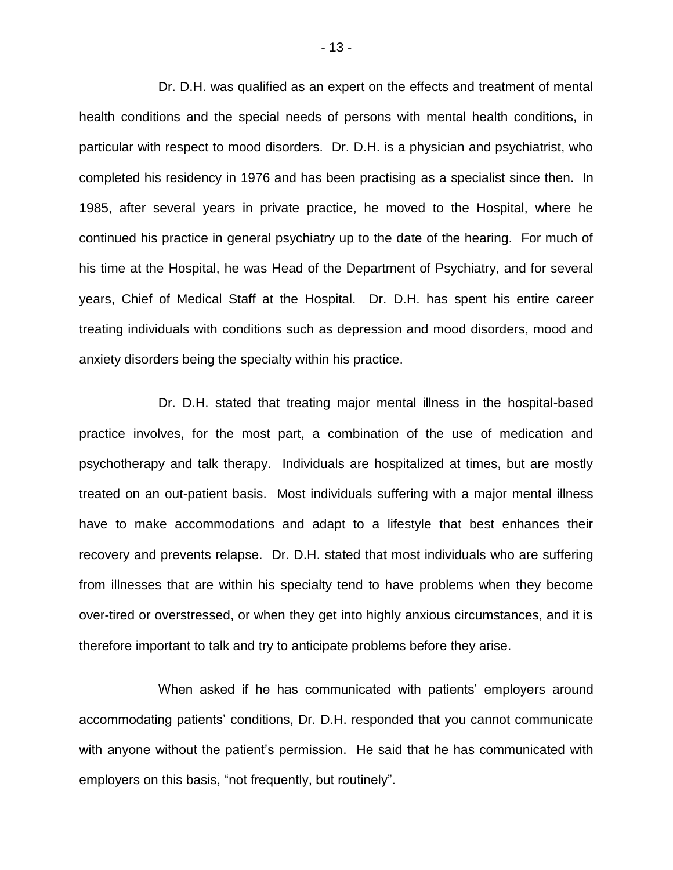Dr. D.H. was qualified as an expert on the effects and treatment of mental health conditions and the special needs of persons with mental health conditions, in particular with respect to mood disorders. Dr. D.H. is a physician and psychiatrist, who completed his residency in 1976 and has been practising as a specialist since then. In 1985, after several years in private practice, he moved to the Hospital, where he continued his practice in general psychiatry up to the date of the hearing. For much of his time at the Hospital, he was Head of the Department of Psychiatry, and for several years, Chief of Medical Staff at the Hospital. Dr. D.H. has spent his entire career treating individuals with conditions such as depression and mood disorders, mood and anxiety disorders being the specialty within his practice.

Dr. D.H. stated that treating major mental illness in the hospital-based practice involves, for the most part, a combination of the use of medication and psychotherapy and talk therapy. Individuals are hospitalized at times, but are mostly treated on an out-patient basis. Most individuals suffering with a major mental illness have to make accommodations and adapt to a lifestyle that best enhances their recovery and prevents relapse. Dr. D.H. stated that most individuals who are suffering from illnesses that are within his specialty tend to have problems when they become over-tired or overstressed, or when they get into highly anxious circumstances, and it is therefore important to talk and try to anticipate problems before they arise.

When asked if he has communicated with patients' employers around accommodating patients' conditions, Dr. D.H. responded that you cannot communicate with anyone without the patient's permission. He said that he has communicated with employers on this basis, "not frequently, but routinely".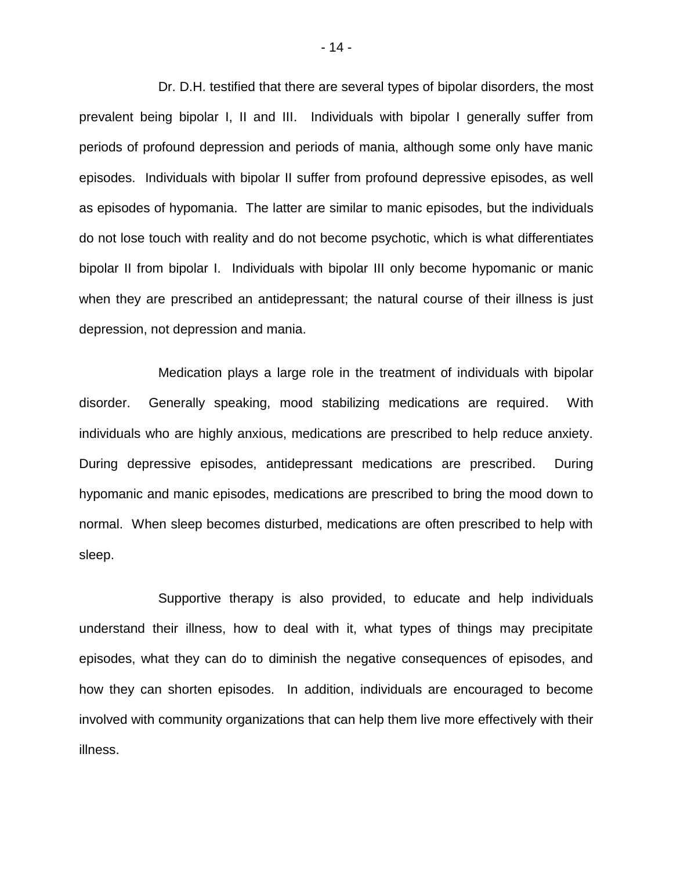Dr. D.H. testified that there are several types of bipolar disorders, the most prevalent being bipolar I, II and III. Individuals with bipolar I generally suffer from periods of profound depression and periods of mania, although some only have manic episodes. Individuals with bipolar II suffer from profound depressive episodes, as well as episodes of hypomania. The latter are similar to manic episodes, but the individuals do not lose touch with reality and do not become psychotic, which is what differentiates bipolar II from bipolar I. Individuals with bipolar III only become hypomanic or manic when they are prescribed an antidepressant; the natural course of their illness is just depression, not depression and mania.

Medication plays a large role in the treatment of individuals with bipolar disorder. Generally speaking, mood stabilizing medications are required. With individuals who are highly anxious, medications are prescribed to help reduce anxiety. During depressive episodes, antidepressant medications are prescribed. During hypomanic and manic episodes, medications are prescribed to bring the mood down to normal. When sleep becomes disturbed, medications are often prescribed to help with sleep.

Supportive therapy is also provided, to educate and help individuals understand their illness, how to deal with it, what types of things may precipitate episodes, what they can do to diminish the negative consequences of episodes, and how they can shorten episodes. In addition, individuals are encouraged to become involved with community organizations that can help them live more effectively with their illness.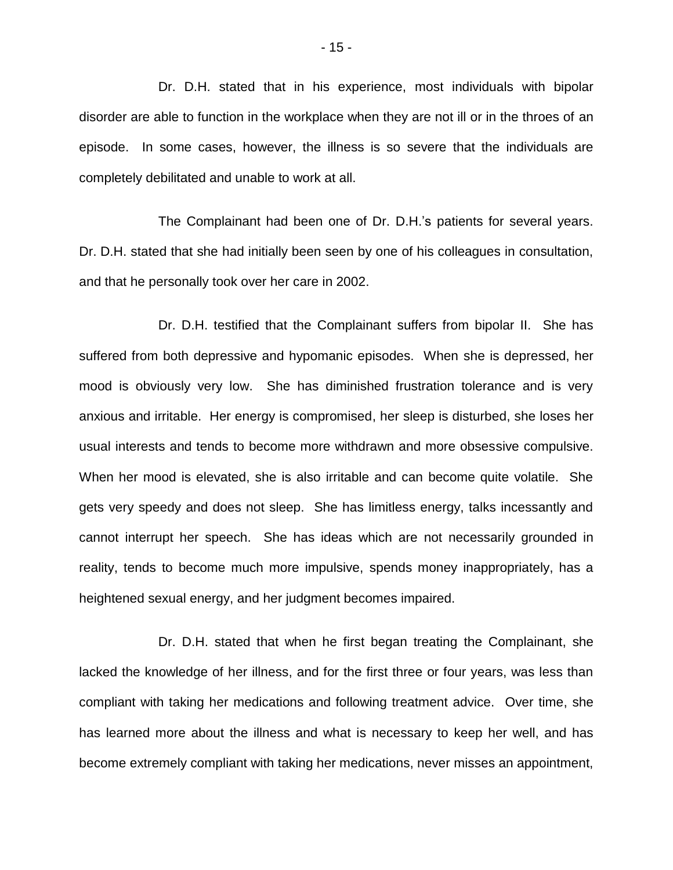Dr. D.H. stated that in his experience, most individuals with bipolar disorder are able to function in the workplace when they are not ill or in the throes of an episode. In some cases, however, the illness is so severe that the individuals are completely debilitated and unable to work at all.

The Complainant had been one of Dr. D.H.'s patients for several years. Dr. D.H. stated that she had initially been seen by one of his colleagues in consultation, and that he personally took over her care in 2002.

Dr. D.H. testified that the Complainant suffers from bipolar II. She has suffered from both depressive and hypomanic episodes. When she is depressed, her mood is obviously very low. She has diminished frustration tolerance and is very anxious and irritable. Her energy is compromised, her sleep is disturbed, she loses her usual interests and tends to become more withdrawn and more obsessive compulsive. When her mood is elevated, she is also irritable and can become quite volatile. She gets very speedy and does not sleep. She has limitless energy, talks incessantly and cannot interrupt her speech. She has ideas which are not necessarily grounded in reality, tends to become much more impulsive, spends money inappropriately, has a heightened sexual energy, and her judgment becomes impaired.

Dr. D.H. stated that when he first began treating the Complainant, she lacked the knowledge of her illness, and for the first three or four years, was less than compliant with taking her medications and following treatment advice. Over time, she has learned more about the illness and what is necessary to keep her well, and has become extremely compliant with taking her medications, never misses an appointment,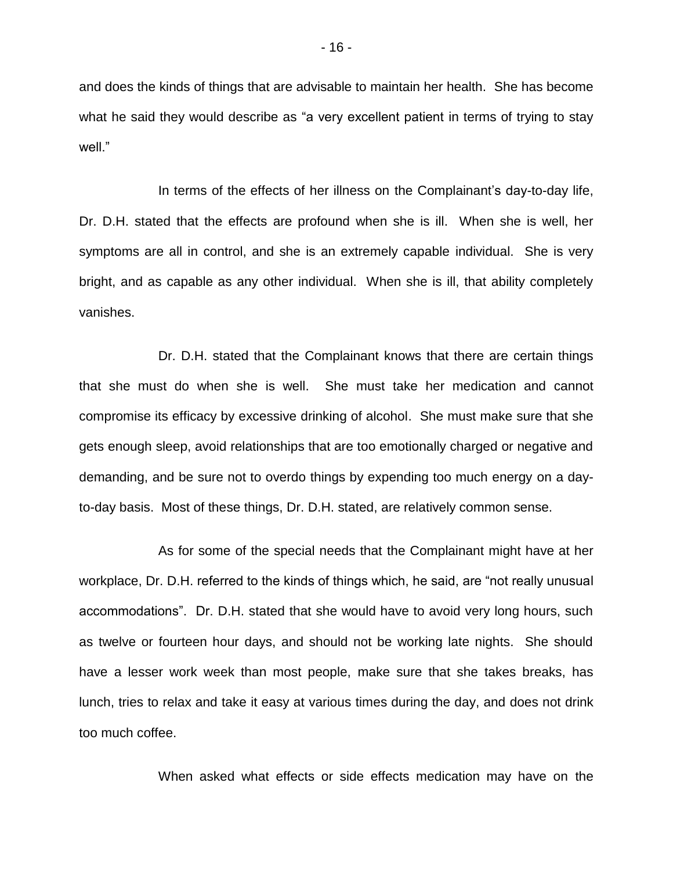and does the kinds of things that are advisable to maintain her health. She has become what he said they would describe as "a very excellent patient in terms of trying to stay well."

In terms of the effects of her illness on the Complainant's day-to-day life, Dr. D.H. stated that the effects are profound when she is ill. When she is well, her symptoms are all in control, and she is an extremely capable individual. She is very bright, and as capable as any other individual. When she is ill, that ability completely vanishes.

Dr. D.H. stated that the Complainant knows that there are certain things that she must do when she is well. She must take her medication and cannot compromise its efficacy by excessive drinking of alcohol. She must make sure that she gets enough sleep, avoid relationships that are too emotionally charged or negative and demanding, and be sure not to overdo things by expending too much energy on a dayto-day basis. Most of these things, Dr. D.H. stated, are relatively common sense.

As for some of the special needs that the Complainant might have at her workplace, Dr. D.H. referred to the kinds of things which, he said, are "not really unusual accommodations". Dr. D.H. stated that she would have to avoid very long hours, such as twelve or fourteen hour days, and should not be working late nights. She should have a lesser work week than most people, make sure that she takes breaks, has lunch, tries to relax and take it easy at various times during the day, and does not drink too much coffee.

When asked what effects or side effects medication may have on the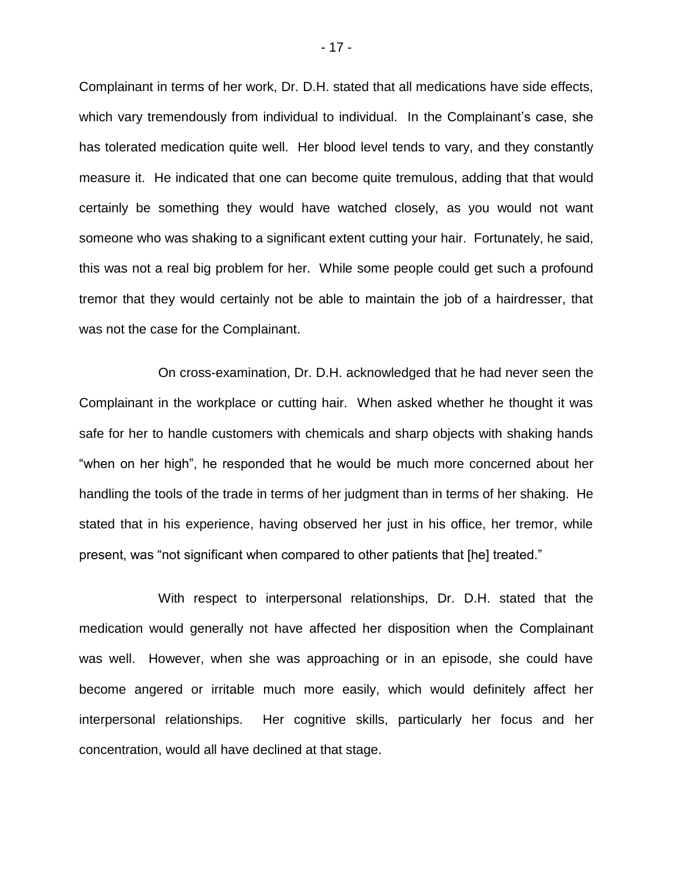Complainant in terms of her work, Dr. D.H. stated that all medications have side effects, which vary tremendously from individual to individual. In the Complainant's case, she has tolerated medication quite well. Her blood level tends to vary, and they constantly measure it. He indicated that one can become quite tremulous, adding that that would certainly be something they would have watched closely, as you would not want someone who was shaking to a significant extent cutting your hair. Fortunately, he said, this was not a real big problem for her. While some people could get such a profound tremor that they would certainly not be able to maintain the job of a hairdresser, that was not the case for the Complainant.

On cross-examination, Dr. D.H. acknowledged that he had never seen the Complainant in the workplace or cutting hair. When asked whether he thought it was safe for her to handle customers with chemicals and sharp objects with shaking hands "when on her high", he responded that he would be much more concerned about her handling the tools of the trade in terms of her judgment than in terms of her shaking. He stated that in his experience, having observed her just in his office, her tremor, while present, was "not significant when compared to other patients that [he] treated."

With respect to interpersonal relationships, Dr. D.H. stated that the medication would generally not have affected her disposition when the Complainant was well. However, when she was approaching or in an episode, she could have become angered or irritable much more easily, which would definitely affect her interpersonal relationships. Her cognitive skills, particularly her focus and her concentration, would all have declined at that stage.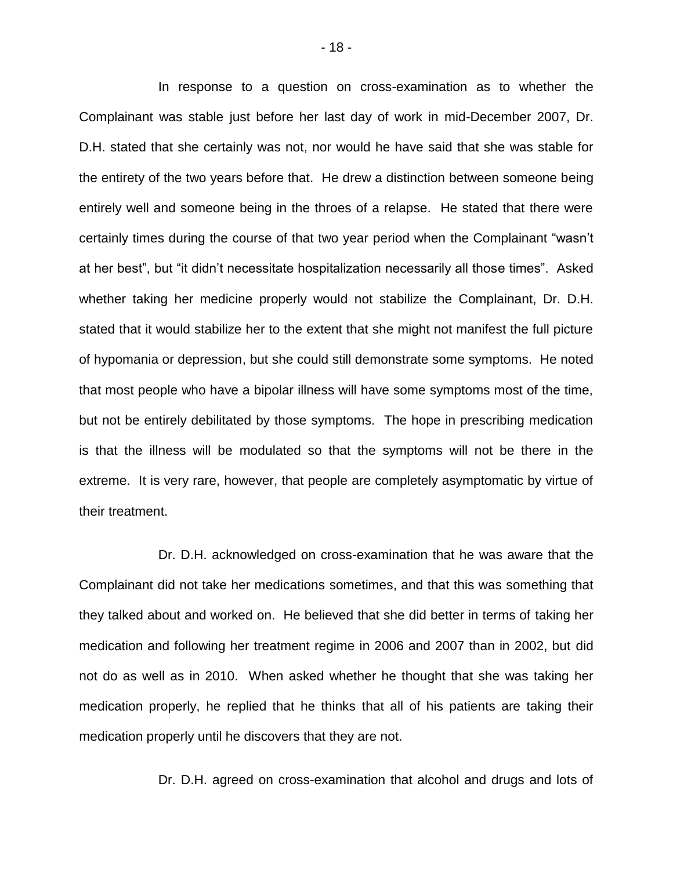In response to a question on cross-examination as to whether the Complainant was stable just before her last day of work in mid-December 2007, Dr. D.H. stated that she certainly was not, nor would he have said that she was stable for the entirety of the two years before that. He drew a distinction between someone being entirely well and someone being in the throes of a relapse. He stated that there were certainly times during the course of that two year period when the Complainant "wasn't at her best", but "it didn't necessitate hospitalization necessarily all those times". Asked whether taking her medicine properly would not stabilize the Complainant, Dr. D.H. stated that it would stabilize her to the extent that she might not manifest the full picture of hypomania or depression, but she could still demonstrate some symptoms. He noted that most people who have a bipolar illness will have some symptoms most of the time, but not be entirely debilitated by those symptoms. The hope in prescribing medication is that the illness will be modulated so that the symptoms will not be there in the extreme. It is very rare, however, that people are completely asymptomatic by virtue of their treatment.

Dr. D.H. acknowledged on cross-examination that he was aware that the Complainant did not take her medications sometimes, and that this was something that they talked about and worked on. He believed that she did better in terms of taking her medication and following her treatment regime in 2006 and 2007 than in 2002, but did not do as well as in 2010. When asked whether he thought that she was taking her medication properly, he replied that he thinks that all of his patients are taking their medication properly until he discovers that they are not.

Dr. D.H. agreed on cross-examination that alcohol and drugs and lots of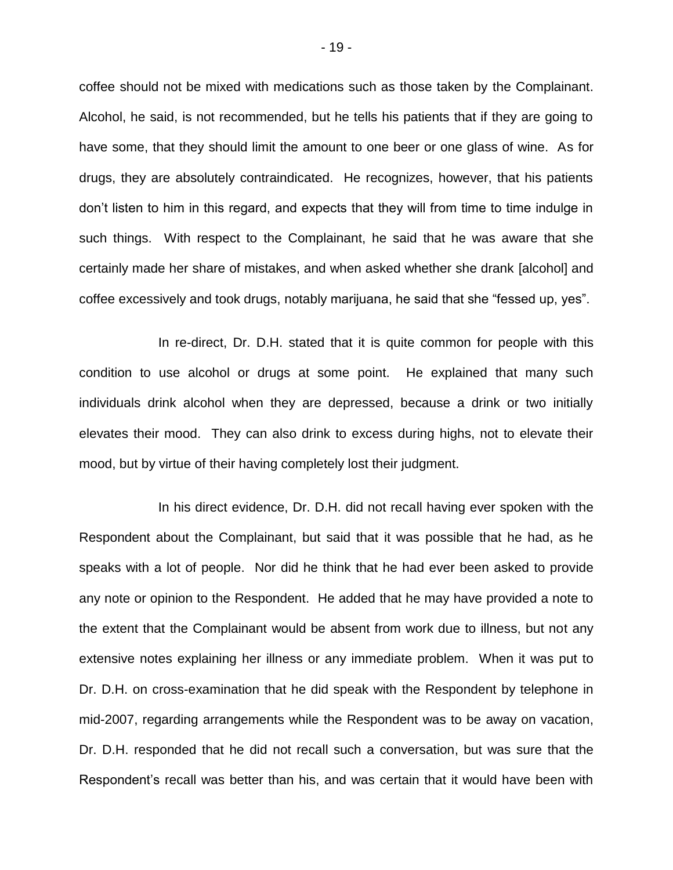coffee should not be mixed with medications such as those taken by the Complainant. Alcohol, he said, is not recommended, but he tells his patients that if they are going to have some, that they should limit the amount to one beer or one glass of wine. As for drugs, they are absolutely contraindicated. He recognizes, however, that his patients don't listen to him in this regard, and expects that they will from time to time indulge in such things. With respect to the Complainant, he said that he was aware that she certainly made her share of mistakes, and when asked whether she drank [alcohol] and coffee excessively and took drugs, notably marijuana, he said that she "fessed up, yes".

In re-direct, Dr. D.H. stated that it is quite common for people with this condition to use alcohol or drugs at some point. He explained that many such individuals drink alcohol when they are depressed, because a drink or two initially elevates their mood. They can also drink to excess during highs, not to elevate their mood, but by virtue of their having completely lost their judgment.

In his direct evidence, Dr. D.H. did not recall having ever spoken with the Respondent about the Complainant, but said that it was possible that he had, as he speaks with a lot of people. Nor did he think that he had ever been asked to provide any note or opinion to the Respondent. He added that he may have provided a note to the extent that the Complainant would be absent from work due to illness, but not any extensive notes explaining her illness or any immediate problem. When it was put to Dr. D.H. on cross-examination that he did speak with the Respondent by telephone in mid-2007, regarding arrangements while the Respondent was to be away on vacation, Dr. D.H. responded that he did not recall such a conversation, but was sure that the Respondent's recall was better than his, and was certain that it would have been with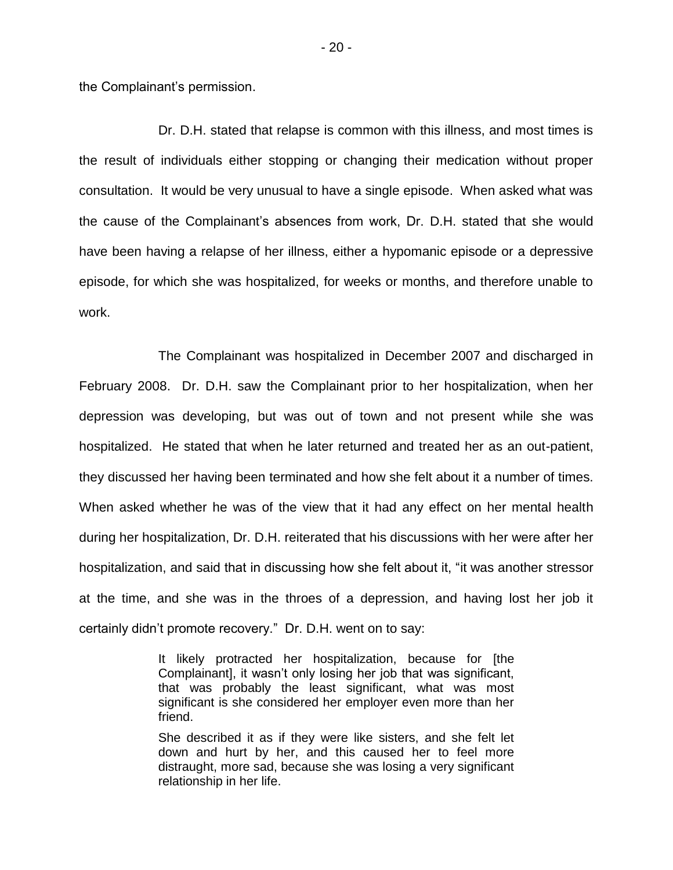the Complainant's permission.

Dr. D.H. stated that relapse is common with this illness, and most times is the result of individuals either stopping or changing their medication without proper consultation. It would be very unusual to have a single episode. When asked what was the cause of the Complainant's absences from work, Dr. D.H. stated that she would have been having a relapse of her illness, either a hypomanic episode or a depressive episode, for which she was hospitalized, for weeks or months, and therefore unable to work.

The Complainant was hospitalized in December 2007 and discharged in February 2008. Dr. D.H. saw the Complainant prior to her hospitalization, when her depression was developing, but was out of town and not present while she was hospitalized. He stated that when he later returned and treated her as an out-patient, they discussed her having been terminated and how she felt about it a number of times. When asked whether he was of the view that it had any effect on her mental health during her hospitalization, Dr. D.H. reiterated that his discussions with her were after her hospitalization, and said that in discussing how she felt about it, "it was another stressor at the time, and she was in the throes of a depression, and having lost her job it certainly didn't promote recovery." Dr. D.H. went on to say:

> It likely protracted her hospitalization, because for [the Complainant], it wasn't only losing her job that was significant, that was probably the least significant, what was most significant is she considered her employer even more than her friend.

> She described it as if they were like sisters, and she felt let down and hurt by her, and this caused her to feel more distraught, more sad, because she was losing a very significant relationship in her life.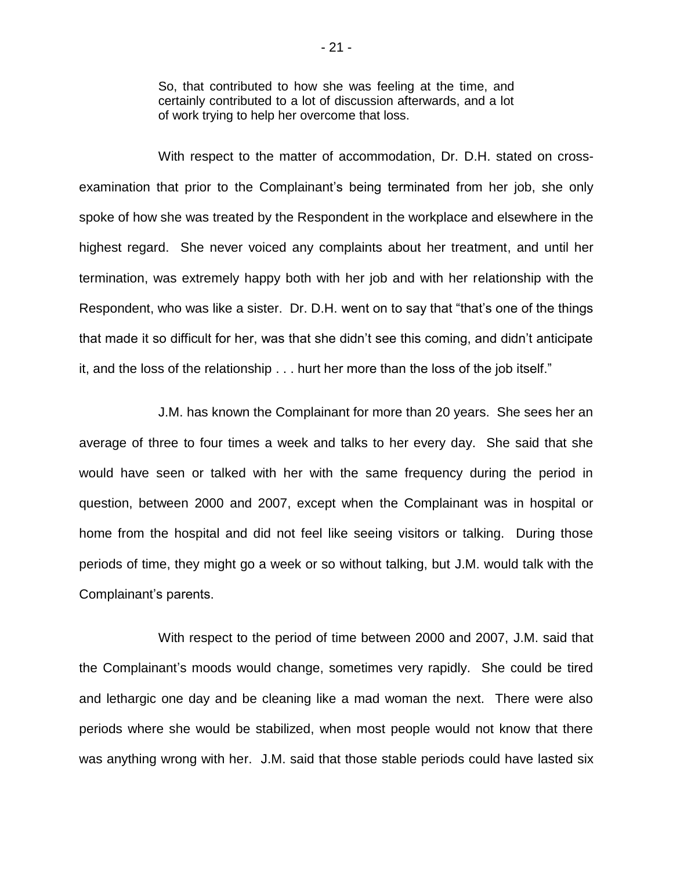So, that contributed to how she was feeling at the time, and certainly contributed to a lot of discussion afterwards, and a lot of work trying to help her overcome that loss.

With respect to the matter of accommodation, Dr. D.H. stated on crossexamination that prior to the Complainant's being terminated from her job, she only spoke of how she was treated by the Respondent in the workplace and elsewhere in the highest regard. She never voiced any complaints about her treatment, and until her termination, was extremely happy both with her job and with her relationship with the Respondent, who was like a sister. Dr. D.H. went on to say that "that's one of the things that made it so difficult for her, was that she didn't see this coming, and didn't anticipate it, and the loss of the relationship . . . hurt her more than the loss of the job itself."

J.M. has known the Complainant for more than 20 years. She sees her an average of three to four times a week and talks to her every day. She said that she would have seen or talked with her with the same frequency during the period in question, between 2000 and 2007, except when the Complainant was in hospital or home from the hospital and did not feel like seeing visitors or talking. During those periods of time, they might go a week or so without talking, but J.M. would talk with the Complainant's parents.

With respect to the period of time between 2000 and 2007, J.M. said that the Complainant's moods would change, sometimes very rapidly. She could be tired and lethargic one day and be cleaning like a mad woman the next. There were also periods where she would be stabilized, when most people would not know that there was anything wrong with her. J.M. said that those stable periods could have lasted six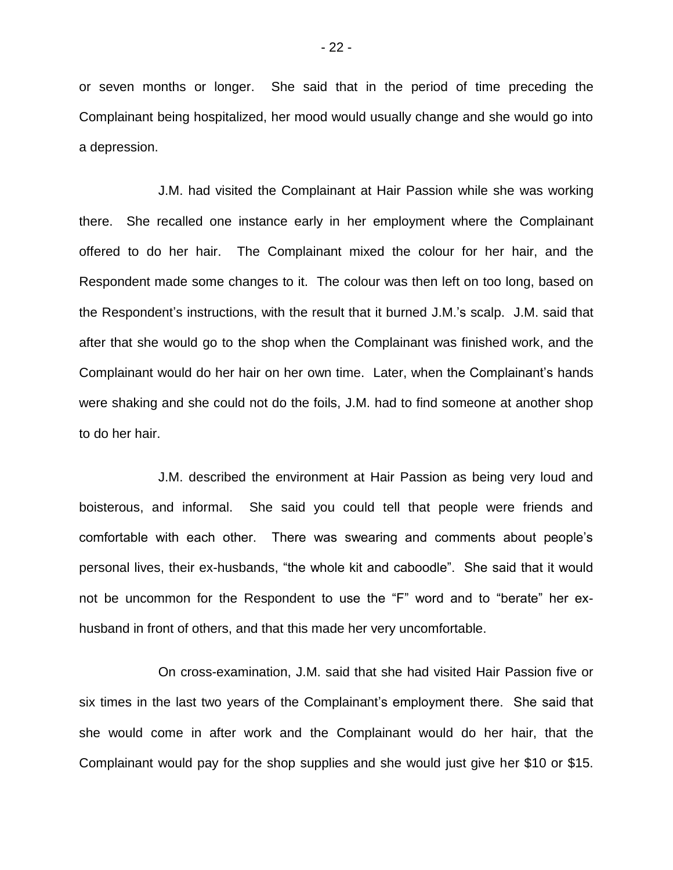or seven months or longer. She said that in the period of time preceding the Complainant being hospitalized, her mood would usually change and she would go into a depression.

J.M. had visited the Complainant at Hair Passion while she was working there. She recalled one instance early in her employment where the Complainant offered to do her hair. The Complainant mixed the colour for her hair, and the Respondent made some changes to it. The colour was then left on too long, based on the Respondent's instructions, with the result that it burned J.M.'s scalp. J.M. said that after that she would go to the shop when the Complainant was finished work, and the Complainant would do her hair on her own time. Later, when the Complainant's hands were shaking and she could not do the foils, J.M. had to find someone at another shop to do her hair.

J.M. described the environment at Hair Passion as being very loud and boisterous, and informal. She said you could tell that people were friends and comfortable with each other. There was swearing and comments about people's personal lives, their ex-husbands, "the whole kit and caboodle". She said that it would not be uncommon for the Respondent to use the "F" word and to "berate" her exhusband in front of others, and that this made her very uncomfortable.

On cross-examination, J.M. said that she had visited Hair Passion five or six times in the last two years of the Complainant's employment there. She said that she would come in after work and the Complainant would do her hair, that the Complainant would pay for the shop supplies and she would just give her \$10 or \$15.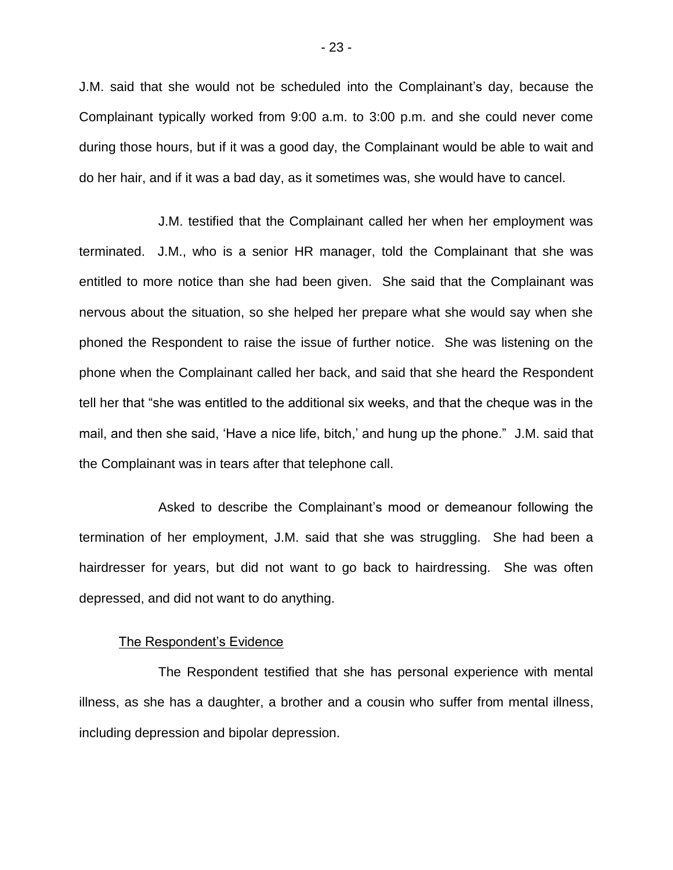J.M. said that she would not be scheduled into the Complainant's day, because the Complainant typically worked from 9:00 a.m. to 3:00 p.m. and she could never come during those hours, but if it was a good day, the Complainant would be able to wait and do her hair, and if it was a bad day, as it sometimes was, she would have to cancel.

J.M. testified that the Complainant called her when her employment was terminated. J.M., who is a senior HR manager, told the Complainant that she was entitled to more notice than she had been given. She said that the Complainant was nervous about the situation, so she helped her prepare what she would say when she phoned the Respondent to raise the issue of further notice. She was listening on the phone when the Complainant called her back, and said that she heard the Respondent tell her that "she was entitled to the additional six weeks, and that the cheque was in the mail, and then she said, 'Have a nice life, bitch,' and hung up the phone." J.M. said that the Complainant was in tears after that telephone call.

Asked to describe the Complainant's mood or demeanour following the termination of her employment, J.M. said that she was struggling. She had been a hairdresser for years, but did not want to go back to hairdressing. She was often depressed, and did not want to do anything.

#### The Respondent's Evidence

The Respondent testified that she has personal experience with mental illness, as she has a daughter, a brother and a cousin who suffer from mental illness, including depression and bipolar depression.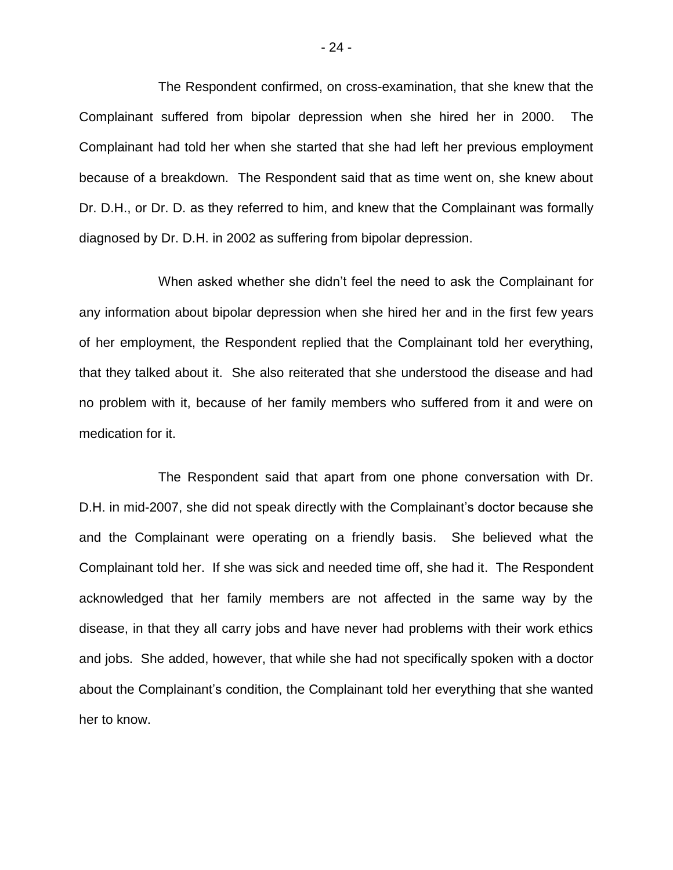The Respondent confirmed, on cross-examination, that she knew that the Complainant suffered from bipolar depression when she hired her in 2000. The Complainant had told her when she started that she had left her previous employment because of a breakdown. The Respondent said that as time went on, she knew about Dr. D.H., or Dr. D. as they referred to him, and knew that the Complainant was formally diagnosed by Dr. D.H. in 2002 as suffering from bipolar depression.

When asked whether she didn't feel the need to ask the Complainant for any information about bipolar depression when she hired her and in the first few years of her employment, the Respondent replied that the Complainant told her everything, that they talked about it. She also reiterated that she understood the disease and had no problem with it, because of her family members who suffered from it and were on medication for it.

The Respondent said that apart from one phone conversation with Dr. D.H. in mid-2007, she did not speak directly with the Complainant's doctor because she and the Complainant were operating on a friendly basis. She believed what the Complainant told her. If she was sick and needed time off, she had it. The Respondent acknowledged that her family members are not affected in the same way by the disease, in that they all carry jobs and have never had problems with their work ethics and jobs. She added, however, that while she had not specifically spoken with a doctor about the Complainant's condition, the Complainant told her everything that she wanted her to know.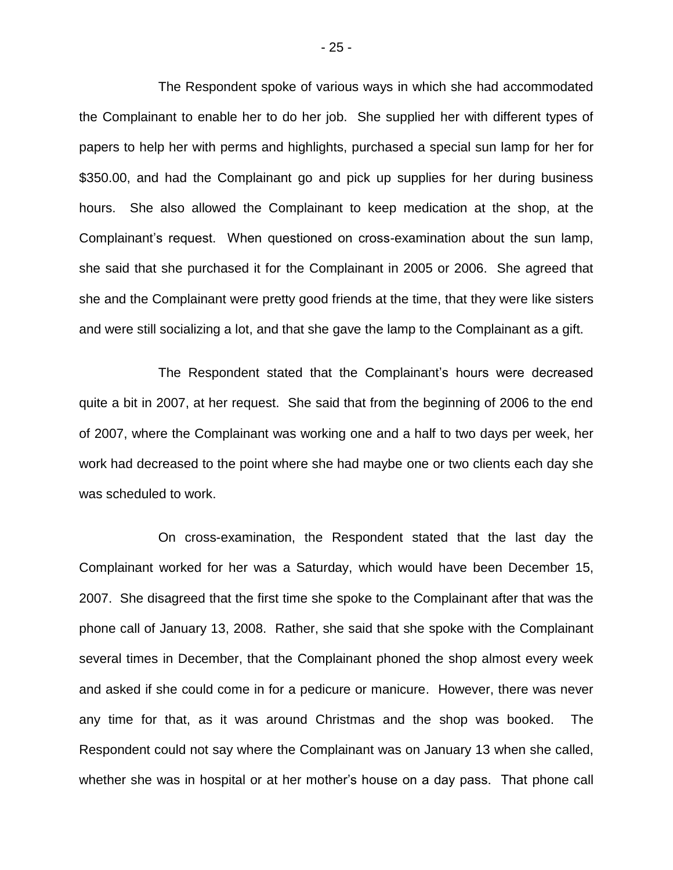The Respondent spoke of various ways in which she had accommodated the Complainant to enable her to do her job. She supplied her with different types of papers to help her with perms and highlights, purchased a special sun lamp for her for \$350.00, and had the Complainant go and pick up supplies for her during business hours. She also allowed the Complainant to keep medication at the shop, at the Complainant's request. When questioned on cross-examination about the sun lamp, she said that she purchased it for the Complainant in 2005 or 2006. She agreed that she and the Complainant were pretty good friends at the time, that they were like sisters and were still socializing a lot, and that she gave the lamp to the Complainant as a gift.

The Respondent stated that the Complainant's hours were decreased quite a bit in 2007, at her request. She said that from the beginning of 2006 to the end of 2007, where the Complainant was working one and a half to two days per week, her work had decreased to the point where she had maybe one or two clients each day she was scheduled to work.

On cross-examination, the Respondent stated that the last day the Complainant worked for her was a Saturday, which would have been December 15, 2007. She disagreed that the first time she spoke to the Complainant after that was the phone call of January 13, 2008. Rather, she said that she spoke with the Complainant several times in December, that the Complainant phoned the shop almost every week and asked if she could come in for a pedicure or manicure. However, there was never any time for that, as it was around Christmas and the shop was booked. The Respondent could not say where the Complainant was on January 13 when she called, whether she was in hospital or at her mother's house on a day pass. That phone call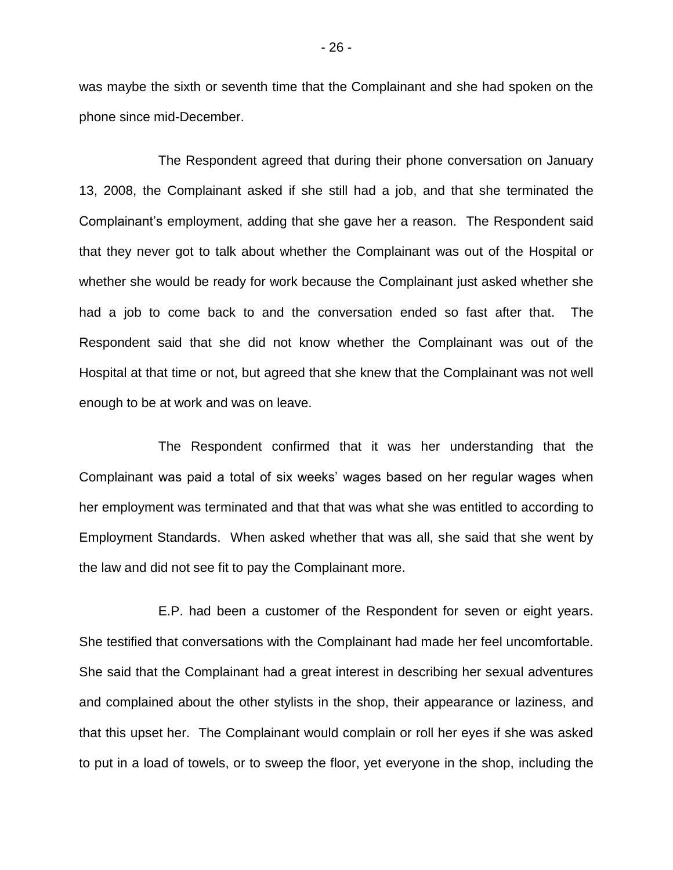was maybe the sixth or seventh time that the Complainant and she had spoken on the phone since mid-December.

The Respondent agreed that during their phone conversation on January 13, 2008, the Complainant asked if she still had a job, and that she terminated the Complainant's employment, adding that she gave her a reason. The Respondent said that they never got to talk about whether the Complainant was out of the Hospital or whether she would be ready for work because the Complainant just asked whether she had a job to come back to and the conversation ended so fast after that. The Respondent said that she did not know whether the Complainant was out of the Hospital at that time or not, but agreed that she knew that the Complainant was not well enough to be at work and was on leave.

The Respondent confirmed that it was her understanding that the Complainant was paid a total of six weeks' wages based on her regular wages when her employment was terminated and that that was what she was entitled to according to Employment Standards. When asked whether that was all, she said that she went by the law and did not see fit to pay the Complainant more.

E.P. had been a customer of the Respondent for seven or eight years. She testified that conversations with the Complainant had made her feel uncomfortable. She said that the Complainant had a great interest in describing her sexual adventures and complained about the other stylists in the shop, their appearance or laziness, and that this upset her. The Complainant would complain or roll her eyes if she was asked to put in a load of towels, or to sweep the floor, yet everyone in the shop, including the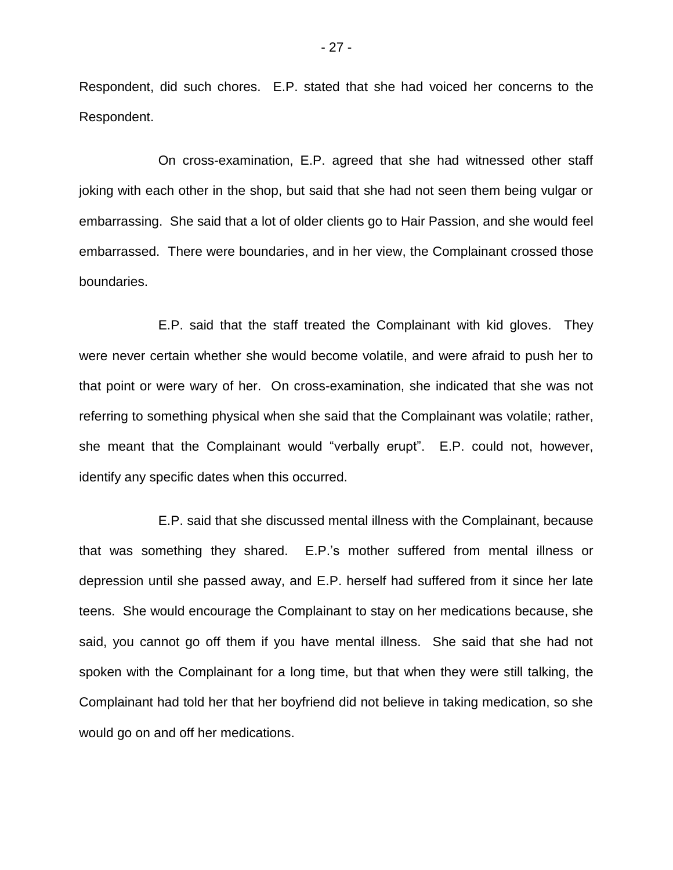Respondent, did such chores. E.P. stated that she had voiced her concerns to the Respondent.

On cross-examination, E.P. agreed that she had witnessed other staff joking with each other in the shop, but said that she had not seen them being vulgar or embarrassing. She said that a lot of older clients go to Hair Passion, and she would feel embarrassed. There were boundaries, and in her view, the Complainant crossed those boundaries.

E.P. said that the staff treated the Complainant with kid gloves. They were never certain whether she would become volatile, and were afraid to push her to that point or were wary of her. On cross-examination, she indicated that she was not referring to something physical when she said that the Complainant was volatile; rather, she meant that the Complainant would "verbally erupt". E.P. could not, however, identify any specific dates when this occurred.

E.P. said that she discussed mental illness with the Complainant, because that was something they shared. E.P.'s mother suffered from mental illness or depression until she passed away, and E.P. herself had suffered from it since her late teens. She would encourage the Complainant to stay on her medications because, she said, you cannot go off them if you have mental illness. She said that she had not spoken with the Complainant for a long time, but that when they were still talking, the Complainant had told her that her boyfriend did not believe in taking medication, so she would go on and off her medications.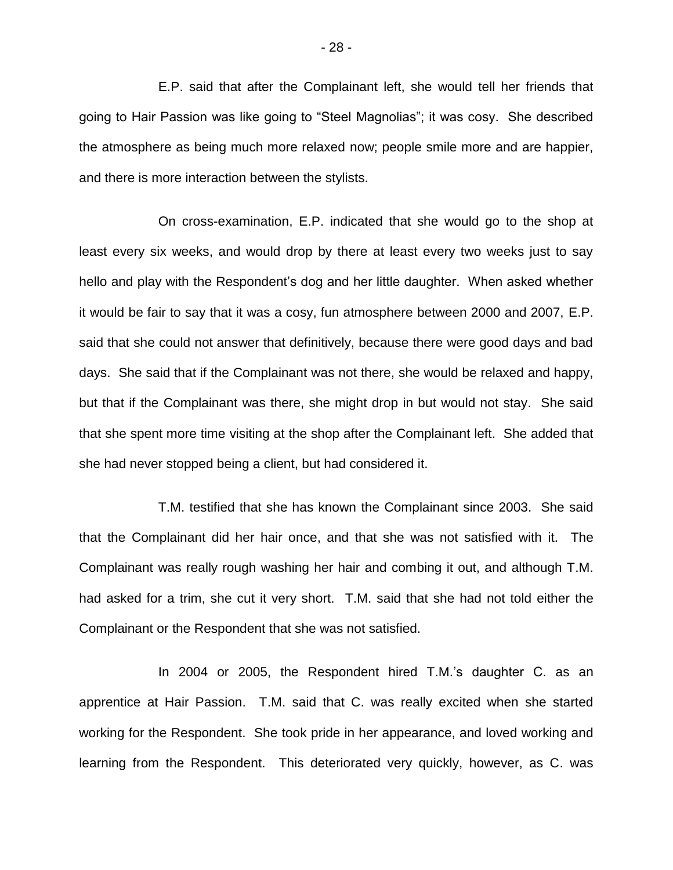E.P. said that after the Complainant left, she would tell her friends that going to Hair Passion was like going to "Steel Magnolias"; it was cosy. She described the atmosphere as being much more relaxed now; people smile more and are happier, and there is more interaction between the stylists.

On cross-examination, E.P. indicated that she would go to the shop at least every six weeks, and would drop by there at least every two weeks just to say hello and play with the Respondent's dog and her little daughter. When asked whether it would be fair to say that it was a cosy, fun atmosphere between 2000 and 2007, E.P. said that she could not answer that definitively, because there were good days and bad days. She said that if the Complainant was not there, she would be relaxed and happy, but that if the Complainant was there, she might drop in but would not stay. She said that she spent more time visiting at the shop after the Complainant left. She added that she had never stopped being a client, but had considered it.

T.M. testified that she has known the Complainant since 2003. She said that the Complainant did her hair once, and that she was not satisfied with it. The Complainant was really rough washing her hair and combing it out, and although T.M. had asked for a trim, she cut it very short. T.M. said that she had not told either the Complainant or the Respondent that she was not satisfied.

In 2004 or 2005, the Respondent hired T.M.'s daughter C. as an apprentice at Hair Passion. T.M. said that C. was really excited when she started working for the Respondent. She took pride in her appearance, and loved working and learning from the Respondent. This deteriorated very quickly, however, as C. was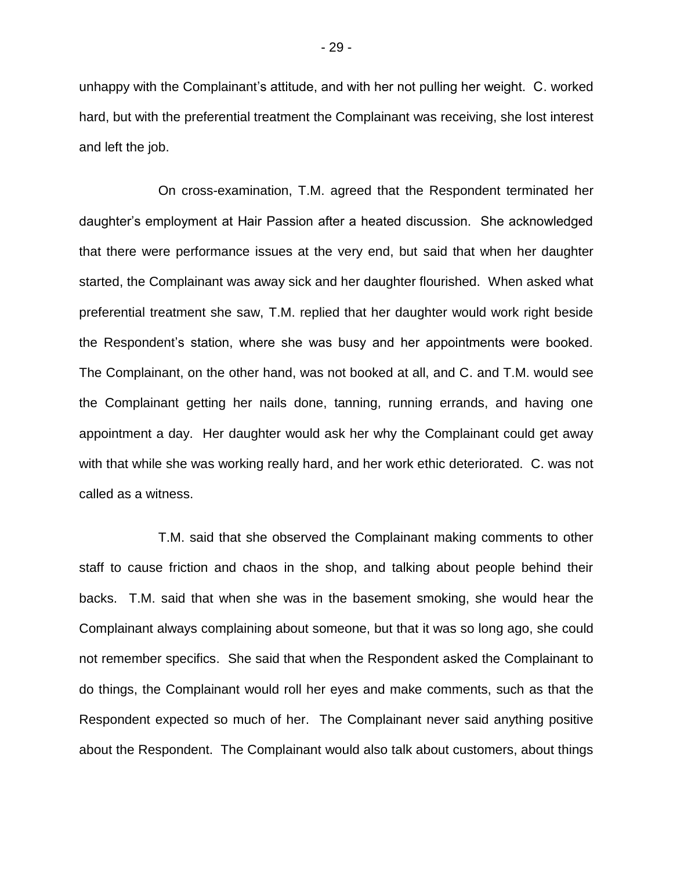unhappy with the Complainant's attitude, and with her not pulling her weight. C. worked hard, but with the preferential treatment the Complainant was receiving, she lost interest and left the job.

On cross-examination, T.M. agreed that the Respondent terminated her daughter's employment at Hair Passion after a heated discussion. She acknowledged that there were performance issues at the very end, but said that when her daughter started, the Complainant was away sick and her daughter flourished. When asked what preferential treatment she saw, T.M. replied that her daughter would work right beside the Respondent's station, where she was busy and her appointments were booked. The Complainant, on the other hand, was not booked at all, and C. and T.M. would see the Complainant getting her nails done, tanning, running errands, and having one appointment a day. Her daughter would ask her why the Complainant could get away with that while she was working really hard, and her work ethic deteriorated. C. was not called as a witness.

T.M. said that she observed the Complainant making comments to other staff to cause friction and chaos in the shop, and talking about people behind their backs. T.M. said that when she was in the basement smoking, she would hear the Complainant always complaining about someone, but that it was so long ago, she could not remember specifics. She said that when the Respondent asked the Complainant to do things, the Complainant would roll her eyes and make comments, such as that the Respondent expected so much of her. The Complainant never said anything positive about the Respondent. The Complainant would also talk about customers, about things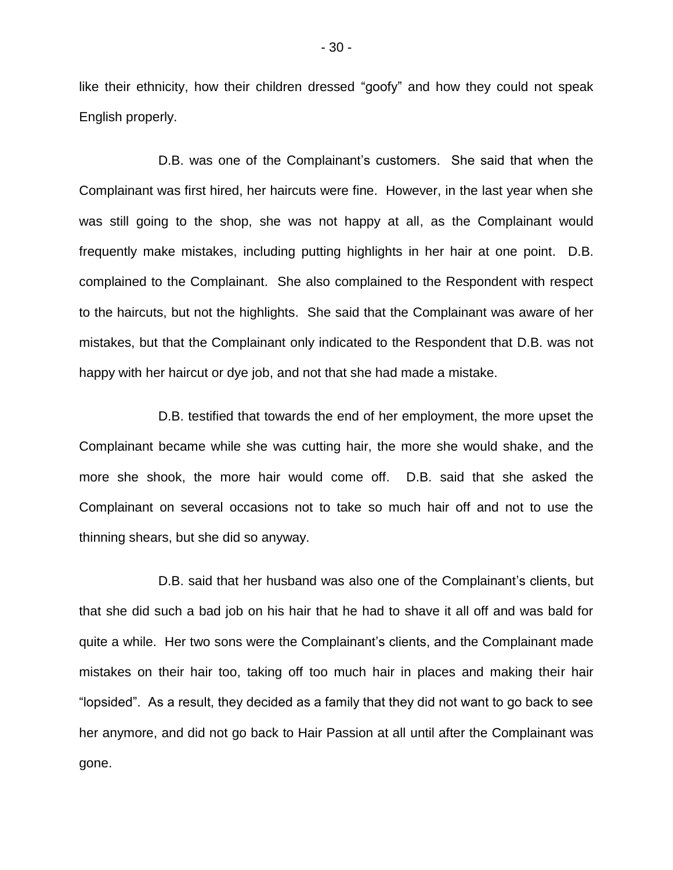like their ethnicity, how their children dressed "goofy" and how they could not speak English properly.

D.B. was one of the Complainant's customers. She said that when the Complainant was first hired, her haircuts were fine. However, in the last year when she was still going to the shop, she was not happy at all, as the Complainant would frequently make mistakes, including putting highlights in her hair at one point. D.B. complained to the Complainant. She also complained to the Respondent with respect to the haircuts, but not the highlights. She said that the Complainant was aware of her mistakes, but that the Complainant only indicated to the Respondent that D.B. was not happy with her haircut or dye job, and not that she had made a mistake.

D.B. testified that towards the end of her employment, the more upset the Complainant became while she was cutting hair, the more she would shake, and the more she shook, the more hair would come off. D.B. said that she asked the Complainant on several occasions not to take so much hair off and not to use the thinning shears, but she did so anyway.

D.B. said that her husband was also one of the Complainant's clients, but that she did such a bad job on his hair that he had to shave it all off and was bald for quite a while. Her two sons were the Complainant's clients, and the Complainant made mistakes on their hair too, taking off too much hair in places and making their hair "lopsided". As a result, they decided as a family that they did not want to go back to see her anymore, and did not go back to Hair Passion at all until after the Complainant was gone.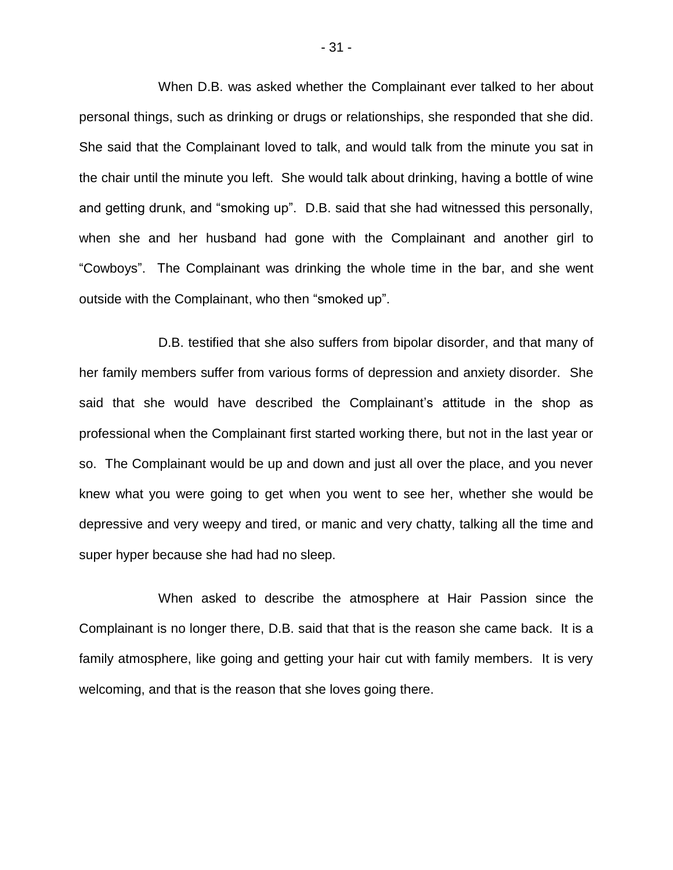When D.B. was asked whether the Complainant ever talked to her about personal things, such as drinking or drugs or relationships, she responded that she did. She said that the Complainant loved to talk, and would talk from the minute you sat in the chair until the minute you left. She would talk about drinking, having a bottle of wine and getting drunk, and "smoking up". D.B. said that she had witnessed this personally, when she and her husband had gone with the Complainant and another girl to "Cowboys". The Complainant was drinking the whole time in the bar, and she went outside with the Complainant, who then "smoked up".

D.B. testified that she also suffers from bipolar disorder, and that many of her family members suffer from various forms of depression and anxiety disorder. She said that she would have described the Complainant's attitude in the shop as professional when the Complainant first started working there, but not in the last year or so. The Complainant would be up and down and just all over the place, and you never knew what you were going to get when you went to see her, whether she would be depressive and very weepy and tired, or manic and very chatty, talking all the time and super hyper because she had had no sleep.

When asked to describe the atmosphere at Hair Passion since the Complainant is no longer there, D.B. said that that is the reason she came back. It is a family atmosphere, like going and getting your hair cut with family members. It is very welcoming, and that is the reason that she loves going there.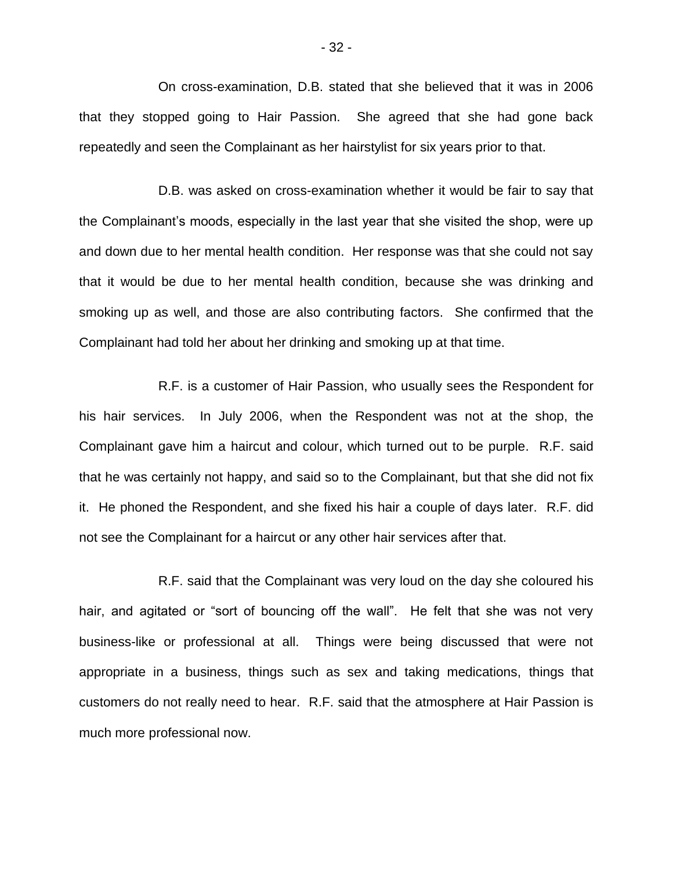On cross-examination, D.B. stated that she believed that it was in 2006 that they stopped going to Hair Passion. She agreed that she had gone back repeatedly and seen the Complainant as her hairstylist for six years prior to that.

D.B. was asked on cross-examination whether it would be fair to say that the Complainant's moods, especially in the last year that she visited the shop, were up and down due to her mental health condition. Her response was that she could not say that it would be due to her mental health condition, because she was drinking and smoking up as well, and those are also contributing factors. She confirmed that the Complainant had told her about her drinking and smoking up at that time.

R.F. is a customer of Hair Passion, who usually sees the Respondent for his hair services. In July 2006, when the Respondent was not at the shop, the Complainant gave him a haircut and colour, which turned out to be purple. R.F. said that he was certainly not happy, and said so to the Complainant, but that she did not fix it. He phoned the Respondent, and she fixed his hair a couple of days later. R.F. did not see the Complainant for a haircut or any other hair services after that.

R.F. said that the Complainant was very loud on the day she coloured his hair, and agitated or "sort of bouncing off the wall". He felt that she was not very business-like or professional at all. Things were being discussed that were not appropriate in a business, things such as sex and taking medications, things that customers do not really need to hear. R.F. said that the atmosphere at Hair Passion is much more professional now.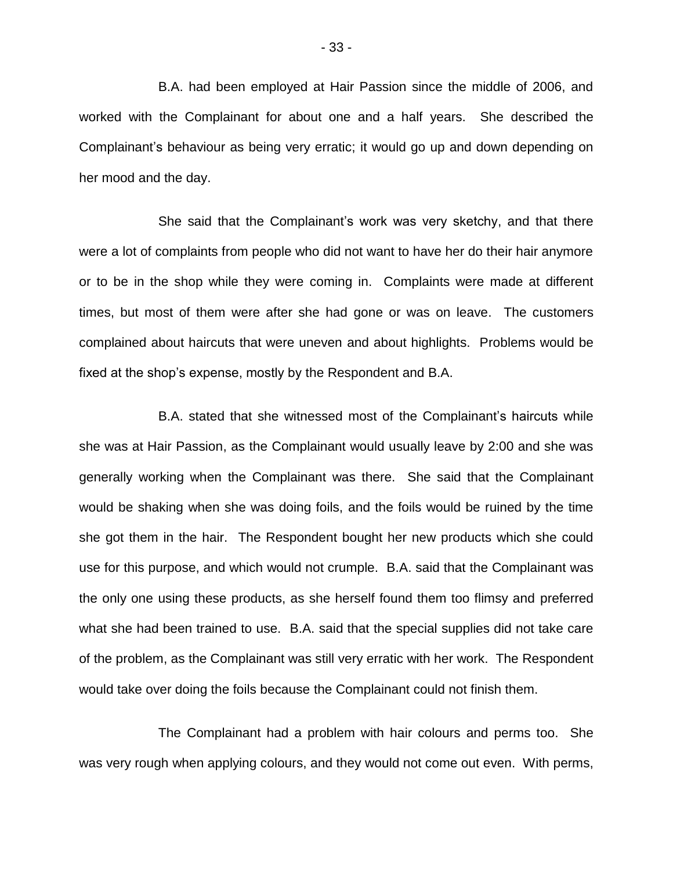B.A. had been employed at Hair Passion since the middle of 2006, and worked with the Complainant for about one and a half years. She described the Complainant's behaviour as being very erratic; it would go up and down depending on her mood and the day.

She said that the Complainant's work was very sketchy, and that there were a lot of complaints from people who did not want to have her do their hair anymore or to be in the shop while they were coming in. Complaints were made at different times, but most of them were after she had gone or was on leave. The customers complained about haircuts that were uneven and about highlights. Problems would be fixed at the shop's expense, mostly by the Respondent and B.A.

B.A. stated that she witnessed most of the Complainant's haircuts while she was at Hair Passion, as the Complainant would usually leave by 2:00 and she was generally working when the Complainant was there. She said that the Complainant would be shaking when she was doing foils, and the foils would be ruined by the time she got them in the hair. The Respondent bought her new products which she could use for this purpose, and which would not crumple. B.A. said that the Complainant was the only one using these products, as she herself found them too flimsy and preferred what she had been trained to use. B.A. said that the special supplies did not take care of the problem, as the Complainant was still very erratic with her work. The Respondent would take over doing the foils because the Complainant could not finish them.

The Complainant had a problem with hair colours and perms too. She was very rough when applying colours, and they would not come out even. With perms,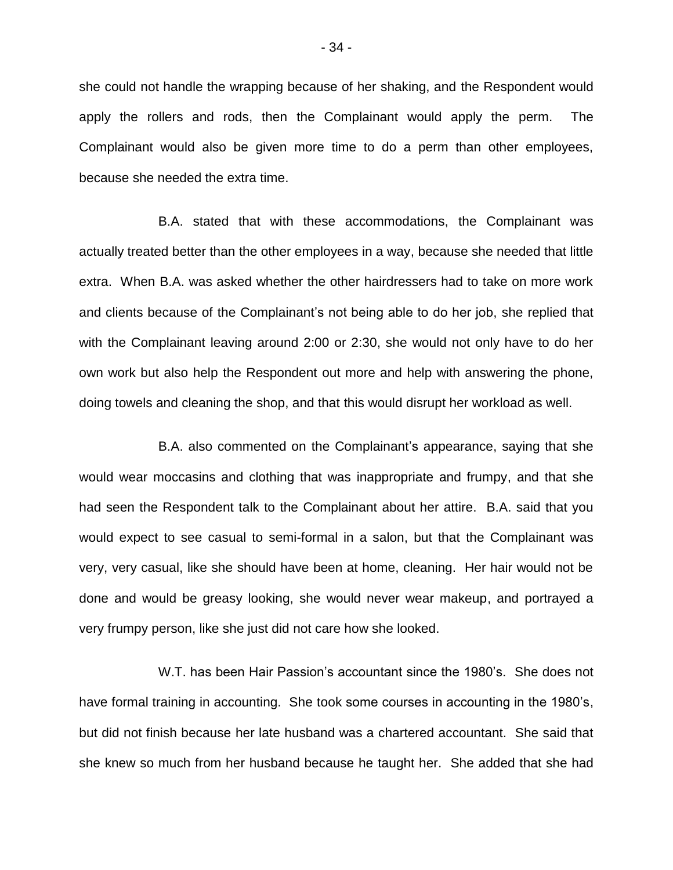she could not handle the wrapping because of her shaking, and the Respondent would apply the rollers and rods, then the Complainant would apply the perm. The Complainant would also be given more time to do a perm than other employees, because she needed the extra time.

B.A. stated that with these accommodations, the Complainant was actually treated better than the other employees in a way, because she needed that little extra. When B.A. was asked whether the other hairdressers had to take on more work and clients because of the Complainant's not being able to do her job, she replied that with the Complainant leaving around 2:00 or 2:30, she would not only have to do her own work but also help the Respondent out more and help with answering the phone, doing towels and cleaning the shop, and that this would disrupt her workload as well.

B.A. also commented on the Complainant's appearance, saying that she would wear moccasins and clothing that was inappropriate and frumpy, and that she had seen the Respondent talk to the Complainant about her attire. B.A. said that you would expect to see casual to semi-formal in a salon, but that the Complainant was very, very casual, like she should have been at home, cleaning. Her hair would not be done and would be greasy looking, she would never wear makeup, and portrayed a very frumpy person, like she just did not care how she looked.

W.T. has been Hair Passion's accountant since the 1980's. She does not have formal training in accounting. She took some courses in accounting in the 1980's, but did not finish because her late husband was a chartered accountant. She said that she knew so much from her husband because he taught her. She added that she had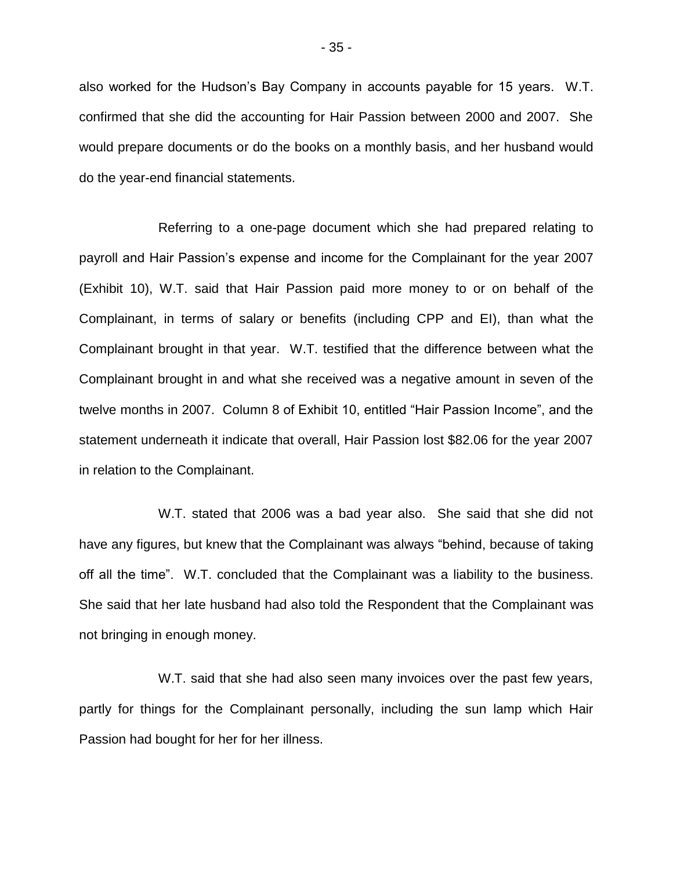also worked for the Hudson's Bay Company in accounts payable for 15 years. W.T. confirmed that she did the accounting for Hair Passion between 2000 and 2007. She would prepare documents or do the books on a monthly basis, and her husband would do the year-end financial statements.

Referring to a one-page document which she had prepared relating to payroll and Hair Passion's expense and income for the Complainant for the year 2007 (Exhibit 10), W.T. said that Hair Passion paid more money to or on behalf of the Complainant, in terms of salary or benefits (including CPP and EI), than what the Complainant brought in that year. W.T. testified that the difference between what the Complainant brought in and what she received was a negative amount in seven of the twelve months in 2007. Column 8 of Exhibit 10, entitled "Hair Passion Income", and the statement underneath it indicate that overall, Hair Passion lost \$82.06 for the year 2007 in relation to the Complainant.

W.T. stated that 2006 was a bad year also. She said that she did not have any figures, but knew that the Complainant was always "behind, because of taking off all the time". W.T. concluded that the Complainant was a liability to the business. She said that her late husband had also told the Respondent that the Complainant was not bringing in enough money.

W.T. said that she had also seen many invoices over the past few years, partly for things for the Complainant personally, including the sun lamp which Hair Passion had bought for her for her illness.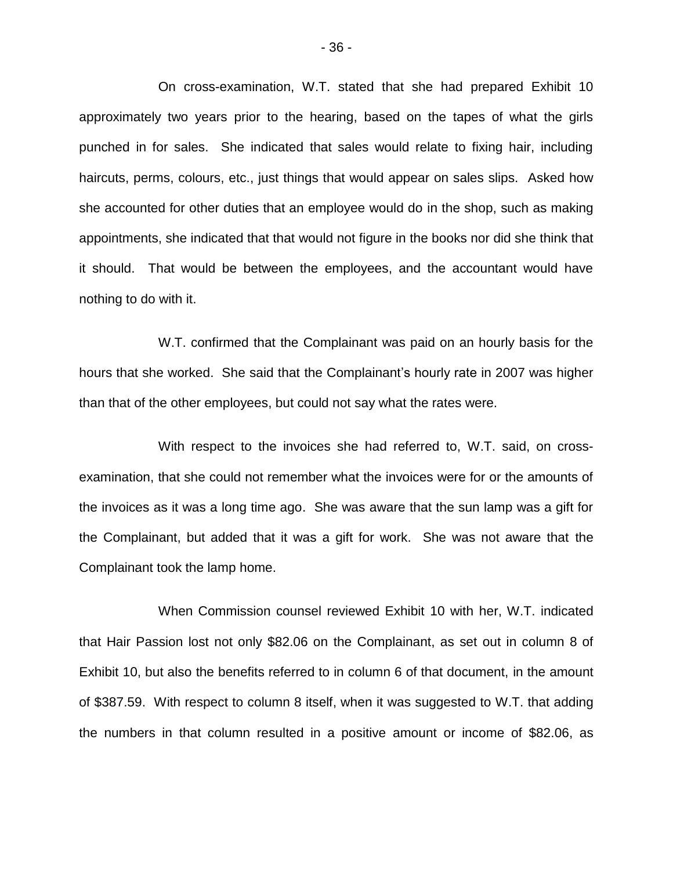On cross-examination, W.T. stated that she had prepared Exhibit 10 approximately two years prior to the hearing, based on the tapes of what the girls punched in for sales. She indicated that sales would relate to fixing hair, including haircuts, perms, colours, etc., just things that would appear on sales slips. Asked how she accounted for other duties that an employee would do in the shop, such as making appointments, she indicated that that would not figure in the books nor did she think that it should. That would be between the employees, and the accountant would have nothing to do with it.

W.T. confirmed that the Complainant was paid on an hourly basis for the hours that she worked. She said that the Complainant's hourly rate in 2007 was higher than that of the other employees, but could not say what the rates were.

With respect to the invoices she had referred to, W.T. said, on crossexamination, that she could not remember what the invoices were for or the amounts of the invoices as it was a long time ago. She was aware that the sun lamp was a gift for the Complainant, but added that it was a gift for work. She was not aware that the Complainant took the lamp home.

When Commission counsel reviewed Exhibit 10 with her, W.T. indicated that Hair Passion lost not only \$82.06 on the Complainant, as set out in column 8 of Exhibit 10, but also the benefits referred to in column 6 of that document, in the amount of \$387.59. With respect to column 8 itself, when it was suggested to W.T. that adding the numbers in that column resulted in a positive amount or income of \$82.06, as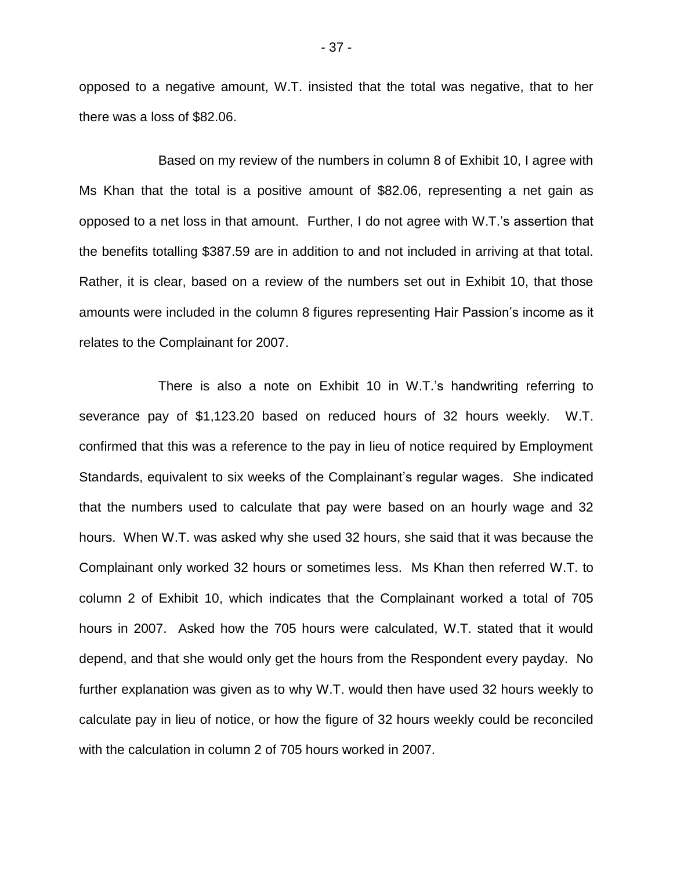opposed to a negative amount, W.T. insisted that the total was negative, that to her there was a loss of \$82.06.

Based on my review of the numbers in column 8 of Exhibit 10, I agree with Ms Khan that the total is a positive amount of \$82.06, representing a net gain as opposed to a net loss in that amount. Further, I do not agree with W.T.'s assertion that the benefits totalling \$387.59 are in addition to and not included in arriving at that total. Rather, it is clear, based on a review of the numbers set out in Exhibit 10, that those amounts were included in the column 8 figures representing Hair Passion's income as it relates to the Complainant for 2007.

There is also a note on Exhibit 10 in W.T.'s handwriting referring to severance pay of \$1,123.20 based on reduced hours of 32 hours weekly. W.T. confirmed that this was a reference to the pay in lieu of notice required by Employment Standards, equivalent to six weeks of the Complainant's regular wages. She indicated that the numbers used to calculate that pay were based on an hourly wage and 32 hours. When W.T. was asked why she used 32 hours, she said that it was because the Complainant only worked 32 hours or sometimes less. Ms Khan then referred W.T. to column 2 of Exhibit 10, which indicates that the Complainant worked a total of 705 hours in 2007. Asked how the 705 hours were calculated, W.T. stated that it would depend, and that she would only get the hours from the Respondent every payday. No further explanation was given as to why W.T. would then have used 32 hours weekly to calculate pay in lieu of notice, or how the figure of 32 hours weekly could be reconciled with the calculation in column 2 of 705 hours worked in 2007.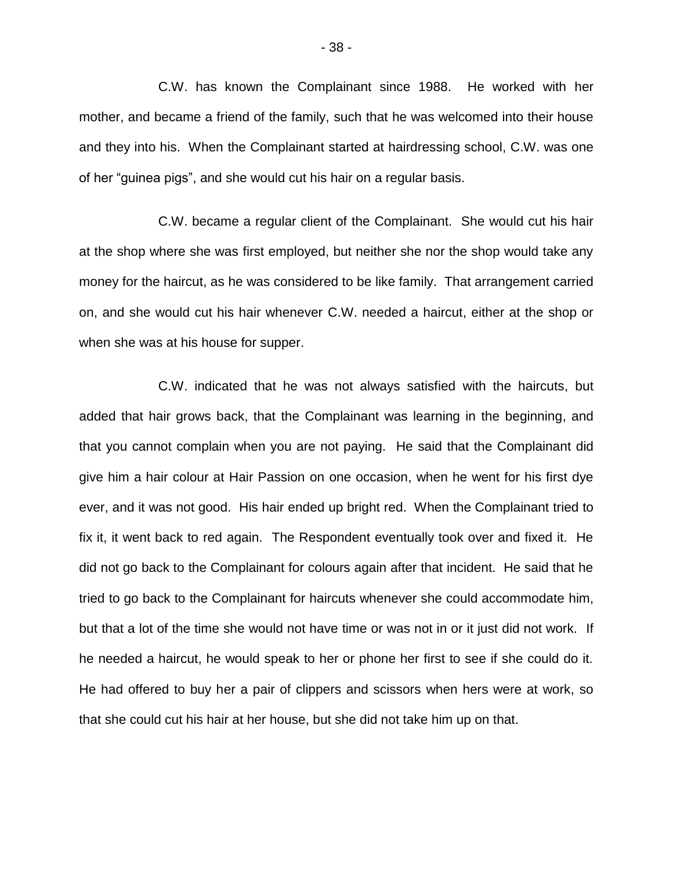C.W. has known the Complainant since 1988. He worked with her mother, and became a friend of the family, such that he was welcomed into their house and they into his. When the Complainant started at hairdressing school, C.W. was one of her "guinea pigs", and she would cut his hair on a regular basis.

C.W. became a regular client of the Complainant. She would cut his hair at the shop where she was first employed, but neither she nor the shop would take any money for the haircut, as he was considered to be like family. That arrangement carried on, and she would cut his hair whenever C.W. needed a haircut, either at the shop or when she was at his house for supper.

C.W. indicated that he was not always satisfied with the haircuts, but added that hair grows back, that the Complainant was learning in the beginning, and that you cannot complain when you are not paying. He said that the Complainant did give him a hair colour at Hair Passion on one occasion, when he went for his first dye ever, and it was not good. His hair ended up bright red. When the Complainant tried to fix it, it went back to red again. The Respondent eventually took over and fixed it. He did not go back to the Complainant for colours again after that incident. He said that he tried to go back to the Complainant for haircuts whenever she could accommodate him, but that a lot of the time she would not have time or was not in or it just did not work. If he needed a haircut, he would speak to her or phone her first to see if she could do it. He had offered to buy her a pair of clippers and scissors when hers were at work, so that she could cut his hair at her house, but she did not take him up on that.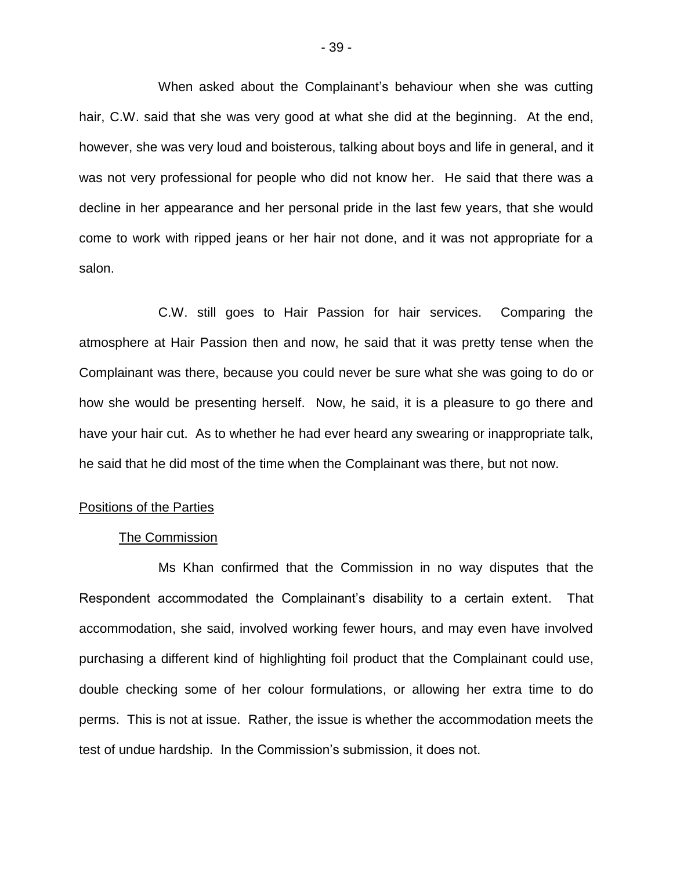When asked about the Complainant's behaviour when she was cutting hair, C.W. said that she was very good at what she did at the beginning. At the end, however, she was very loud and boisterous, talking about boys and life in general, and it was not very professional for people who did not know her. He said that there was a decline in her appearance and her personal pride in the last few years, that she would come to work with ripped jeans or her hair not done, and it was not appropriate for a salon.

C.W. still goes to Hair Passion for hair services. Comparing the atmosphere at Hair Passion then and now, he said that it was pretty tense when the Complainant was there, because you could never be sure what she was going to do or how she would be presenting herself. Now, he said, it is a pleasure to go there and have your hair cut. As to whether he had ever heard any swearing or inappropriate talk, he said that he did most of the time when the Complainant was there, but not now.

## Positions of the Parties

## The Commission

Ms Khan confirmed that the Commission in no way disputes that the Respondent accommodated the Complainant's disability to a certain extent. That accommodation, she said, involved working fewer hours, and may even have involved purchasing a different kind of highlighting foil product that the Complainant could use, double checking some of her colour formulations, or allowing her extra time to do perms. This is not at issue. Rather, the issue is whether the accommodation meets the test of undue hardship. In the Commission's submission, it does not.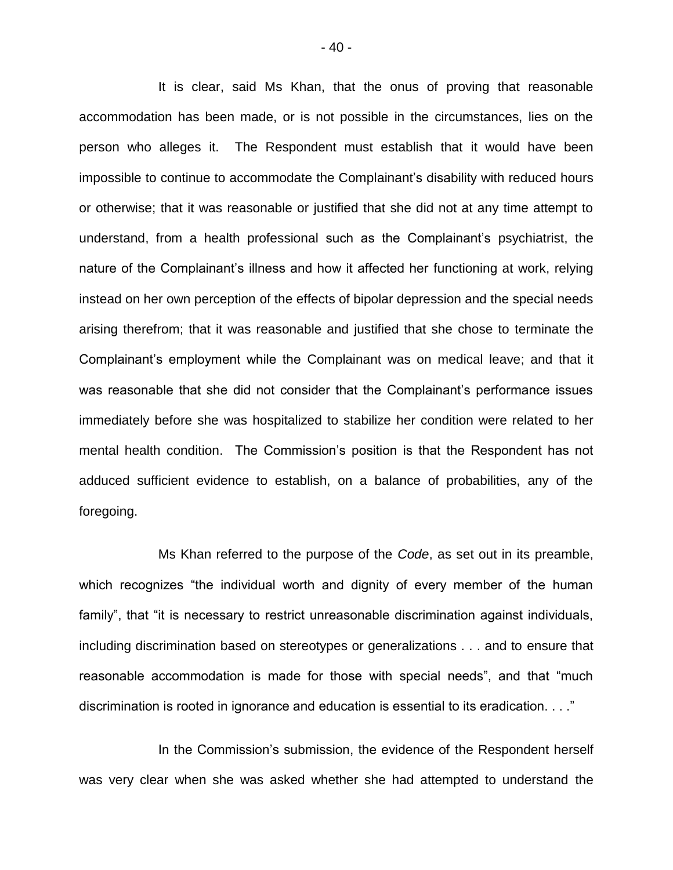It is clear, said Ms Khan, that the onus of proving that reasonable accommodation has been made, or is not possible in the circumstances, lies on the person who alleges it. The Respondent must establish that it would have been impossible to continue to accommodate the Complainant's disability with reduced hours or otherwise; that it was reasonable or justified that she did not at any time attempt to understand, from a health professional such as the Complainant's psychiatrist, the nature of the Complainant's illness and how it affected her functioning at work, relying instead on her own perception of the effects of bipolar depression and the special needs arising therefrom; that it was reasonable and justified that she chose to terminate the Complainant's employment while the Complainant was on medical leave; and that it was reasonable that she did not consider that the Complainant's performance issues immediately before she was hospitalized to stabilize her condition were related to her mental health condition. The Commission's position is that the Respondent has not adduced sufficient evidence to establish, on a balance of probabilities, any of the foregoing.

Ms Khan referred to the purpose of the *Code*, as set out in its preamble, which recognizes "the individual worth and dignity of every member of the human family", that "it is necessary to restrict unreasonable discrimination against individuals, including discrimination based on stereotypes or generalizations . . . and to ensure that reasonable accommodation is made for those with special needs", and that "much discrimination is rooted in ignorance and education is essential to its eradication. . . ."

In the Commission's submission, the evidence of the Respondent herself was very clear when she was asked whether she had attempted to understand the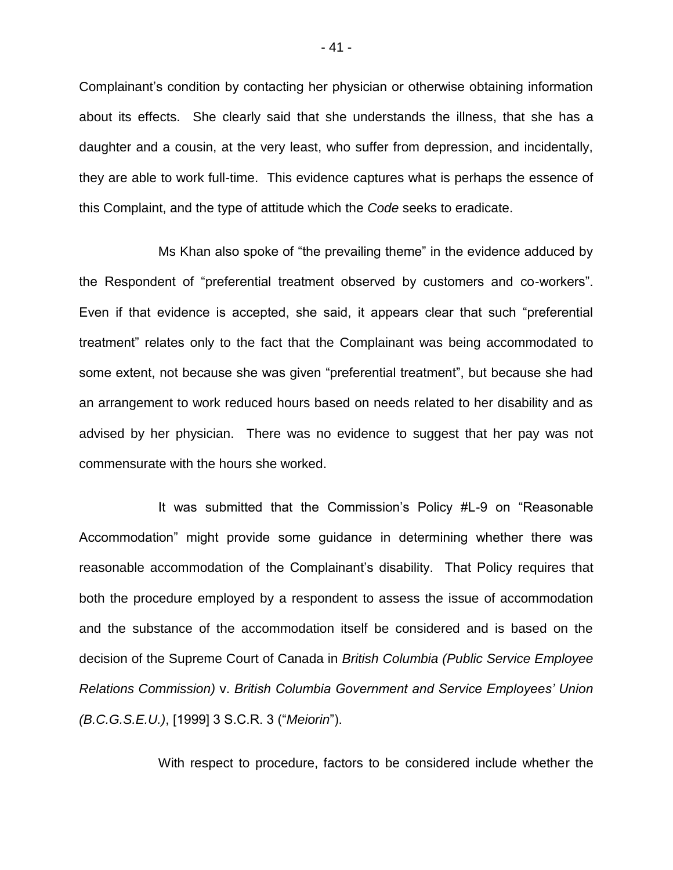Complainant's condition by contacting her physician or otherwise obtaining information about its effects. She clearly said that she understands the illness, that she has a daughter and a cousin, at the very least, who suffer from depression, and incidentally, they are able to work full-time. This evidence captures what is perhaps the essence of this Complaint, and the type of attitude which the *Code* seeks to eradicate.

Ms Khan also spoke of "the prevailing theme" in the evidence adduced by the Respondent of "preferential treatment observed by customers and co-workers". Even if that evidence is accepted, she said, it appears clear that such "preferential treatment" relates only to the fact that the Complainant was being accommodated to some extent, not because she was given "preferential treatment", but because she had an arrangement to work reduced hours based on needs related to her disability and as advised by her physician. There was no evidence to suggest that her pay was not commensurate with the hours she worked.

It was submitted that the Commission's Policy #L-9 on "Reasonable Accommodation" might provide some guidance in determining whether there was reasonable accommodation of the Complainant's disability. That Policy requires that both the procedure employed by a respondent to assess the issue of accommodation and the substance of the accommodation itself be considered and is based on the decision of the Supreme Court of Canada in *British Columbia (Public Service Employee Relations Commission)* v. *British Columbia Government and Service Employees' Union (B.C.G.S.E.U.)*, [1999] 3 S.C.R. 3 ("*Meiorin*").

With respect to procedure, factors to be considered include whether the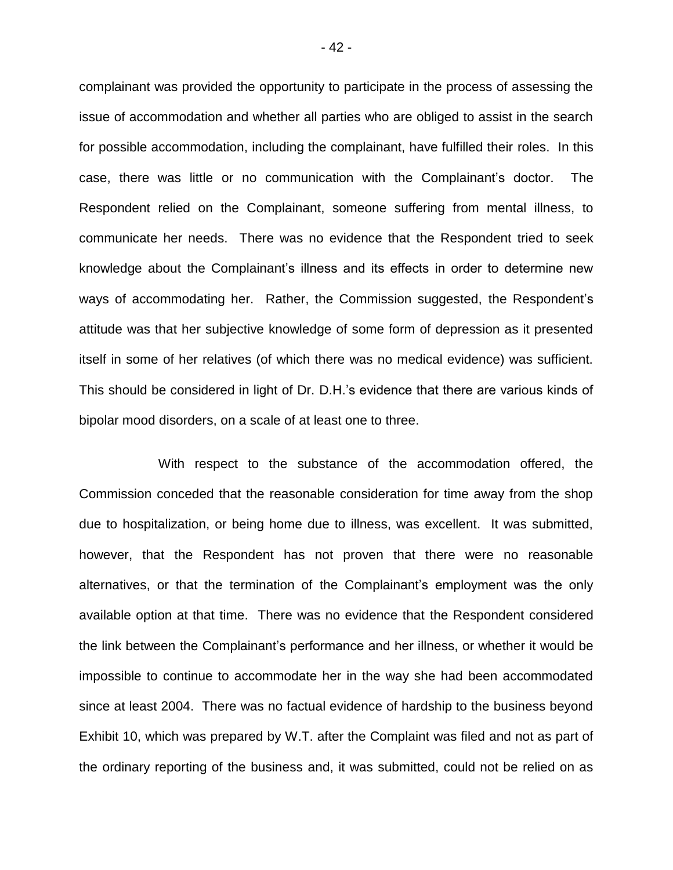complainant was provided the opportunity to participate in the process of assessing the issue of accommodation and whether all parties who are obliged to assist in the search for possible accommodation, including the complainant, have fulfilled their roles. In this case, there was little or no communication with the Complainant's doctor. The Respondent relied on the Complainant, someone suffering from mental illness, to communicate her needs. There was no evidence that the Respondent tried to seek knowledge about the Complainant's illness and its effects in order to determine new ways of accommodating her. Rather, the Commission suggested, the Respondent's attitude was that her subjective knowledge of some form of depression as it presented itself in some of her relatives (of which there was no medical evidence) was sufficient. This should be considered in light of Dr. D.H.'s evidence that there are various kinds of bipolar mood disorders, on a scale of at least one to three.

With respect to the substance of the accommodation offered, the Commission conceded that the reasonable consideration for time away from the shop due to hospitalization, or being home due to illness, was excellent. It was submitted, however, that the Respondent has not proven that there were no reasonable alternatives, or that the termination of the Complainant's employment was the only available option at that time. There was no evidence that the Respondent considered the link between the Complainant's performance and her illness, or whether it would be impossible to continue to accommodate her in the way she had been accommodated since at least 2004. There was no factual evidence of hardship to the business beyond Exhibit 10, which was prepared by W.T. after the Complaint was filed and not as part of the ordinary reporting of the business and, it was submitted, could not be relied on as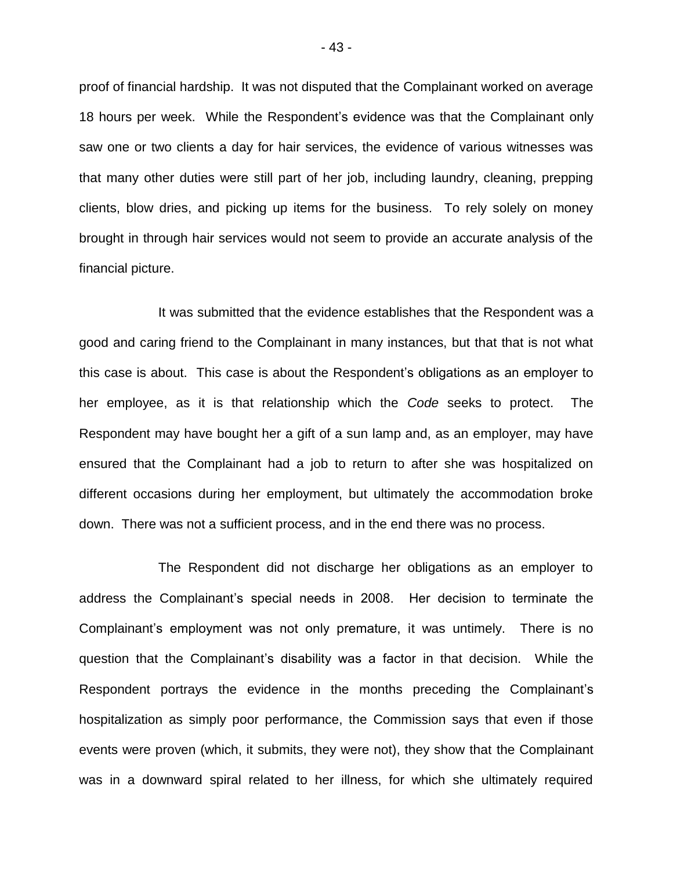proof of financial hardship. It was not disputed that the Complainant worked on average 18 hours per week. While the Respondent's evidence was that the Complainant only saw one or two clients a day for hair services, the evidence of various witnesses was that many other duties were still part of her job, including laundry, cleaning, prepping clients, blow dries, and picking up items for the business. To rely solely on money brought in through hair services would not seem to provide an accurate analysis of the financial picture.

It was submitted that the evidence establishes that the Respondent was a good and caring friend to the Complainant in many instances, but that that is not what this case is about. This case is about the Respondent's obligations as an employer to her employee, as it is that relationship which the *Code* seeks to protect. The Respondent may have bought her a gift of a sun lamp and, as an employer, may have ensured that the Complainant had a job to return to after she was hospitalized on different occasions during her employment, but ultimately the accommodation broke down. There was not a sufficient process, and in the end there was no process.

The Respondent did not discharge her obligations as an employer to address the Complainant's special needs in 2008. Her decision to terminate the Complainant's employment was not only premature, it was untimely. There is no question that the Complainant's disability was a factor in that decision. While the Respondent portrays the evidence in the months preceding the Complainant's hospitalization as simply poor performance, the Commission says that even if those events were proven (which, it submits, they were not), they show that the Complainant was in a downward spiral related to her illness, for which she ultimately required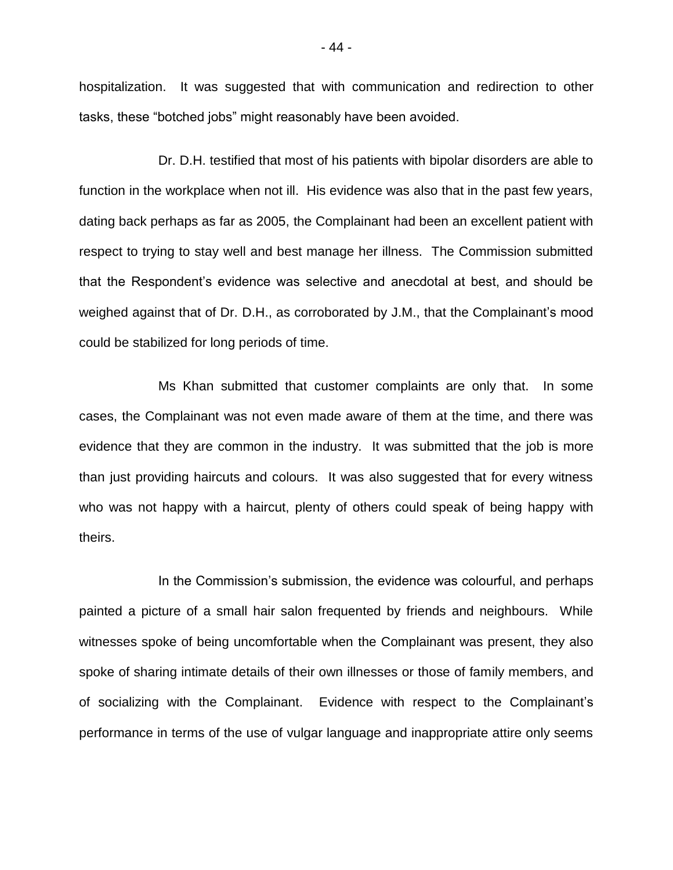hospitalization. It was suggested that with communication and redirection to other tasks, these "botched jobs" might reasonably have been avoided.

Dr. D.H. testified that most of his patients with bipolar disorders are able to function in the workplace when not ill. His evidence was also that in the past few years, dating back perhaps as far as 2005, the Complainant had been an excellent patient with respect to trying to stay well and best manage her illness. The Commission submitted that the Respondent's evidence was selective and anecdotal at best, and should be weighed against that of Dr. D.H., as corroborated by J.M., that the Complainant's mood could be stabilized for long periods of time.

Ms Khan submitted that customer complaints are only that. In some cases, the Complainant was not even made aware of them at the time, and there was evidence that they are common in the industry. It was submitted that the job is more than just providing haircuts and colours. It was also suggested that for every witness who was not happy with a haircut, plenty of others could speak of being happy with theirs.

In the Commission's submission, the evidence was colourful, and perhaps painted a picture of a small hair salon frequented by friends and neighbours. While witnesses spoke of being uncomfortable when the Complainant was present, they also spoke of sharing intimate details of their own illnesses or those of family members, and of socializing with the Complainant. Evidence with respect to the Complainant's performance in terms of the use of vulgar language and inappropriate attire only seems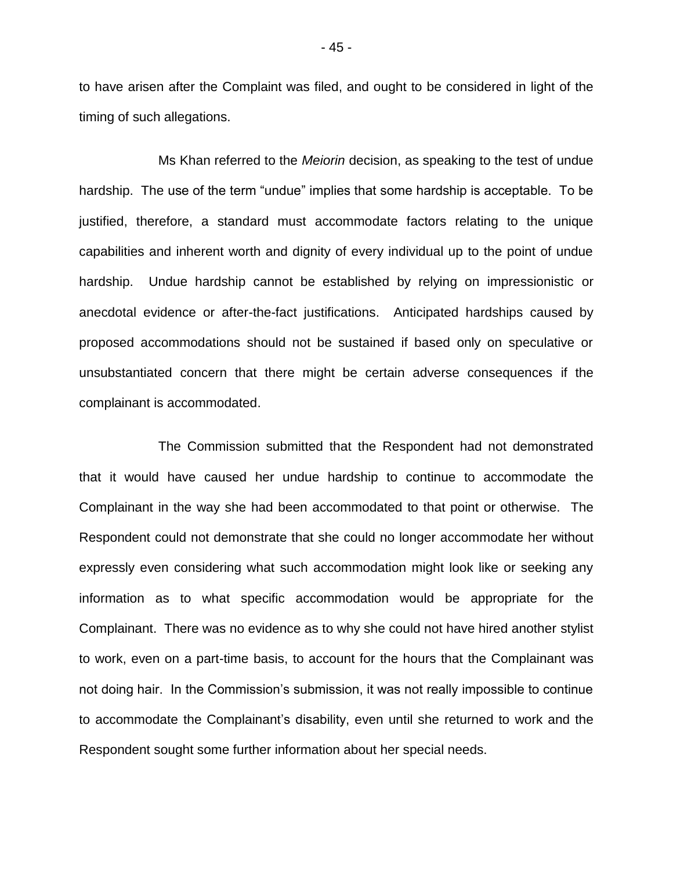to have arisen after the Complaint was filed, and ought to be considered in light of the timing of such allegations.

Ms Khan referred to the *Meiorin* decision, as speaking to the test of undue hardship. The use of the term "undue" implies that some hardship is acceptable. To be justified, therefore, a standard must accommodate factors relating to the unique capabilities and inherent worth and dignity of every individual up to the point of undue hardship. Undue hardship cannot be established by relying on impressionistic or anecdotal evidence or after-the-fact justifications. Anticipated hardships caused by proposed accommodations should not be sustained if based only on speculative or unsubstantiated concern that there might be certain adverse consequences if the complainant is accommodated.

The Commission submitted that the Respondent had not demonstrated that it would have caused her undue hardship to continue to accommodate the Complainant in the way she had been accommodated to that point or otherwise. The Respondent could not demonstrate that she could no longer accommodate her without expressly even considering what such accommodation might look like or seeking any information as to what specific accommodation would be appropriate for the Complainant. There was no evidence as to why she could not have hired another stylist to work, even on a part-time basis, to account for the hours that the Complainant was not doing hair. In the Commission's submission, it was not really impossible to continue to accommodate the Complainant's disability, even until she returned to work and the Respondent sought some further information about her special needs.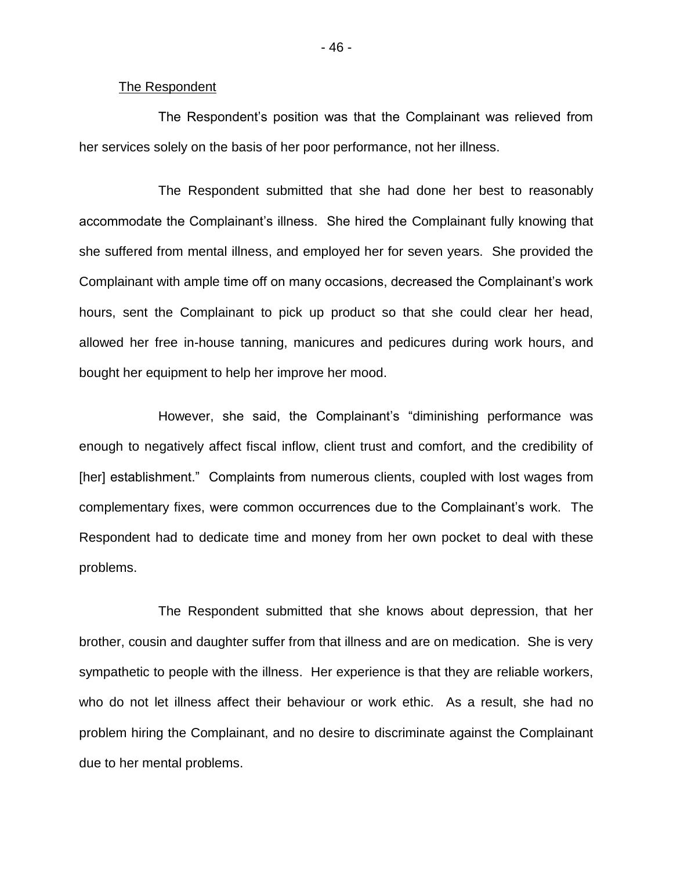### The Respondent

The Respondent's position was that the Complainant was relieved from her services solely on the basis of her poor performance, not her illness.

The Respondent submitted that she had done her best to reasonably accommodate the Complainant's illness. She hired the Complainant fully knowing that she suffered from mental illness, and employed her for seven years. She provided the Complainant with ample time off on many occasions, decreased the Complainant's work hours, sent the Complainant to pick up product so that she could clear her head, allowed her free in-house tanning, manicures and pedicures during work hours, and bought her equipment to help her improve her mood.

However, she said, the Complainant's "diminishing performance was enough to negatively affect fiscal inflow, client trust and comfort, and the credibility of [her] establishment." Complaints from numerous clients, coupled with lost wages from complementary fixes, were common occurrences due to the Complainant's work. The Respondent had to dedicate time and money from her own pocket to deal with these problems.

The Respondent submitted that she knows about depression, that her brother, cousin and daughter suffer from that illness and are on medication. She is very sympathetic to people with the illness. Her experience is that they are reliable workers, who do not let illness affect their behaviour or work ethic. As a result, she had no problem hiring the Complainant, and no desire to discriminate against the Complainant due to her mental problems.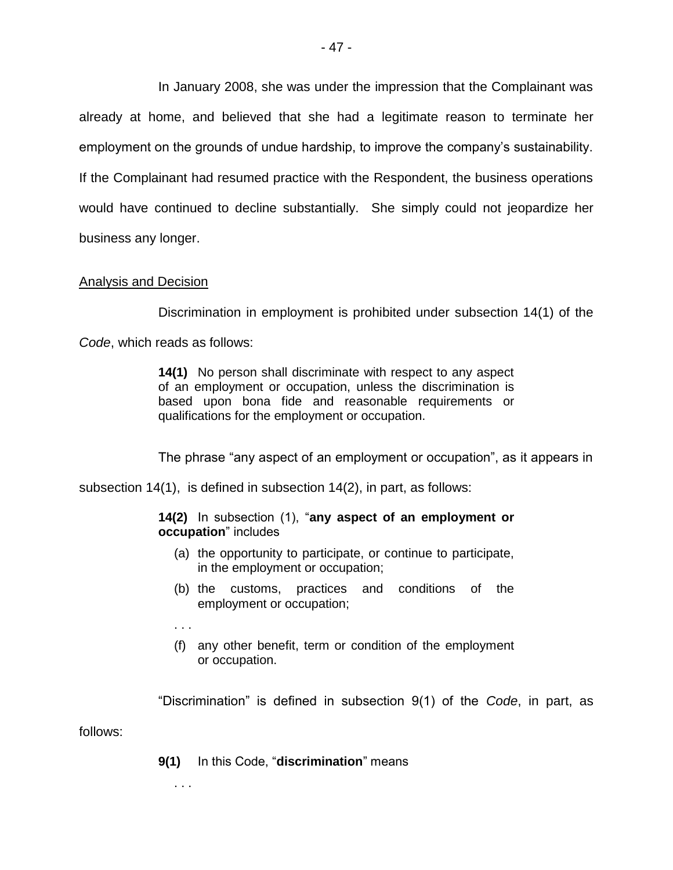In January 2008, she was under the impression that the Complainant was already at home, and believed that she had a legitimate reason to terminate her employment on the grounds of undue hardship, to improve the company's sustainability. If the Complainant had resumed practice with the Respondent, the business operations would have continued to decline substantially. She simply could not jeopardize her business any longer.

# Analysis and Decision

Discrimination in employment is prohibited under subsection 14(1) of the

*Code*, which reads as follows:

**14(1)** No person shall discriminate with respect to any aspect of an employment or occupation, unless the discrimination is based upon bona fide and reasonable requirements or qualifications for the employment or occupation.

The phrase "any aspect of an employment or occupation", as it appears in

subsection 14(1), is defined in subsection 14(2), in part, as follows:

## **14(2)** In subsection (1), "**any aspect of an employment or occupation**" includes

- (a) the opportunity to participate, or continue to participate, in the employment or occupation;
- (b) the customs, practices and conditions of the employment or occupation;
- . . .
- (f) any other benefit, term or condition of the employment or occupation.

"Discrimination" is defined in subsection 9(1) of the *Code*, in part, as

follows:

**9(1)** In this Code, "**discrimination**" means

. . .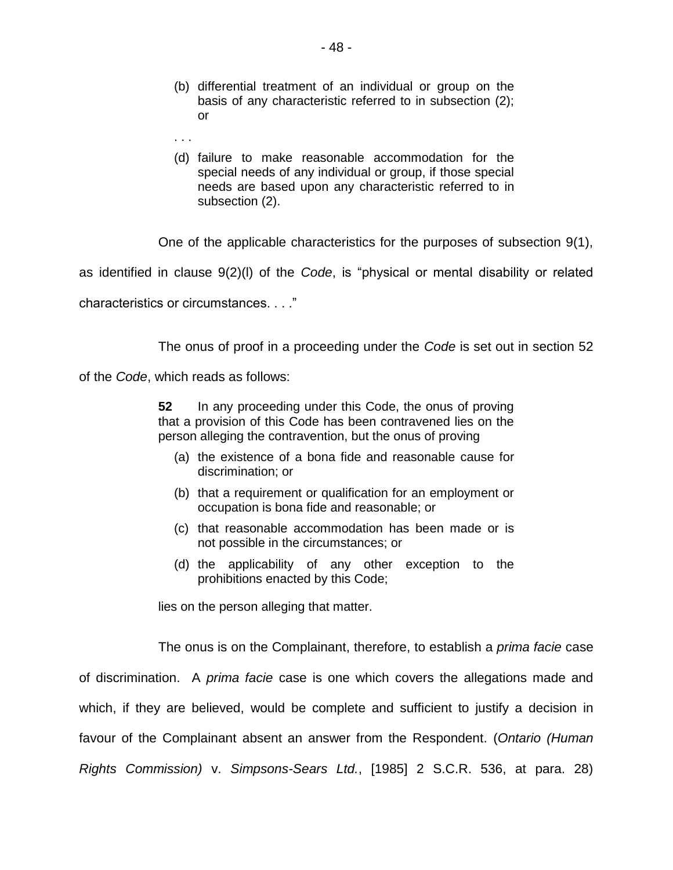- (b) differential treatment of an individual or group on the basis of any characteristic referred to in subsection (2); or
- . . .
- (d) failure to make reasonable accommodation for the special needs of any individual or group, if those special needs are based upon any characteristic referred to in subsection (2).

One of the applicable characteristics for the purposes of subsection 9(1),

as identified in clause 9(2)(l) of the *Code*, is "physical or mental disability or related

characteristics or circumstances. . . ."

The onus of proof in a proceeding under the *Code* is set out in section 52

of the *Code*, which reads as follows:

**52** In any proceeding under this Code, the onus of proving that a provision of this Code has been contravened lies on the person alleging the contravention, but the onus of proving

- (a) the existence of a bona fide and reasonable cause for discrimination; or
- (b) that a requirement or qualification for an employment or occupation is bona fide and reasonable; or
- (c) that reasonable accommodation has been made or is not possible in the circumstances; or
- (d) the applicability of any other exception to the prohibitions enacted by this Code;

lies on the person alleging that matter.

The onus is on the Complainant, therefore, to establish a *prima facie* case

of discrimination. A *prima facie* case is one which covers the allegations made and which, if they are believed, would be complete and sufficient to justify a decision in favour of the Complainant absent an answer from the Respondent. (*Ontario (Human Rights Commission)* v. *Simpsons-Sears Ltd.*, [1985] 2 S.C.R. 536, at para. 28)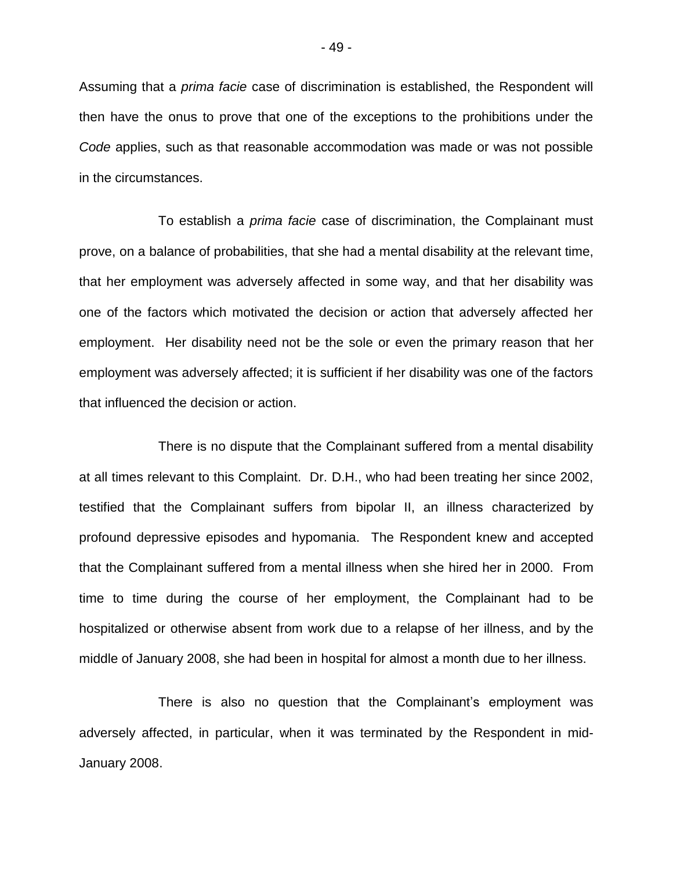Assuming that a *prima facie* case of discrimination is established, the Respondent will then have the onus to prove that one of the exceptions to the prohibitions under the *Code* applies, such as that reasonable accommodation was made or was not possible in the circumstances.

To establish a *prima facie* case of discrimination, the Complainant must prove, on a balance of probabilities, that she had a mental disability at the relevant time, that her employment was adversely affected in some way, and that her disability was one of the factors which motivated the decision or action that adversely affected her employment. Her disability need not be the sole or even the primary reason that her employment was adversely affected; it is sufficient if her disability was one of the factors that influenced the decision or action.

There is no dispute that the Complainant suffered from a mental disability at all times relevant to this Complaint. Dr. D.H., who had been treating her since 2002, testified that the Complainant suffers from bipolar II, an illness characterized by profound depressive episodes and hypomania. The Respondent knew and accepted that the Complainant suffered from a mental illness when she hired her in 2000. From time to time during the course of her employment, the Complainant had to be hospitalized or otherwise absent from work due to a relapse of her illness, and by the middle of January 2008, she had been in hospital for almost a month due to her illness.

There is also no question that the Complainant's employment was adversely affected, in particular, when it was terminated by the Respondent in mid-January 2008.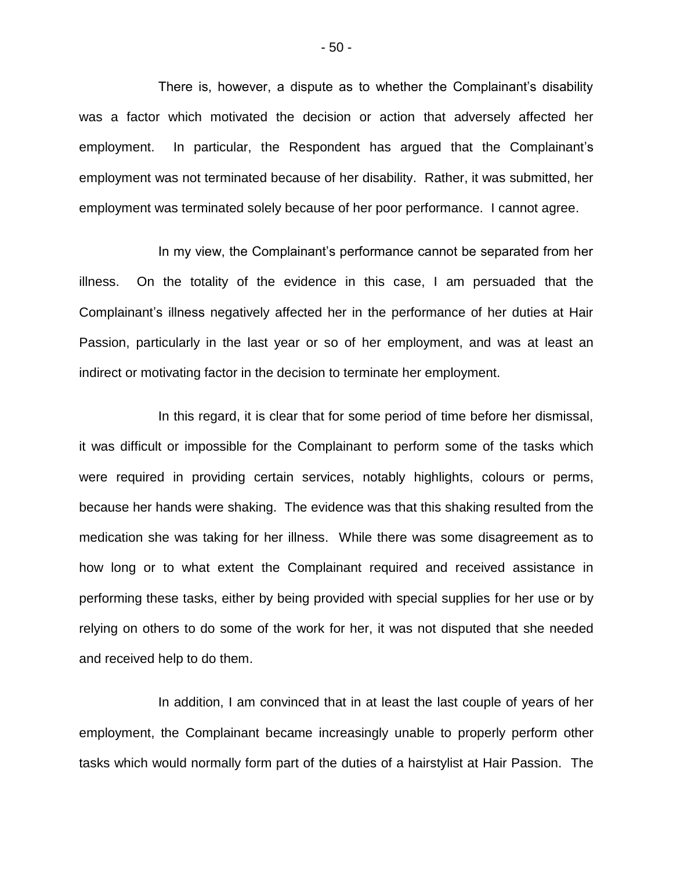There is, however, a dispute as to whether the Complainant's disability was a factor which motivated the decision or action that adversely affected her employment. In particular, the Respondent has argued that the Complainant's employment was not terminated because of her disability. Rather, it was submitted, her employment was terminated solely because of her poor performance. I cannot agree.

In my view, the Complainant's performance cannot be separated from her illness. On the totality of the evidence in this case, I am persuaded that the Complainant's illness negatively affected her in the performance of her duties at Hair Passion, particularly in the last year or so of her employment, and was at least an indirect or motivating factor in the decision to terminate her employment.

In this regard, it is clear that for some period of time before her dismissal, it was difficult or impossible for the Complainant to perform some of the tasks which were required in providing certain services, notably highlights, colours or perms, because her hands were shaking. The evidence was that this shaking resulted from the medication she was taking for her illness. While there was some disagreement as to how long or to what extent the Complainant required and received assistance in performing these tasks, either by being provided with special supplies for her use or by relying on others to do some of the work for her, it was not disputed that she needed and received help to do them.

In addition, I am convinced that in at least the last couple of years of her employment, the Complainant became increasingly unable to properly perform other tasks which would normally form part of the duties of a hairstylist at Hair Passion. The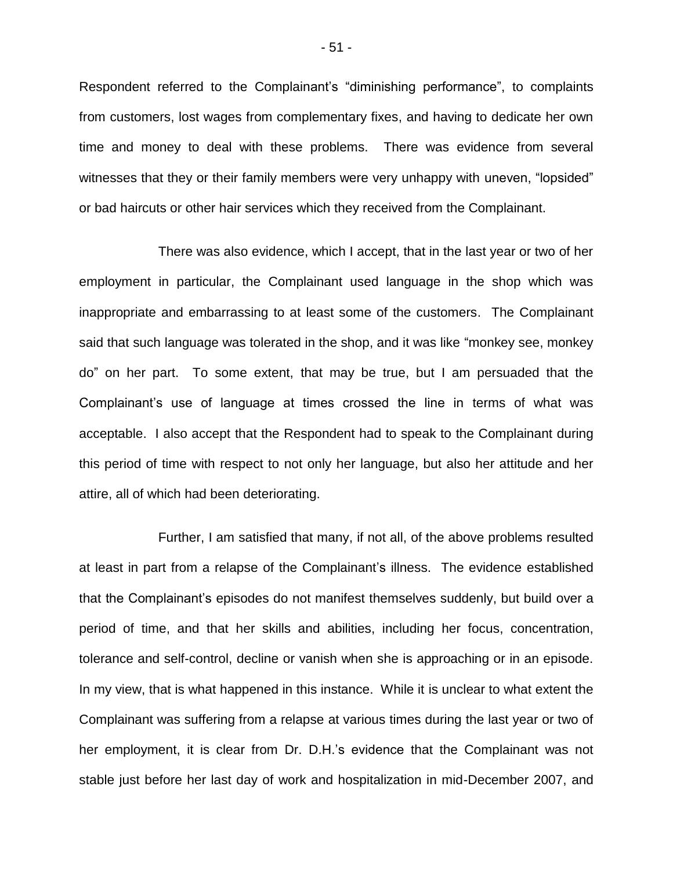Respondent referred to the Complainant's "diminishing performance", to complaints from customers, lost wages from complementary fixes, and having to dedicate her own time and money to deal with these problems. There was evidence from several witnesses that they or their family members were very unhappy with uneven, "lopsided" or bad haircuts or other hair services which they received from the Complainant.

There was also evidence, which I accept, that in the last year or two of her employment in particular, the Complainant used language in the shop which was inappropriate and embarrassing to at least some of the customers. The Complainant said that such language was tolerated in the shop, and it was like "monkey see, monkey do" on her part. To some extent, that may be true, but I am persuaded that the Complainant's use of language at times crossed the line in terms of what was acceptable. I also accept that the Respondent had to speak to the Complainant during this period of time with respect to not only her language, but also her attitude and her attire, all of which had been deteriorating.

Further, I am satisfied that many, if not all, of the above problems resulted at least in part from a relapse of the Complainant's illness. The evidence established that the Complainant's episodes do not manifest themselves suddenly, but build over a period of time, and that her skills and abilities, including her focus, concentration, tolerance and self-control, decline or vanish when she is approaching or in an episode. In my view, that is what happened in this instance. While it is unclear to what extent the Complainant was suffering from a relapse at various times during the last year or two of her employment, it is clear from Dr. D.H.'s evidence that the Complainant was not stable just before her last day of work and hospitalization in mid-December 2007, and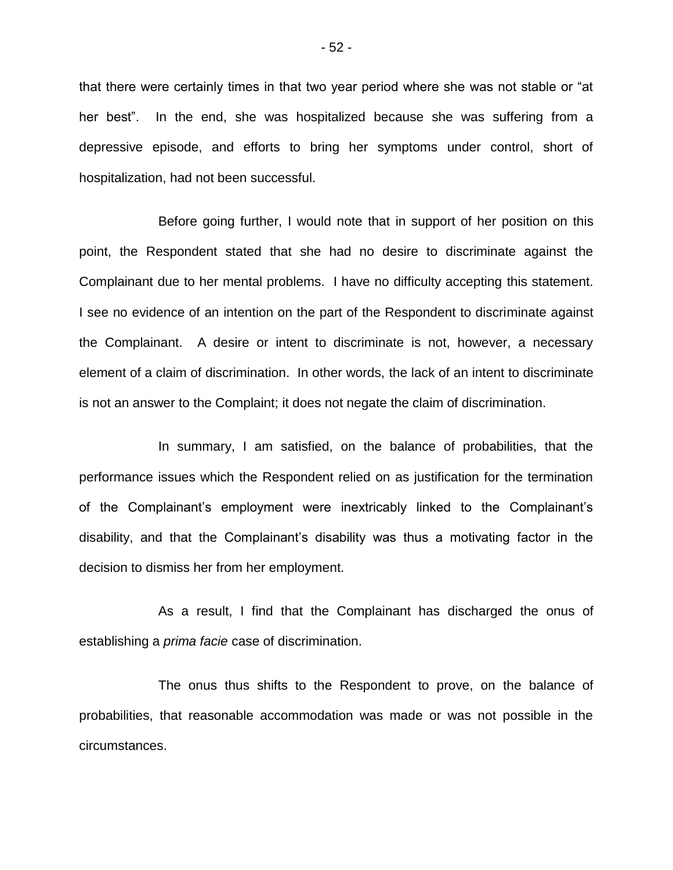that there were certainly times in that two year period where she was not stable or "at her best". In the end, she was hospitalized because she was suffering from a depressive episode, and efforts to bring her symptoms under control, short of hospitalization, had not been successful.

Before going further, I would note that in support of her position on this point, the Respondent stated that she had no desire to discriminate against the Complainant due to her mental problems. I have no difficulty accepting this statement. I see no evidence of an intention on the part of the Respondent to discriminate against the Complainant. A desire or intent to discriminate is not, however, a necessary element of a claim of discrimination. In other words, the lack of an intent to discriminate is not an answer to the Complaint; it does not negate the claim of discrimination.

In summary, I am satisfied, on the balance of probabilities, that the performance issues which the Respondent relied on as justification for the termination of the Complainant's employment were inextricably linked to the Complainant's disability, and that the Complainant's disability was thus a motivating factor in the decision to dismiss her from her employment.

As a result, I find that the Complainant has discharged the onus of establishing a *prima facie* case of discrimination.

The onus thus shifts to the Respondent to prove, on the balance of probabilities, that reasonable accommodation was made or was not possible in the circumstances.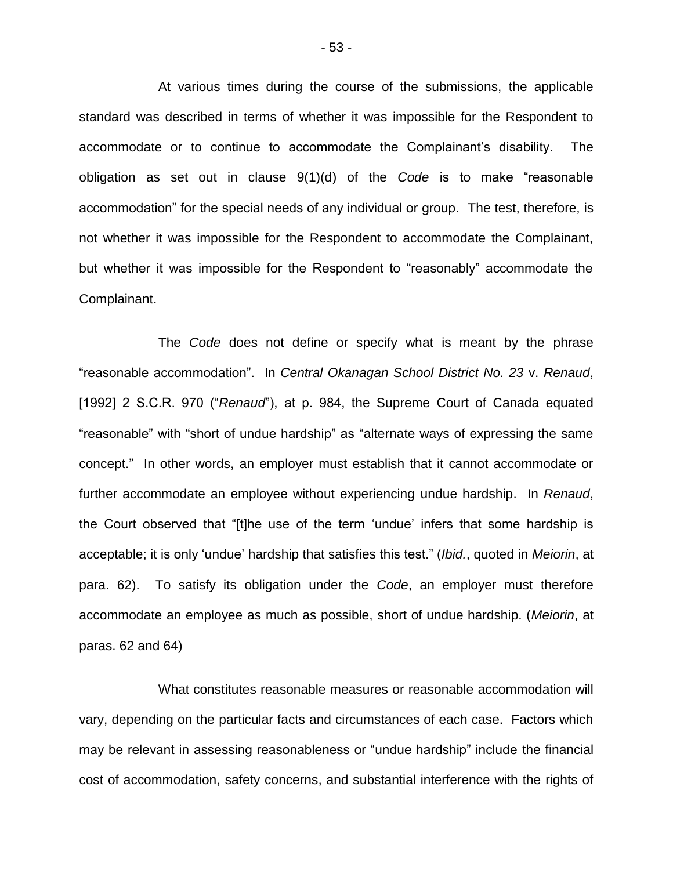At various times during the course of the submissions, the applicable standard was described in terms of whether it was impossible for the Respondent to accommodate or to continue to accommodate the Complainant's disability. The obligation as set out in clause 9(1)(d) of the *Code* is to make "reasonable accommodation" for the special needs of any individual or group. The test, therefore, is not whether it was impossible for the Respondent to accommodate the Complainant, but whether it was impossible for the Respondent to "reasonably" accommodate the Complainant.

The *Code* does not define or specify what is meant by the phrase "reasonable accommodation". In *Central Okanagan School District No. 23* v. *Renaud*, [1992] 2 S.C.R. 970 ("*Renaud*"), at p. 984, the Supreme Court of Canada equated "reasonable" with "short of undue hardship" as "alternate ways of expressing the same concept." In other words, an employer must establish that it cannot accommodate or further accommodate an employee without experiencing undue hardship. In *Renaud*, the Court observed that "[t]he use of the term 'undue' infers that some hardship is acceptable; it is only 'undue' hardship that satisfies this test." (*Ibid.*, quoted in *Meiorin*, at para. 62). To satisfy its obligation under the *Code*, an employer must therefore accommodate an employee as much as possible, short of undue hardship. (*Meiorin*, at paras. 62 and 64)

What constitutes reasonable measures or reasonable accommodation will vary, depending on the particular facts and circumstances of each case. Factors which may be relevant in assessing reasonableness or "undue hardship" include the financial cost of accommodation, safety concerns, and substantial interference with the rights of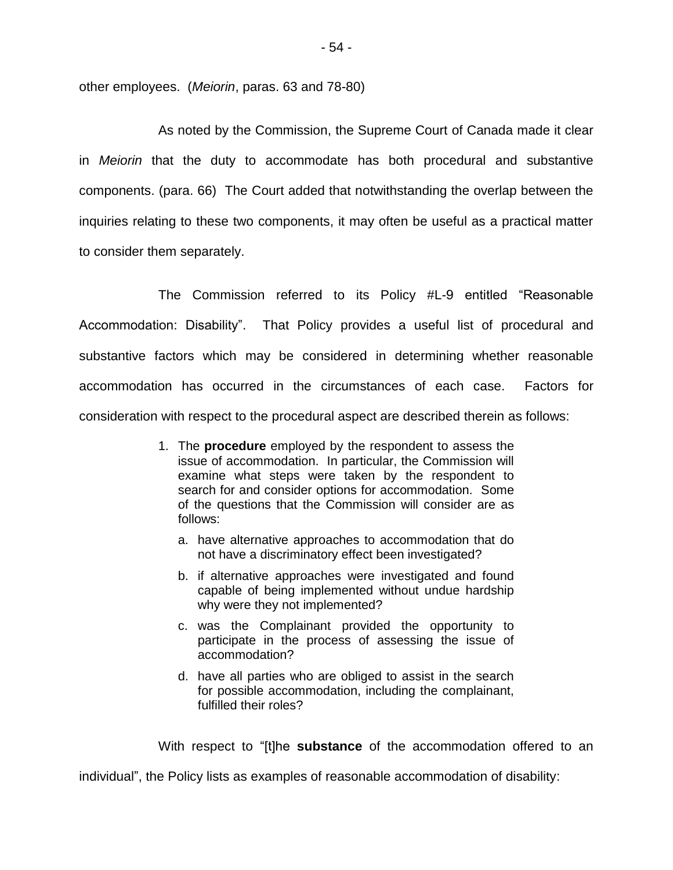other employees. (*Meiorin*, paras. 63 and 78-80)

As noted by the Commission, the Supreme Court of Canada made it clear in *Meiorin* that the duty to accommodate has both procedural and substantive components. (para. 66) The Court added that notwithstanding the overlap between the inquiries relating to these two components, it may often be useful as a practical matter to consider them separately.

The Commission referred to its Policy #L-9 entitled "Reasonable Accommodation: Disability". That Policy provides a useful list of procedural and substantive factors which may be considered in determining whether reasonable accommodation has occurred in the circumstances of each case. Factors for consideration with respect to the procedural aspect are described therein as follows:

- 1. The **procedure** employed by the respondent to assess the issue of accommodation. In particular, the Commission will examine what steps were taken by the respondent to search for and consider options for accommodation. Some of the questions that the Commission will consider are as follows:
	- a. have alternative approaches to accommodation that do not have a discriminatory effect been investigated?
	- b. if alternative approaches were investigated and found capable of being implemented without undue hardship why were they not implemented?
	- c. was the Complainant provided the opportunity to participate in the process of assessing the issue of accommodation?
	- d. have all parties who are obliged to assist in the search for possible accommodation, including the complainant, fulfilled their roles?

With respect to "[t]he **substance** of the accommodation offered to an

individual", the Policy lists as examples of reasonable accommodation of disability: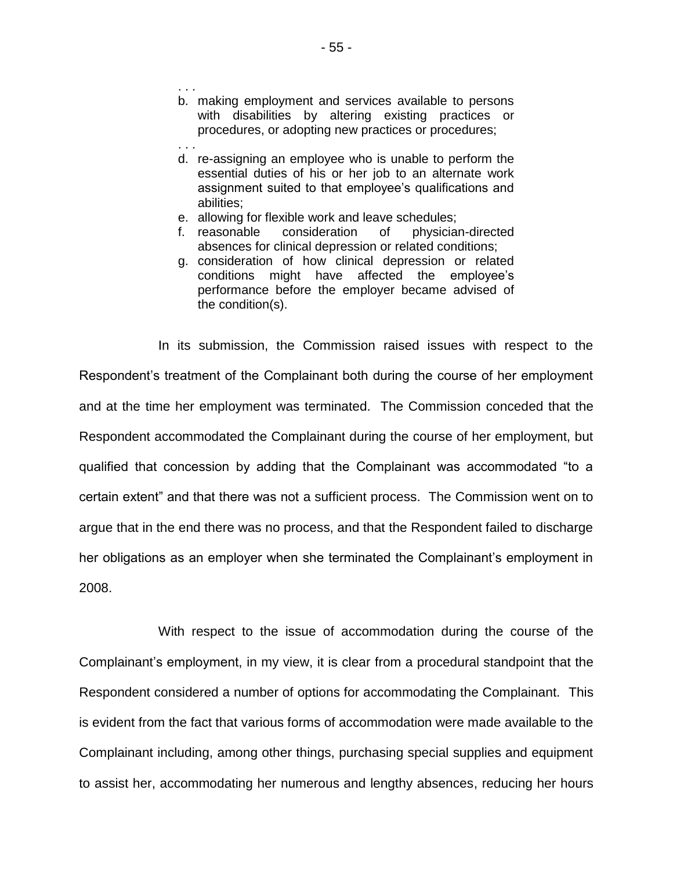- b. making employment and services available to persons with disabilities by altering existing practices or procedures, or adopting new practices or procedures;
- . . . d. re-assigning an employee who is unable to perform the essential duties of his or her job to an alternate work assignment suited to that employee's qualifications and abilities;
- e. allowing for flexible work and leave schedules;

. . .

- f. reasonable consideration of physician-directed absences for clinical depression or related conditions;
- g. consideration of how clinical depression or related conditions might have affected the employee's performance before the employer became advised of the condition(s).

In its submission, the Commission raised issues with respect to the Respondent's treatment of the Complainant both during the course of her employment and at the time her employment was terminated. The Commission conceded that the Respondent accommodated the Complainant during the course of her employment, but qualified that concession by adding that the Complainant was accommodated "to a certain extent" and that there was not a sufficient process. The Commission went on to argue that in the end there was no process, and that the Respondent failed to discharge her obligations as an employer when she terminated the Complainant's employment in 2008.

With respect to the issue of accommodation during the course of the Complainant's employment, in my view, it is clear from a procedural standpoint that the Respondent considered a number of options for accommodating the Complainant. This is evident from the fact that various forms of accommodation were made available to the Complainant including, among other things, purchasing special supplies and equipment to assist her, accommodating her numerous and lengthy absences, reducing her hours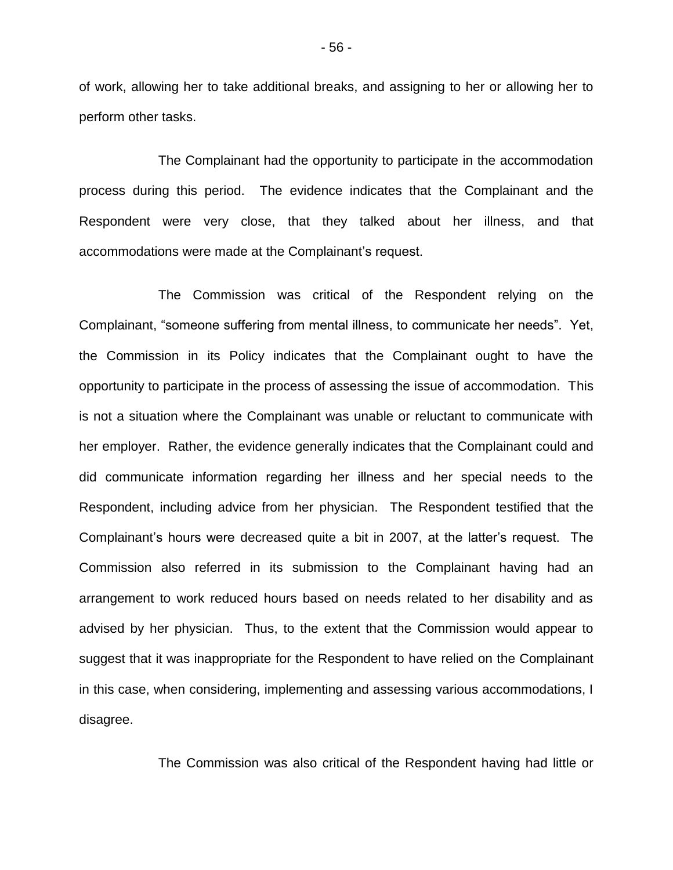of work, allowing her to take additional breaks, and assigning to her or allowing her to perform other tasks.

The Complainant had the opportunity to participate in the accommodation process during this period. The evidence indicates that the Complainant and the Respondent were very close, that they talked about her illness, and that accommodations were made at the Complainant's request.

The Commission was critical of the Respondent relying on the Complainant, "someone suffering from mental illness, to communicate her needs". Yet, the Commission in its Policy indicates that the Complainant ought to have the opportunity to participate in the process of assessing the issue of accommodation. This is not a situation where the Complainant was unable or reluctant to communicate with her employer. Rather, the evidence generally indicates that the Complainant could and did communicate information regarding her illness and her special needs to the Respondent, including advice from her physician. The Respondent testified that the Complainant's hours were decreased quite a bit in 2007, at the latter's request. The Commission also referred in its submission to the Complainant having had an arrangement to work reduced hours based on needs related to her disability and as advised by her physician. Thus, to the extent that the Commission would appear to suggest that it was inappropriate for the Respondent to have relied on the Complainant in this case, when considering, implementing and assessing various accommodations, I disagree.

The Commission was also critical of the Respondent having had little or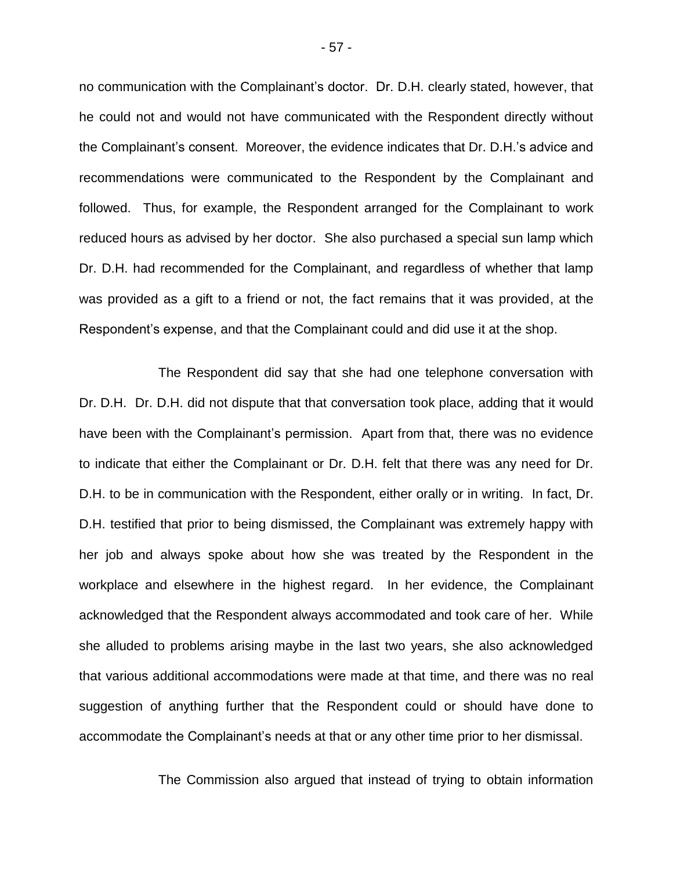no communication with the Complainant's doctor. Dr. D.H. clearly stated, however, that he could not and would not have communicated with the Respondent directly without the Complainant's consent. Moreover, the evidence indicates that Dr. D.H.'s advice and recommendations were communicated to the Respondent by the Complainant and followed. Thus, for example, the Respondent arranged for the Complainant to work reduced hours as advised by her doctor. She also purchased a special sun lamp which Dr. D.H. had recommended for the Complainant, and regardless of whether that lamp was provided as a gift to a friend or not, the fact remains that it was provided, at the Respondent's expense, and that the Complainant could and did use it at the shop.

The Respondent did say that she had one telephone conversation with Dr. D.H. Dr. D.H. did not dispute that that conversation took place, adding that it would have been with the Complainant's permission. Apart from that, there was no evidence to indicate that either the Complainant or Dr. D.H. felt that there was any need for Dr. D.H. to be in communication with the Respondent, either orally or in writing. In fact, Dr. D.H. testified that prior to being dismissed, the Complainant was extremely happy with her job and always spoke about how she was treated by the Respondent in the workplace and elsewhere in the highest regard. In her evidence, the Complainant acknowledged that the Respondent always accommodated and took care of her. While she alluded to problems arising maybe in the last two years, she also acknowledged that various additional accommodations were made at that time, and there was no real suggestion of anything further that the Respondent could or should have done to accommodate the Complainant's needs at that or any other time prior to her dismissal.

The Commission also argued that instead of trying to obtain information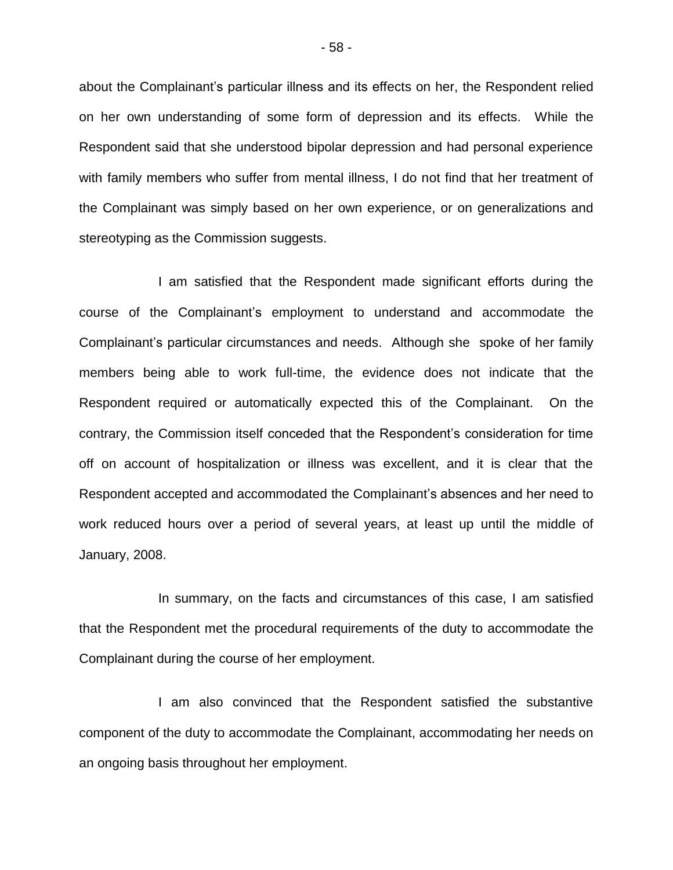about the Complainant's particular illness and its effects on her, the Respondent relied on her own understanding of some form of depression and its effects. While the Respondent said that she understood bipolar depression and had personal experience with family members who suffer from mental illness, I do not find that her treatment of the Complainant was simply based on her own experience, or on generalizations and stereotyping as the Commission suggests.

I am satisfied that the Respondent made significant efforts during the course of the Complainant's employment to understand and accommodate the Complainant's particular circumstances and needs. Although she spoke of her family members being able to work full-time, the evidence does not indicate that the Respondent required or automatically expected this of the Complainant. On the contrary, the Commission itself conceded that the Respondent's consideration for time off on account of hospitalization or illness was excellent, and it is clear that the Respondent accepted and accommodated the Complainant's absences and her need to work reduced hours over a period of several years, at least up until the middle of January, 2008.

In summary, on the facts and circumstances of this case, I am satisfied that the Respondent met the procedural requirements of the duty to accommodate the Complainant during the course of her employment.

I am also convinced that the Respondent satisfied the substantive component of the duty to accommodate the Complainant, accommodating her needs on an ongoing basis throughout her employment.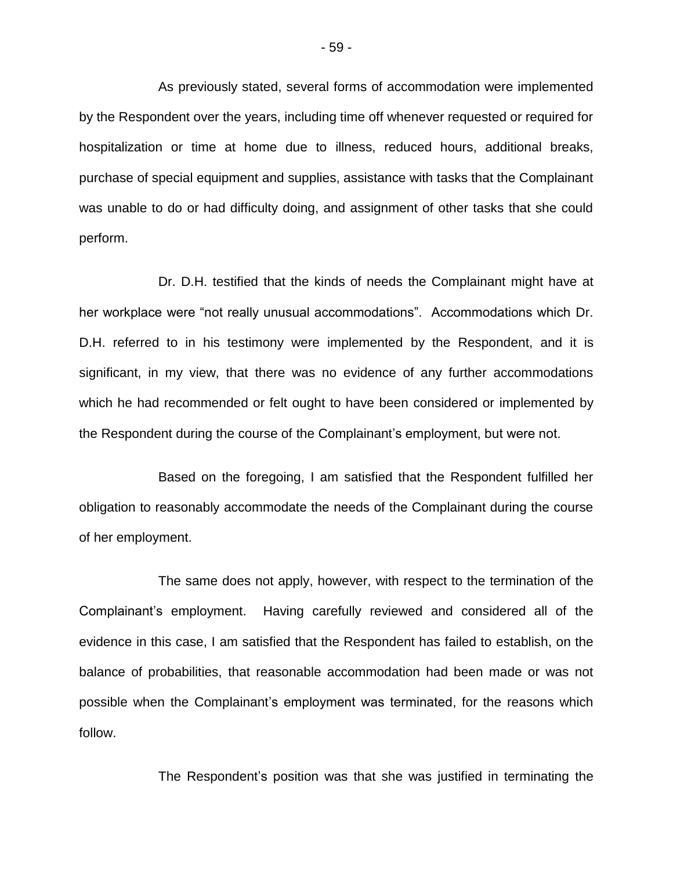As previously stated, several forms of accommodation were implemented by the Respondent over the years, including time off whenever requested or required for hospitalization or time at home due to illness, reduced hours, additional breaks, purchase of special equipment and supplies, assistance with tasks that the Complainant was unable to do or had difficulty doing, and assignment of other tasks that she could perform.

Dr. D.H. testified that the kinds of needs the Complainant might have at her workplace were "not really unusual accommodations". Accommodations which Dr. D.H. referred to in his testimony were implemented by the Respondent, and it is significant, in my view, that there was no evidence of any further accommodations which he had recommended or felt ought to have been considered or implemented by the Respondent during the course of the Complainant's employment, but were not.

Based on the foregoing, I am satisfied that the Respondent fulfilled her obligation to reasonably accommodate the needs of the Complainant during the course of her employment.

The same does not apply, however, with respect to the termination of the Complainant's employment. Having carefully reviewed and considered all of the evidence in this case, I am satisfied that the Respondent has failed to establish, on the balance of probabilities, that reasonable accommodation had been made or was not possible when the Complainant's employment was terminated, for the reasons which follow.

The Respondent's position was that she was justified in terminating the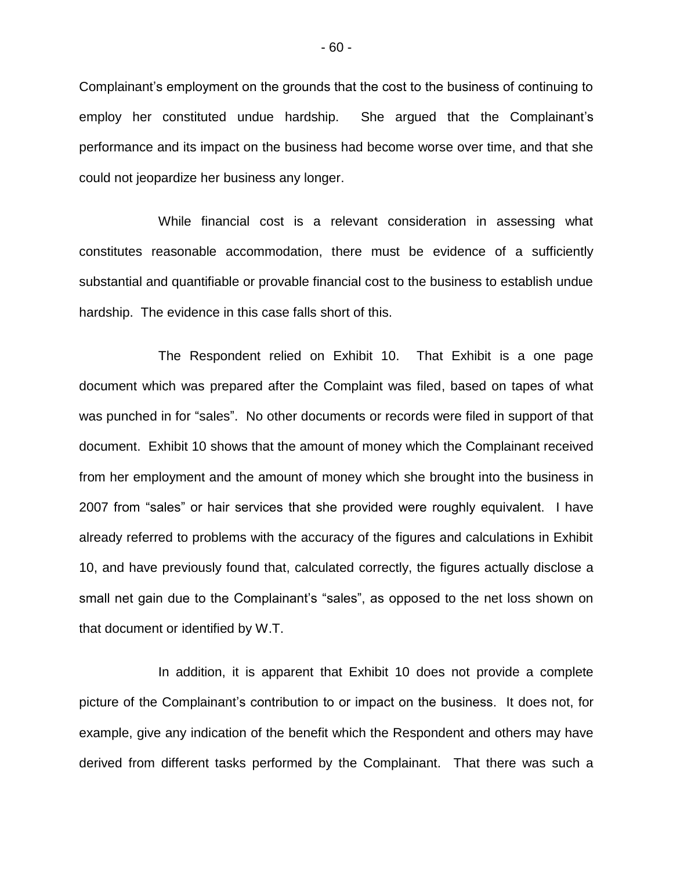Complainant's employment on the grounds that the cost to the business of continuing to employ her constituted undue hardship. She argued that the Complainant's performance and its impact on the business had become worse over time, and that she could not jeopardize her business any longer.

While financial cost is a relevant consideration in assessing what constitutes reasonable accommodation, there must be evidence of a sufficiently substantial and quantifiable or provable financial cost to the business to establish undue hardship. The evidence in this case falls short of this.

The Respondent relied on Exhibit 10. That Exhibit is a one page document which was prepared after the Complaint was filed, based on tapes of what was punched in for "sales". No other documents or records were filed in support of that document. Exhibit 10 shows that the amount of money which the Complainant received from her employment and the amount of money which she brought into the business in 2007 from "sales" or hair services that she provided were roughly equivalent. I have already referred to problems with the accuracy of the figures and calculations in Exhibit 10, and have previously found that, calculated correctly, the figures actually disclose a small net gain due to the Complainant's "sales", as opposed to the net loss shown on that document or identified by W.T.

In addition, it is apparent that Exhibit 10 does not provide a complete picture of the Complainant's contribution to or impact on the business. It does not, for example, give any indication of the benefit which the Respondent and others may have derived from different tasks performed by the Complainant. That there was such a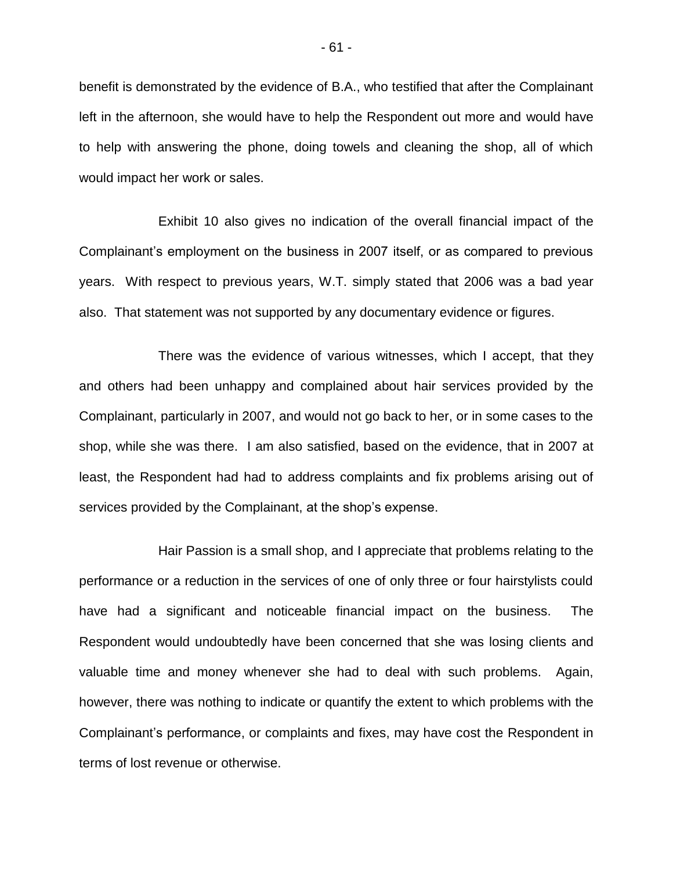benefit is demonstrated by the evidence of B.A., who testified that after the Complainant left in the afternoon, she would have to help the Respondent out more and would have to help with answering the phone, doing towels and cleaning the shop, all of which would impact her work or sales.

Exhibit 10 also gives no indication of the overall financial impact of the Complainant's employment on the business in 2007 itself, or as compared to previous years. With respect to previous years, W.T. simply stated that 2006 was a bad year also. That statement was not supported by any documentary evidence or figures.

There was the evidence of various witnesses, which I accept, that they and others had been unhappy and complained about hair services provided by the Complainant, particularly in 2007, and would not go back to her, or in some cases to the shop, while she was there. I am also satisfied, based on the evidence, that in 2007 at least, the Respondent had had to address complaints and fix problems arising out of services provided by the Complainant, at the shop's expense.

Hair Passion is a small shop, and I appreciate that problems relating to the performance or a reduction in the services of one of only three or four hairstylists could have had a significant and noticeable financial impact on the business. The Respondent would undoubtedly have been concerned that she was losing clients and valuable time and money whenever she had to deal with such problems. Again, however, there was nothing to indicate or quantify the extent to which problems with the Complainant's performance, or complaints and fixes, may have cost the Respondent in terms of lost revenue or otherwise.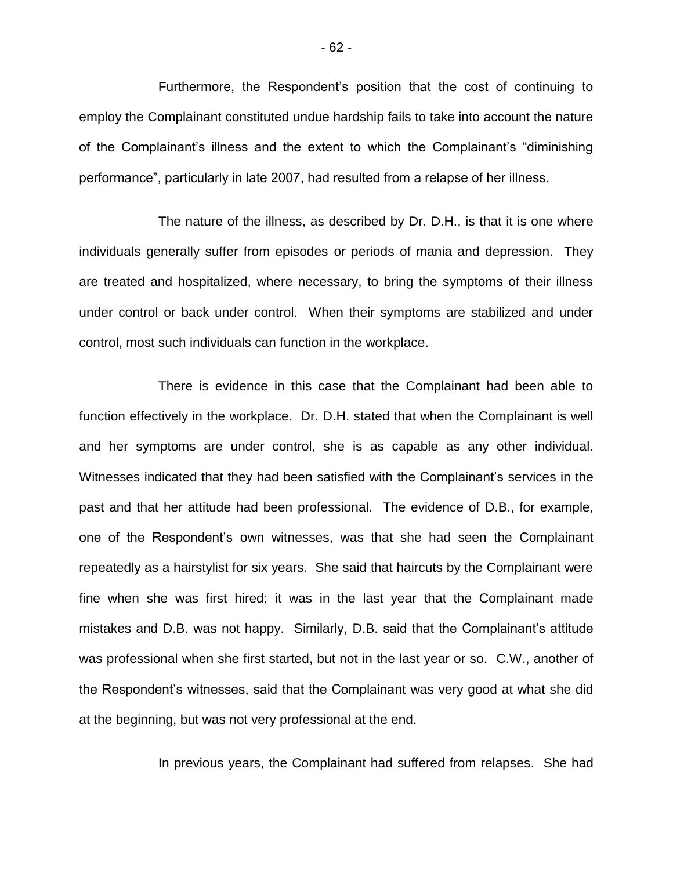Furthermore, the Respondent's position that the cost of continuing to employ the Complainant constituted undue hardship fails to take into account the nature of the Complainant's illness and the extent to which the Complainant's "diminishing performance", particularly in late 2007, had resulted from a relapse of her illness.

The nature of the illness, as described by Dr. D.H., is that it is one where individuals generally suffer from episodes or periods of mania and depression. They are treated and hospitalized, where necessary, to bring the symptoms of their illness under control or back under control. When their symptoms are stabilized and under control, most such individuals can function in the workplace.

There is evidence in this case that the Complainant had been able to function effectively in the workplace. Dr. D.H. stated that when the Complainant is well and her symptoms are under control, she is as capable as any other individual. Witnesses indicated that they had been satisfied with the Complainant's services in the past and that her attitude had been professional. The evidence of D.B., for example, one of the Respondent's own witnesses, was that she had seen the Complainant repeatedly as a hairstylist for six years. She said that haircuts by the Complainant were fine when she was first hired; it was in the last year that the Complainant made mistakes and D.B. was not happy. Similarly, D.B. said that the Complainant's attitude was professional when she first started, but not in the last year or so. C.W., another of the Respondent's witnesses, said that the Complainant was very good at what she did at the beginning, but was not very professional at the end.

In previous years, the Complainant had suffered from relapses. She had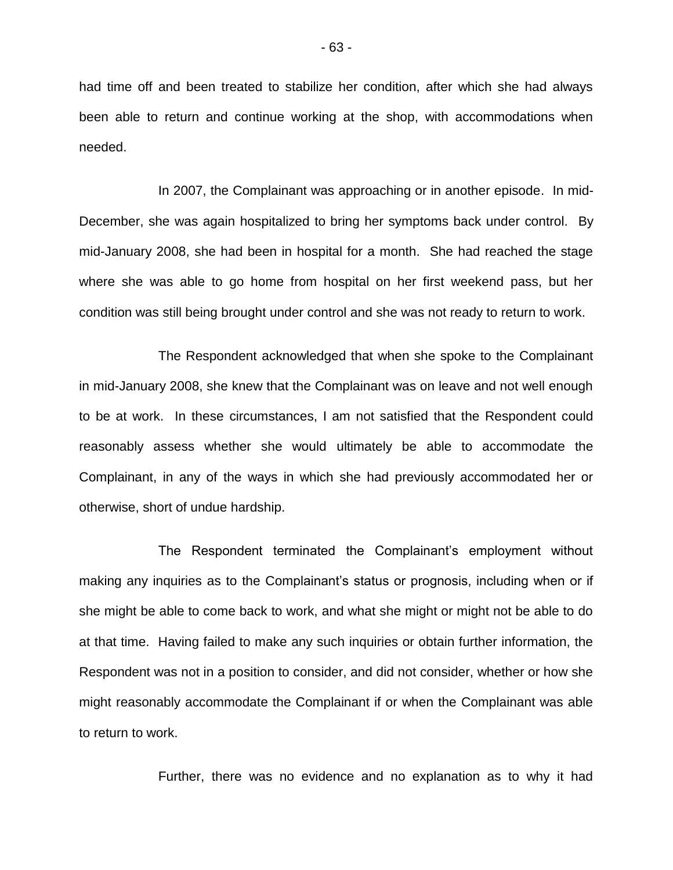had time off and been treated to stabilize her condition, after which she had always been able to return and continue working at the shop, with accommodations when needed.

In 2007, the Complainant was approaching or in another episode. In mid-December, she was again hospitalized to bring her symptoms back under control. By mid-January 2008, she had been in hospital for a month. She had reached the stage where she was able to go home from hospital on her first weekend pass, but her condition was still being brought under control and she was not ready to return to work.

The Respondent acknowledged that when she spoke to the Complainant in mid-January 2008, she knew that the Complainant was on leave and not well enough to be at work. In these circumstances, I am not satisfied that the Respondent could reasonably assess whether she would ultimately be able to accommodate the Complainant, in any of the ways in which she had previously accommodated her or otherwise, short of undue hardship.

The Respondent terminated the Complainant's employment without making any inquiries as to the Complainant's status or prognosis, including when or if she might be able to come back to work, and what she might or might not be able to do at that time. Having failed to make any such inquiries or obtain further information, the Respondent was not in a position to consider, and did not consider, whether or how she might reasonably accommodate the Complainant if or when the Complainant was able to return to work.

Further, there was no evidence and no explanation as to why it had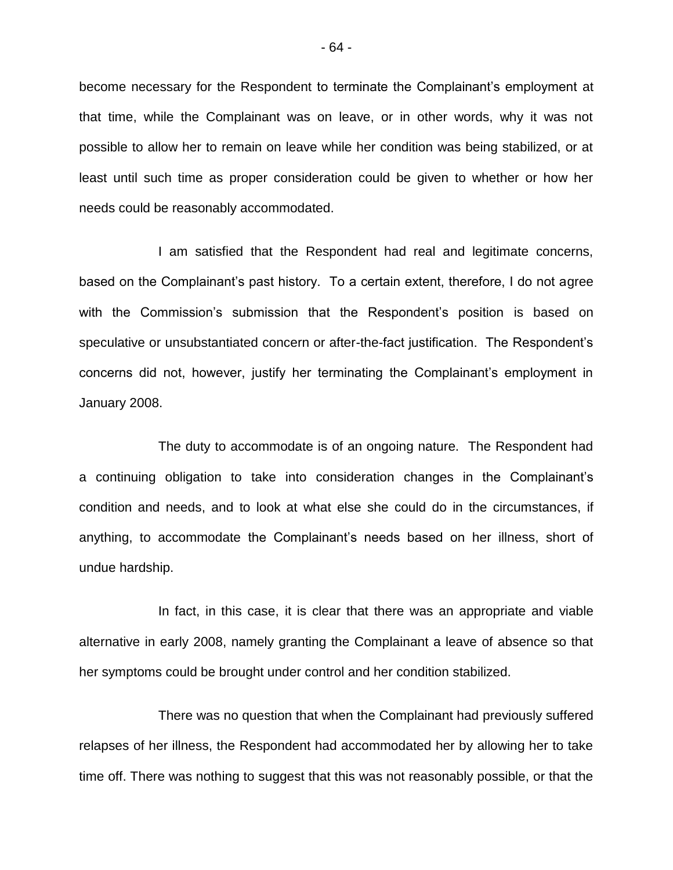become necessary for the Respondent to terminate the Complainant's employment at that time, while the Complainant was on leave, or in other words, why it was not possible to allow her to remain on leave while her condition was being stabilized, or at least until such time as proper consideration could be given to whether or how her needs could be reasonably accommodated.

I am satisfied that the Respondent had real and legitimate concerns, based on the Complainant's past history. To a certain extent, therefore, I do not agree with the Commission's submission that the Respondent's position is based on speculative or unsubstantiated concern or after-the-fact justification. The Respondent's concerns did not, however, justify her terminating the Complainant's employment in January 2008.

The duty to accommodate is of an ongoing nature. The Respondent had a continuing obligation to take into consideration changes in the Complainant's condition and needs, and to look at what else she could do in the circumstances, if anything, to accommodate the Complainant's needs based on her illness, short of undue hardship.

In fact, in this case, it is clear that there was an appropriate and viable alternative in early 2008, namely granting the Complainant a leave of absence so that her symptoms could be brought under control and her condition stabilized.

There was no question that when the Complainant had previously suffered relapses of her illness, the Respondent had accommodated her by allowing her to take time off. There was nothing to suggest that this was not reasonably possible, or that the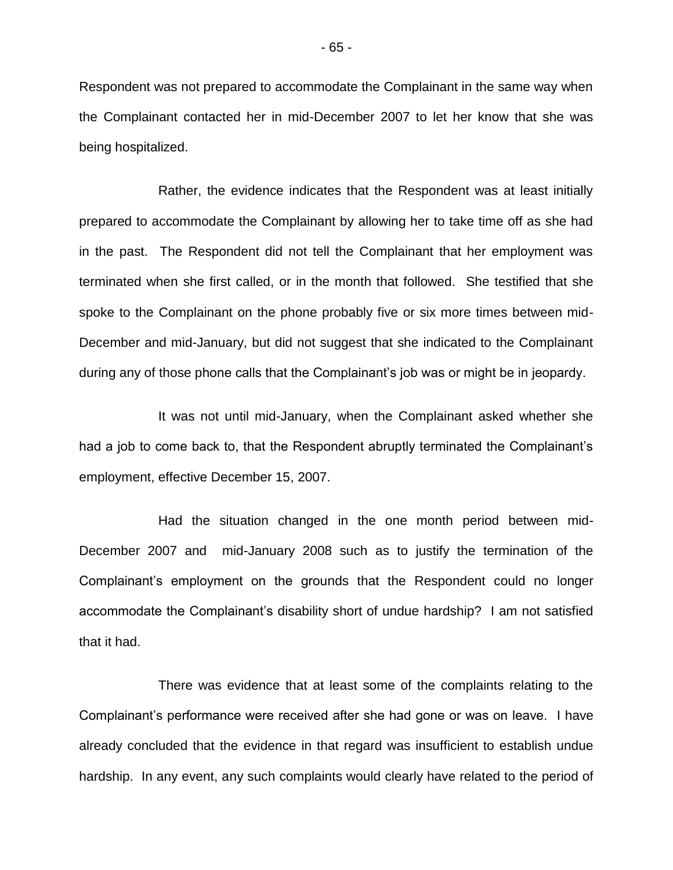Respondent was not prepared to accommodate the Complainant in the same way when the Complainant contacted her in mid-December 2007 to let her know that she was being hospitalized.

Rather, the evidence indicates that the Respondent was at least initially prepared to accommodate the Complainant by allowing her to take time off as she had in the past. The Respondent did not tell the Complainant that her employment was terminated when she first called, or in the month that followed. She testified that she spoke to the Complainant on the phone probably five or six more times between mid-December and mid-January, but did not suggest that she indicated to the Complainant during any of those phone calls that the Complainant's job was or might be in jeopardy.

It was not until mid-January, when the Complainant asked whether she had a job to come back to, that the Respondent abruptly terminated the Complainant's employment, effective December 15, 2007.

Had the situation changed in the one month period between mid-December 2007 and mid-January 2008 such as to justify the termination of the Complainant's employment on the grounds that the Respondent could no longer accommodate the Complainant's disability short of undue hardship? I am not satisfied that it had.

There was evidence that at least some of the complaints relating to the Complainant's performance were received after she had gone or was on leave. I have already concluded that the evidence in that regard was insufficient to establish undue hardship. In any event, any such complaints would clearly have related to the period of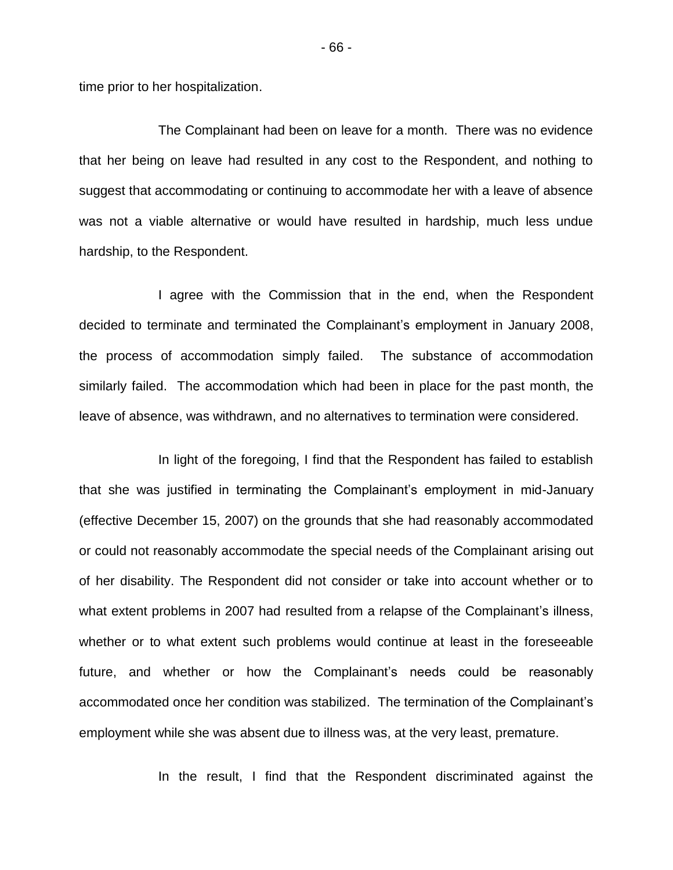time prior to her hospitalization.

The Complainant had been on leave for a month. There was no evidence that her being on leave had resulted in any cost to the Respondent, and nothing to suggest that accommodating or continuing to accommodate her with a leave of absence was not a viable alternative or would have resulted in hardship, much less undue hardship, to the Respondent.

I agree with the Commission that in the end, when the Respondent decided to terminate and terminated the Complainant's employment in January 2008, the process of accommodation simply failed. The substance of accommodation similarly failed. The accommodation which had been in place for the past month, the leave of absence, was withdrawn, and no alternatives to termination were considered.

In light of the foregoing, I find that the Respondent has failed to establish that she was justified in terminating the Complainant's employment in mid-January (effective December 15, 2007) on the grounds that she had reasonably accommodated or could not reasonably accommodate the special needs of the Complainant arising out of her disability. The Respondent did not consider or take into account whether or to what extent problems in 2007 had resulted from a relapse of the Complainant's illness, whether or to what extent such problems would continue at least in the foreseeable future, and whether or how the Complainant's needs could be reasonably accommodated once her condition was stabilized. The termination of the Complainant's employment while she was absent due to illness was, at the very least, premature.

In the result, I find that the Respondent discriminated against the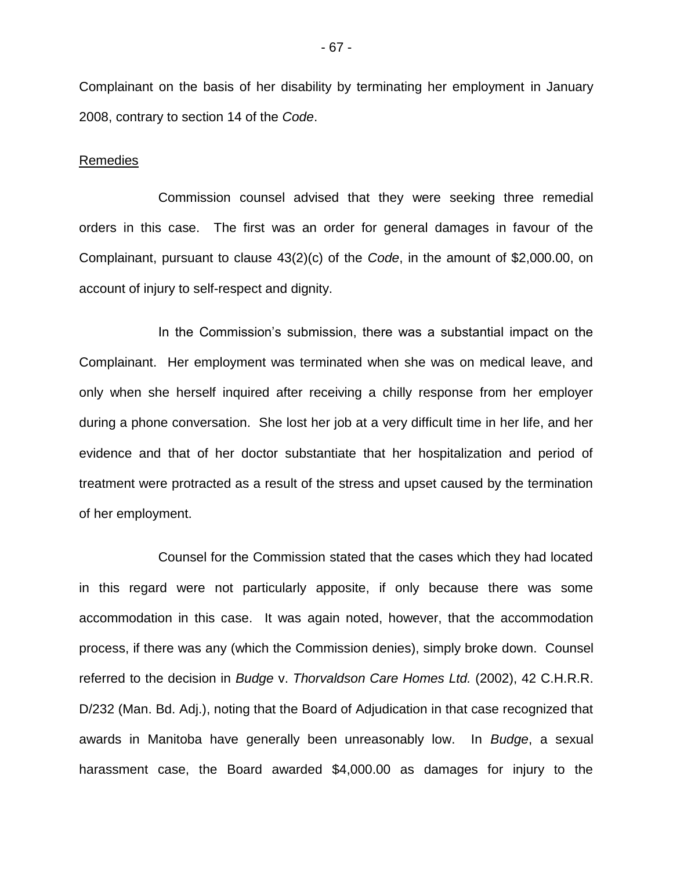Complainant on the basis of her disability by terminating her employment in January 2008, contrary to section 14 of the *Code*.

#### Remedies

Commission counsel advised that they were seeking three remedial orders in this case. The first was an order for general damages in favour of the Complainant, pursuant to clause 43(2)(c) of the *Code*, in the amount of \$2,000.00, on account of injury to self-respect and dignity.

In the Commission's submission, there was a substantial impact on the Complainant. Her employment was terminated when she was on medical leave, and only when she herself inquired after receiving a chilly response from her employer during a phone conversation. She lost her job at a very difficult time in her life, and her evidence and that of her doctor substantiate that her hospitalization and period of treatment were protracted as a result of the stress and upset caused by the termination of her employment.

Counsel for the Commission stated that the cases which they had located in this regard were not particularly apposite, if only because there was some accommodation in this case. It was again noted, however, that the accommodation process, if there was any (which the Commission denies), simply broke down. Counsel referred to the decision in *Budge* v. *Thorvaldson Care Homes Ltd.* (2002), 42 C.H.R.R. D/232 (Man. Bd. Adj.), noting that the Board of Adjudication in that case recognized that awards in Manitoba have generally been unreasonably low. In *Budge*, a sexual harassment case, the Board awarded \$4,000.00 as damages for injury to the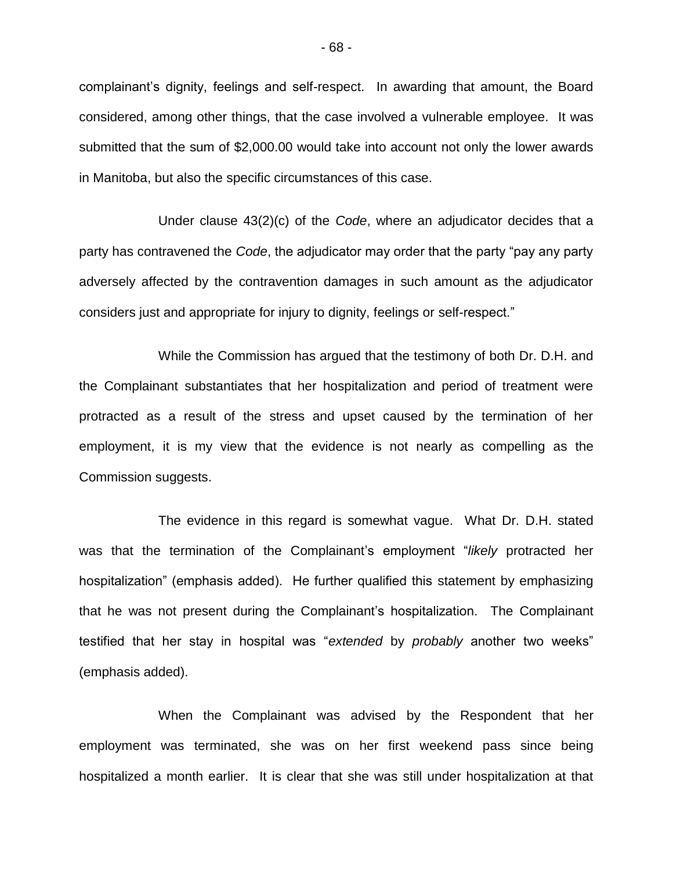complainant's dignity, feelings and self-respect. In awarding that amount, the Board considered, among other things, that the case involved a vulnerable employee. It was submitted that the sum of \$2,000.00 would take into account not only the lower awards in Manitoba, but also the specific circumstances of this case.

Under clause 43(2)(c) of the *Code*, where an adjudicator decides that a party has contravened the *Code*, the adjudicator may order that the party "pay any party adversely affected by the contravention damages in such amount as the adjudicator considers just and appropriate for injury to dignity, feelings or self-respect."

While the Commission has argued that the testimony of both Dr. D.H. and the Complainant substantiates that her hospitalization and period of treatment were protracted as a result of the stress and upset caused by the termination of her employment, it is my view that the evidence is not nearly as compelling as the Commission suggests.

The evidence in this regard is somewhat vague. What Dr. D.H. stated was that the termination of the Complainant's employment "*likely* protracted her hospitalization" (emphasis added). He further qualified this statement by emphasizing that he was not present during the Complainant's hospitalization. The Complainant testified that her stay in hospital was "*extended* by *probably* another two weeks" (emphasis added).

When the Complainant was advised by the Respondent that her employment was terminated, she was on her first weekend pass since being hospitalized a month earlier. It is clear that she was still under hospitalization at that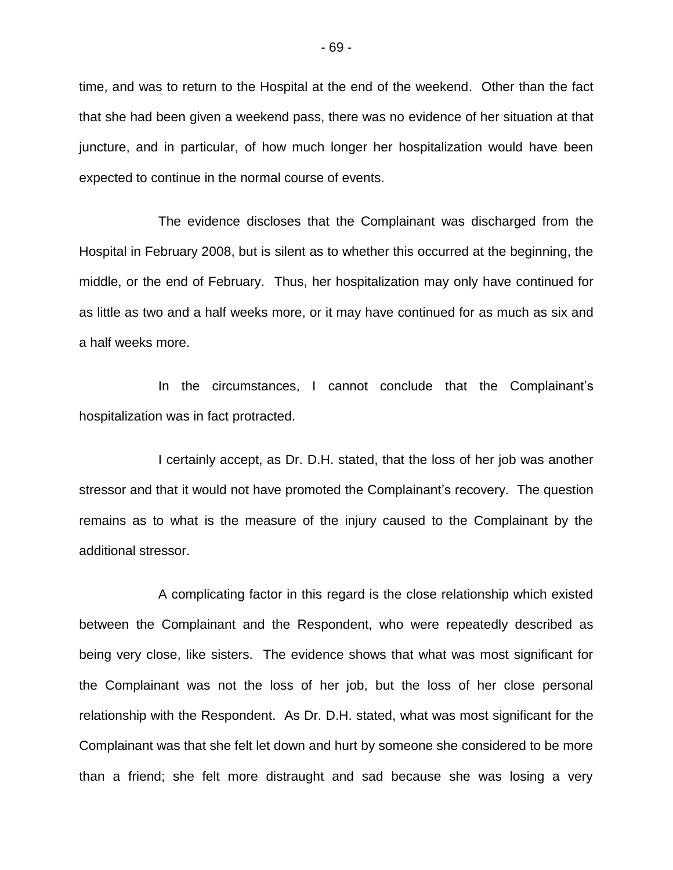time, and was to return to the Hospital at the end of the weekend. Other than the fact that she had been given a weekend pass, there was no evidence of her situation at that juncture, and in particular, of how much longer her hospitalization would have been expected to continue in the normal course of events.

The evidence discloses that the Complainant was discharged from the Hospital in February 2008, but is silent as to whether this occurred at the beginning, the middle, or the end of February. Thus, her hospitalization may only have continued for as little as two and a half weeks more, or it may have continued for as much as six and a half weeks more.

In the circumstances, I cannot conclude that the Complainant's hospitalization was in fact protracted.

I certainly accept, as Dr. D.H. stated, that the loss of her job was another stressor and that it would not have promoted the Complainant's recovery. The question remains as to what is the measure of the injury caused to the Complainant by the additional stressor.

A complicating factor in this regard is the close relationship which existed between the Complainant and the Respondent, who were repeatedly described as being very close, like sisters. The evidence shows that what was most significant for the Complainant was not the loss of her job, but the loss of her close personal relationship with the Respondent. As Dr. D.H. stated, what was most significant for the Complainant was that she felt let down and hurt by someone she considered to be more than a friend; she felt more distraught and sad because she was losing a very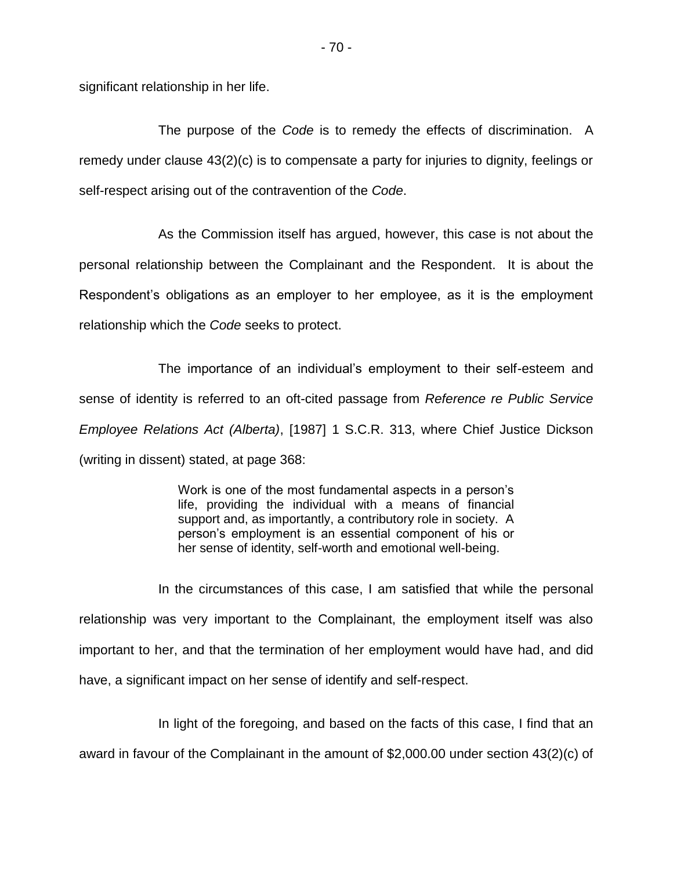significant relationship in her life.

The purpose of the *Code* is to remedy the effects of discrimination. A remedy under clause 43(2)(c) is to compensate a party for injuries to dignity, feelings or self-respect arising out of the contravention of the *Code*.

As the Commission itself has argued, however, this case is not about the personal relationship between the Complainant and the Respondent. It is about the Respondent's obligations as an employer to her employee, as it is the employment relationship which the *Code* seeks to protect.

The importance of an individual's employment to their self-esteem and sense of identity is referred to an oft-cited passage from *Reference re Public Service Employee Relations Act (Alberta)*, [1987] 1 S.C.R. 313, where Chief Justice Dickson (writing in dissent) stated, at page 368:

> Work is one of the most fundamental aspects in a person's life, providing the individual with a means of financial support and, as importantly, a contributory role in society. A person's employment is an essential component of his or her sense of identity, self-worth and emotional well-being.

In the circumstances of this case, I am satisfied that while the personal relationship was very important to the Complainant, the employment itself was also important to her, and that the termination of her employment would have had, and did have, a significant impact on her sense of identify and self-respect.

In light of the foregoing, and based on the facts of this case, I find that an award in favour of the Complainant in the amount of \$2,000.00 under section 43(2)(c) of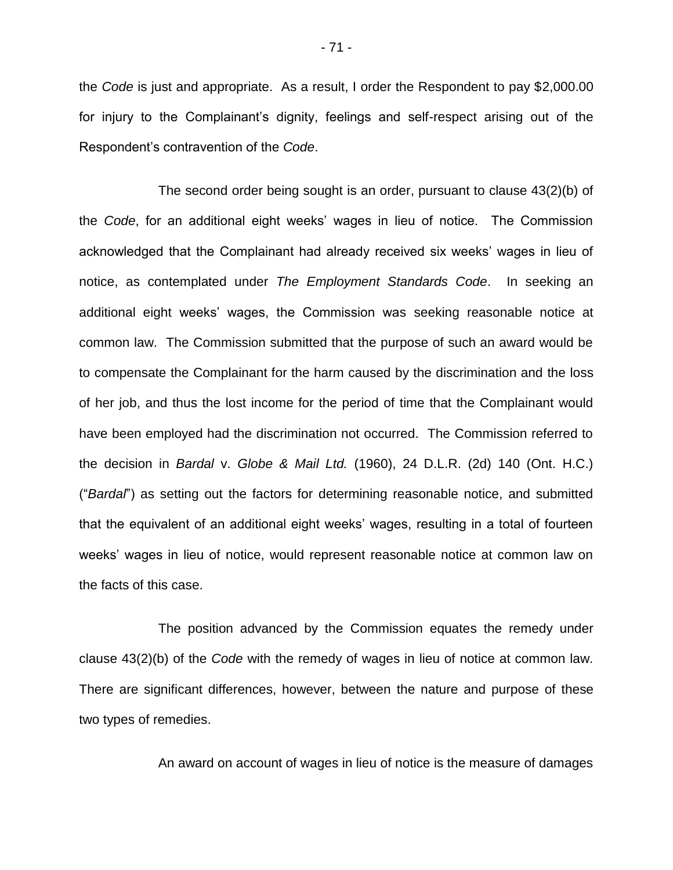the *Code* is just and appropriate. As a result, I order the Respondent to pay \$2,000.00 for injury to the Complainant's dignity, feelings and self-respect arising out of the Respondent's contravention of the *Code*.

The second order being sought is an order, pursuant to clause 43(2)(b) of the *Code*, for an additional eight weeks' wages in lieu of notice. The Commission acknowledged that the Complainant had already received six weeks' wages in lieu of notice, as contemplated under *The Employment Standards Code*. In seeking an additional eight weeks' wages, the Commission was seeking reasonable notice at common law. The Commission submitted that the purpose of such an award would be to compensate the Complainant for the harm caused by the discrimination and the loss of her job, and thus the lost income for the period of time that the Complainant would have been employed had the discrimination not occurred. The Commission referred to the decision in *Bardal* v. *Globe & Mail Ltd.* (1960), 24 D.L.R. (2d) 140 (Ont. H.C.) ("*Bardal*") as setting out the factors for determining reasonable notice, and submitted that the equivalent of an additional eight weeks' wages, resulting in a total of fourteen weeks' wages in lieu of notice, would represent reasonable notice at common law on the facts of this case.

The position advanced by the Commission equates the remedy under clause 43(2)(b) of the *Code* with the remedy of wages in lieu of notice at common law. There are significant differences, however, between the nature and purpose of these two types of remedies.

An award on account of wages in lieu of notice is the measure of damages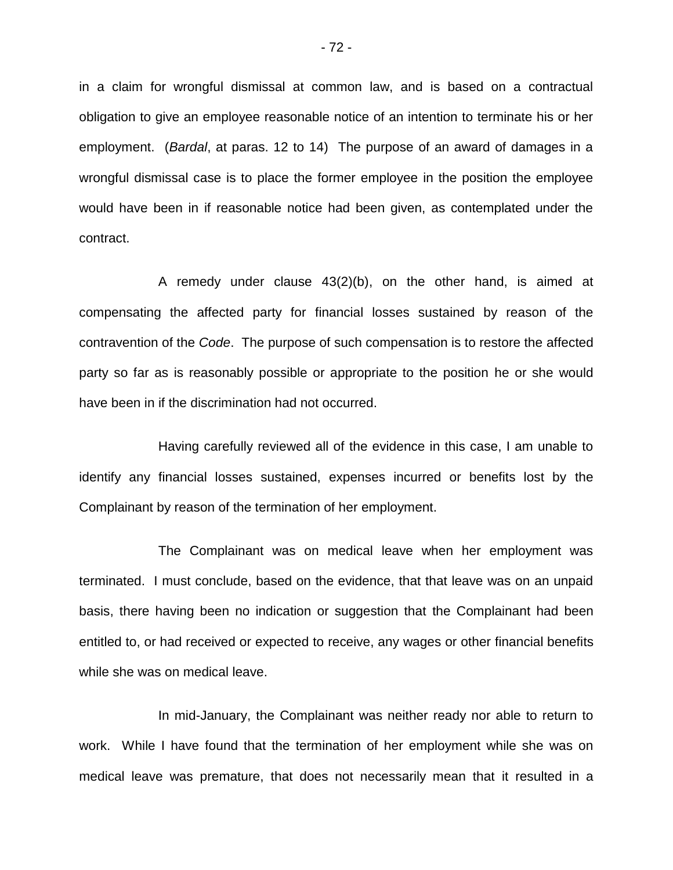in a claim for wrongful dismissal at common law, and is based on a contractual obligation to give an employee reasonable notice of an intention to terminate his or her employment. (*Bardal*, at paras. 12 to 14) The purpose of an award of damages in a wrongful dismissal case is to place the former employee in the position the employee would have been in if reasonable notice had been given, as contemplated under the contract.

A remedy under clause 43(2)(b), on the other hand, is aimed at compensating the affected party for financial losses sustained by reason of the contravention of the *Code*. The purpose of such compensation is to restore the affected party so far as is reasonably possible or appropriate to the position he or she would have been in if the discrimination had not occurred.

Having carefully reviewed all of the evidence in this case, I am unable to identify any financial losses sustained, expenses incurred or benefits lost by the Complainant by reason of the termination of her employment.

The Complainant was on medical leave when her employment was terminated. I must conclude, based on the evidence, that that leave was on an unpaid basis, there having been no indication or suggestion that the Complainant had been entitled to, or had received or expected to receive, any wages or other financial benefits while she was on medical leave.

In mid-January, the Complainant was neither ready nor able to return to work. While I have found that the termination of her employment while she was on medical leave was premature, that does not necessarily mean that it resulted in a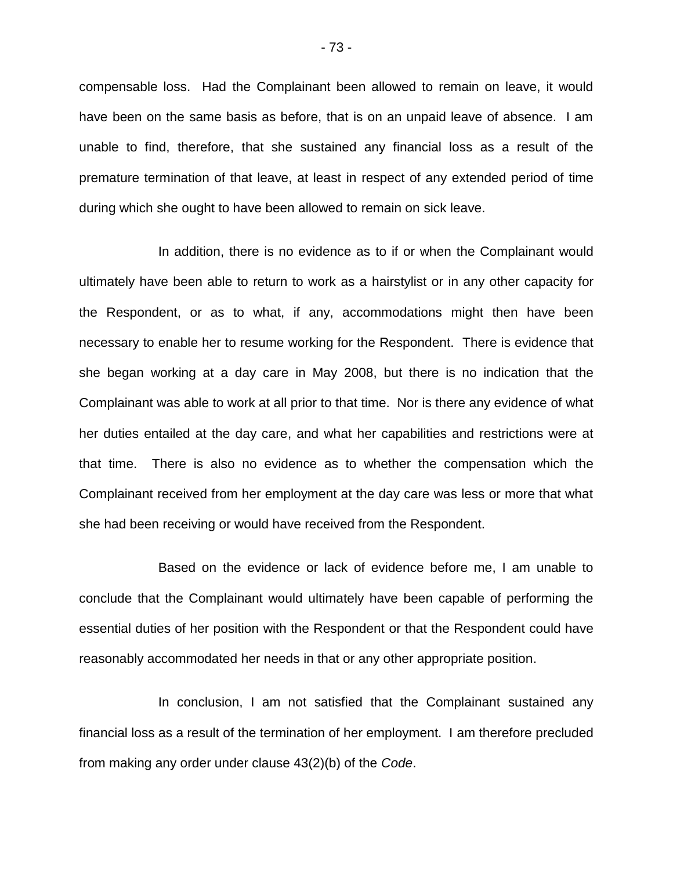compensable loss. Had the Complainant been allowed to remain on leave, it would have been on the same basis as before, that is on an unpaid leave of absence. I am unable to find, therefore, that she sustained any financial loss as a result of the premature termination of that leave, at least in respect of any extended period of time during which she ought to have been allowed to remain on sick leave.

In addition, there is no evidence as to if or when the Complainant would ultimately have been able to return to work as a hairstylist or in any other capacity for the Respondent, or as to what, if any, accommodations might then have been necessary to enable her to resume working for the Respondent. There is evidence that she began working at a day care in May 2008, but there is no indication that the Complainant was able to work at all prior to that time. Nor is there any evidence of what her duties entailed at the day care, and what her capabilities and restrictions were at that time. There is also no evidence as to whether the compensation which the Complainant received from her employment at the day care was less or more that what she had been receiving or would have received from the Respondent.

Based on the evidence or lack of evidence before me, I am unable to conclude that the Complainant would ultimately have been capable of performing the essential duties of her position with the Respondent or that the Respondent could have reasonably accommodated her needs in that or any other appropriate position.

In conclusion, I am not satisfied that the Complainant sustained any financial loss as a result of the termination of her employment. I am therefore precluded from making any order under clause 43(2)(b) of the *Code*.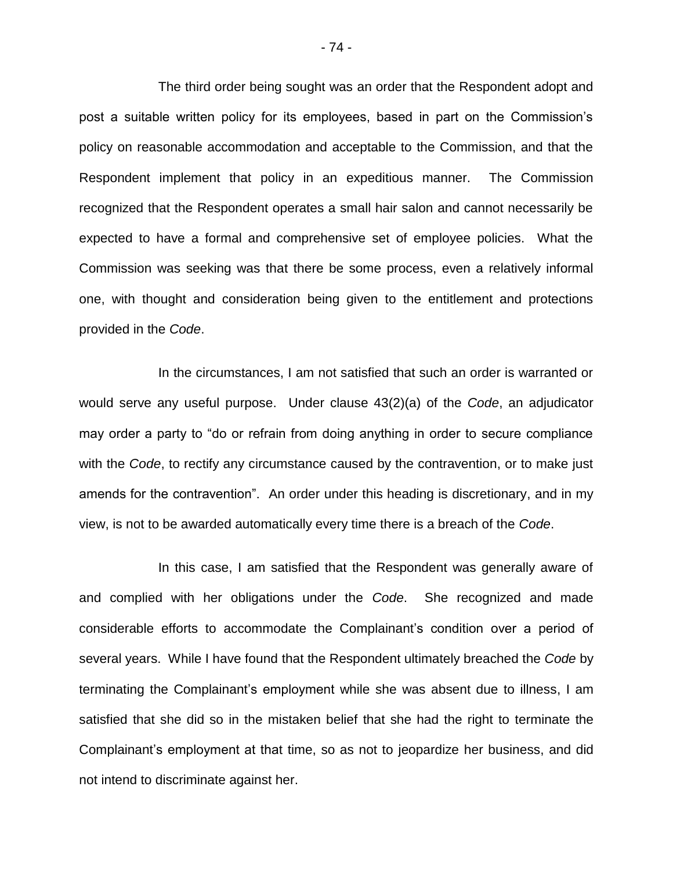The third order being sought was an order that the Respondent adopt and post a suitable written policy for its employees, based in part on the Commission's policy on reasonable accommodation and acceptable to the Commission, and that the Respondent implement that policy in an expeditious manner. The Commission recognized that the Respondent operates a small hair salon and cannot necessarily be expected to have a formal and comprehensive set of employee policies. What the Commission was seeking was that there be some process, even a relatively informal one, with thought and consideration being given to the entitlement and protections provided in the *Code*.

In the circumstances, I am not satisfied that such an order is warranted or would serve any useful purpose. Under clause 43(2)(a) of the *Code*, an adjudicator may order a party to "do or refrain from doing anything in order to secure compliance with the *Code*, to rectify any circumstance caused by the contravention, or to make just amends for the contravention". An order under this heading is discretionary, and in my view, is not to be awarded automatically every time there is a breach of the *Code*.

In this case, I am satisfied that the Respondent was generally aware of and complied with her obligations under the *Code*. She recognized and made considerable efforts to accommodate the Complainant's condition over a period of several years. While I have found that the Respondent ultimately breached the *Code* by terminating the Complainant's employment while she was absent due to illness, I am satisfied that she did so in the mistaken belief that she had the right to terminate the Complainant's employment at that time, so as not to jeopardize her business, and did not intend to discriminate against her.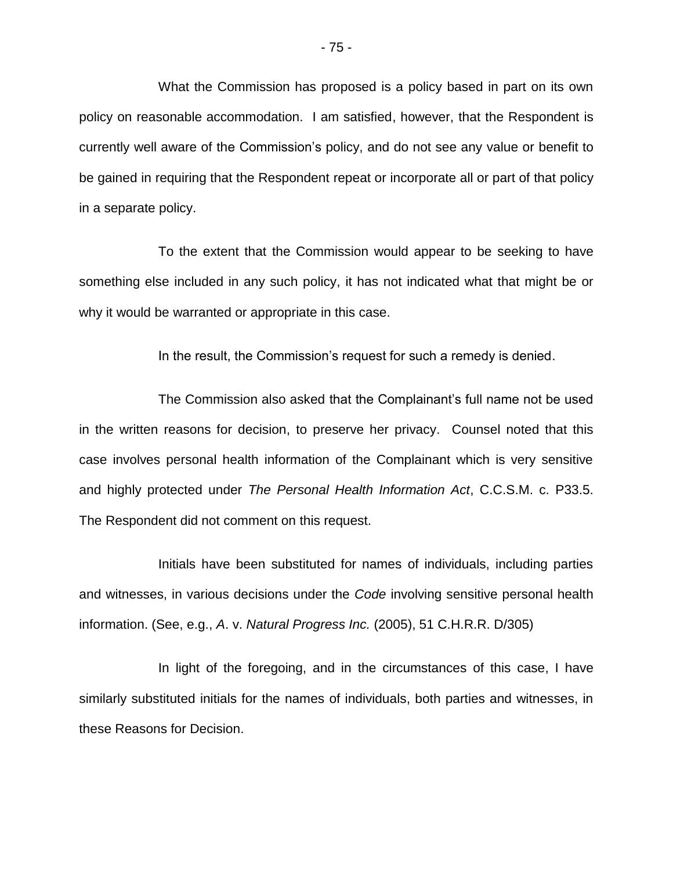What the Commission has proposed is a policy based in part on its own policy on reasonable accommodation. I am satisfied, however, that the Respondent is currently well aware of the Commission's policy, and do not see any value or benefit to be gained in requiring that the Respondent repeat or incorporate all or part of that policy in a separate policy.

To the extent that the Commission would appear to be seeking to have something else included in any such policy, it has not indicated what that might be or why it would be warranted or appropriate in this case.

In the result, the Commission's request for such a remedy is denied.

The Commission also asked that the Complainant's full name not be used in the written reasons for decision, to preserve her privacy. Counsel noted that this case involves personal health information of the Complainant which is very sensitive and highly protected under *The Personal Health Information Act*, C.C.S.M. c. P33.5. The Respondent did not comment on this request.

Initials have been substituted for names of individuals, including parties and witnesses, in various decisions under the *Code* involving sensitive personal health information. (See, e.g., *A*. v. *Natural Progress Inc.* (2005), 51 C.H.R.R. D/305)

In light of the foregoing, and in the circumstances of this case, I have similarly substituted initials for the names of individuals, both parties and witnesses, in these Reasons for Decision.